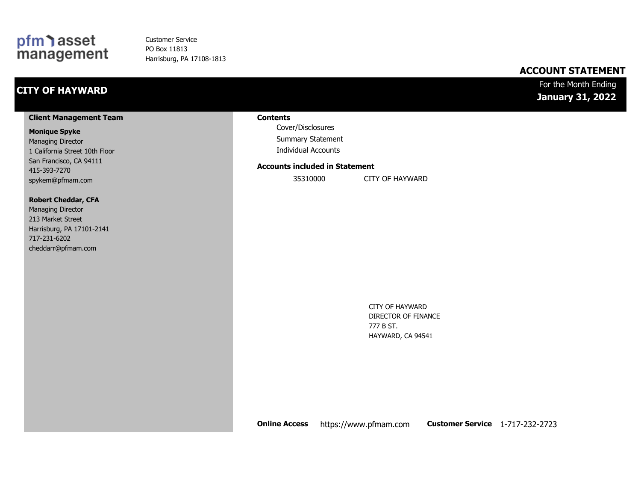### pfm asset<br>management

Customer Service PO Box 11813 Harrisburg, PA 17108-1813

#### **ACCOUNT STATEMENT**

### **CITY OF HAYWARD**

#### For the Month Ending **January 31, 2022**

#### **Client Management Team**

#### **Monique Spyke**

Managing Director 1 California Street 10th Floor San Francisco, CA 94111 415-393-7270 spykem@pfmam.com

#### **Robert Cheddar, CFA**

| <b>Managing Director</b>  |
|---------------------------|
| 213 Market Street         |
| Harrisburg, PA 17101-2141 |
| 717-231-6202              |
| cheddarr@pfmam.com        |

#### **Contents**

Cover/Disclosures Summary Statement Individual Accounts

#### **Accounts included in Statement**

35310000 CITY OF HAYWARD

CITY OF HAYWARD DIRECTOR OF FINANCE 777 B ST. HAYWARD, CA 94541

**Online Access** https://www.pfmam.com **Customer Service** 1-717-232-2723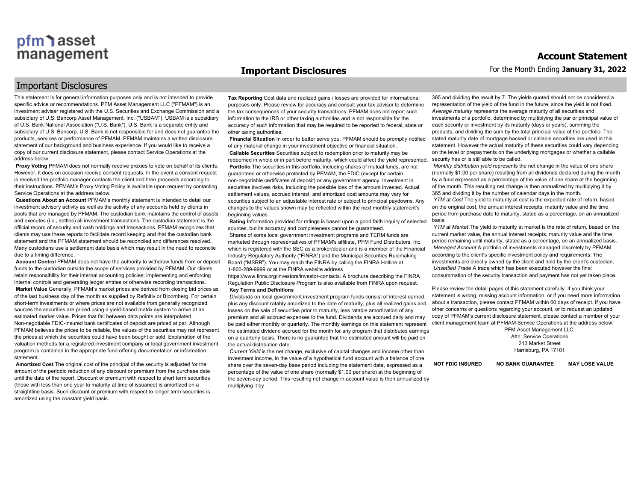#### **Important Disclosures**

#### Important Disclosures

This statement is for general information purposes only and is not intended to provide specific advice or recommendations. PFM Asset Management LLC ("PFMAM") is an investment adviser registered with the U.S. Securities and Exchange Commission and a subsidiary of U.S. Bancorp Asset Management, Inc. ("USBAM"). USBAM is a subsidiary of U.S. Bank National Association ("U.S. Bank"). U.S. Bank is a separate entity and subsidiary of U.S. Bancorp. U.S. Bank is not responsible for and does not guarantee the products, services or performance of PFMAM. PFMAM maintains a written disclosure statement of our background and business experience. If you would like to receive a copy of our current disclosure statement, please contact Service Operations at the address below.

**Proxy Voting** PFMAM does not normally receive proxies to vote on behalf of its clients. However, it does on occasion receive consent requests. In the event a consent request is received the portfolio manager contacts the client and then proceeds according to their instructions. PFMAM's Proxy Voting Policy is available upon request by contacting Service Operations at the address below.

**Questions About an Account** PFMAM's monthly statement is intended to detail our investment advisory activity as well as the activity of any accounts held by clients in pools that are managed by PFMAM. The custodian bank maintains the control of assets and executes (i.e., settles) all investment transactions. The custodian statement is the official record of security and cash holdings and transactions. PFMAM recognizes that clients may use these reports to facilitate record keeping and that the custodian bank statement and the PFMAM statement should be reconciled and differences resolved. Many custodians use a settlement date basis which may result in the need to reconcile due to a timing difference.

**Account Control** PFMAM does not have the authority to withdraw funds from or deposit funds to the custodian outside the scope of services provided by PFMAM. Our clients retain responsibility for their internal accounting policies; implementing and enforcing internal controls and generating ledger entries or otherwise recording transactions. **Market Value** Generally, PFMAM's market prices are derived from closing bid prices as of the last business day of the month as supplied by Refinitiv or Bloomberg. For certain short-term investments or where prices are not available from generally recognized sources the securities are priced using a yield-based matrix system to arrive at an estimated market value. Prices that fall between data points are interpolated. Non-negotiable FDIC-insured bank certificates of deposit are priced at par. Although PFMAM believes the prices to be reliable, the values of the securities may not represent the prices at which the securities could have been bought or sold. Explanation of the valuation methods for a registered investment company or local government investment program is contained in the appropriate fund offering documentation or information statement.

**Amortized Cost** The original cost of the principal of the security is adjusted for the amount of the periodic reduction of any discount or premium from the purchase date until the date of the report. Discount or premium with respect to short term securities (those with less than one year to maturity at time of issuance) is amortized on a straightline basis. Such discount or premium with respect to longer term securities is amortized using the constant yield basis.

**Tax Reporting** Cost data and realized gains / losses are provided for informational purposes only. Please review for accuracy and consult your tax advisor to determine the tax consequences of your security transactions. PFMAM does not report such information to the IRS or other taxing authorities and is not responsible for the accuracy of such information that may be required to be reported to federal, state or other taxing authorities.

**Financial Situation** In order to better serve you, PFMAM should be promptly notified of any material change in your investment objective or financial situation. **Callable Securities** Securities subject to redemption prior to maturity may be redeemed in whole or in part before maturity, which could affect the yield represented. **Portfolio** The securities in this portfolio, including shares of mutual funds, are not guaranteed or otherwise protected by PFMAM, the FDIC (except for certain non-negotiable certificates of deposit) or any government agency. Investment in securities involves risks, including the possible loss of the amount invested. Actual settlement values, accrued interest, and amortized cost amounts may vary for securities subject to an adjustable interest rate or subject to principal paydowns. Any changes to the values shown may be reflected within the next monthly statement's beginning values.

**Rating** Information provided for ratings is based upon a good faith inquiry of selected sources, but its accuracy and completeness cannot be quaranteed Shares of some local government investment programs and TERM funds are marketed through representatives of PFMAM's affiliate, PFM Fund Distributors, Inc. which is registered with the SEC as a broker/dealer and is a member of the Financial Industry Regulatory Authority ("FINRA") and the Municipal Securities Rulemaking Board ("MSRB"). You may reach the FINRA by calling the FINRA Hotline at 1-800-289-9999 or at the FINRA website address

https://www.finra.org/investors/investor-contacts. A brochure describing the FINRA Regulation Public Disclosure Program is also available from FINRA upon request. **Key Terms and Definitions**

*Dividends* on local government investment program funds consist of interest earned, plus any discount ratably amortized to the date of maturity, plus all realized gains and losses on the sale of securities prior to maturity, less ratable amortization of any premium and all accrued expenses to the fund. Dividends are accrued daily and may be paid either monthly or quarterly. The monthly earnings on this statement represent the estimated dividend accrued for the month for any program that distributes earnings on a quarterly basis. There is no guarantee that the estimated amount will be paid on the actual distribution date.

*Current Yield* is the net change, exclusive of capital changes and income other than investment income, in the value of a hypothetical fund account with a balance of one share over the seven-day base period including the statement date, expressed as a percentage of the value of one share (normally \$1.00 per share) at the beginning of the seven-day period. This resulting net change in account value is then annualized by multiplying it by

365 and dividing the result by 7. The yields quoted should not be considered a representation of the yield of the fund in the future, since the yield is not fixed. *Average maturity* represents the average maturity of all securities and investments of a portfolio, determined by multiplying the par or principal value of each security or investment by its maturity (days or years), summing the products, and dividing the sum by the total principal value of the portfolio. The stated maturity date of mortgage backed or callable securities are used in this statement. However the actual maturity of these securities could vary depending on the level or prepayments on the underlying mortgages or whether a callable security has or is still able to be called.

*Monthly distribution yield* represents the net change in the value of one share (normally \$1.00 per share) resulting from all dividends declared during the month by a fund expressed as a percentage of the value of one share at the beginning of the month. This resulting net change is then annualized by multiplying it by 365 and dividing it by the number of calendar days in the month.

*YTM at Cost* The yield to maturity at cost is the expected rate of return, based on the original cost, the annual interest receipts, maturity value and the time period from purchase date to maturity, stated as a percentage, on an annualized basis.

*YTM at Market* The yield to maturity at market is the rate of return, based on the current market value, the annual interest receipts, maturity value and the time period remaining until maturity, stated as a percentage, on an annualized basis. *Managed Account* A portfolio of investments managed discretely by PFMAM according to the client's specific investment policy and requirements. The investments are directly owned by the client and held by the client's custodian. *Unsettled Trade* A trade which has been executed however the final consummation of the security transaction and payment has not yet taken place.

Please review the detail pages of this statement carefully. If you think your statement is wrong, missing account information, or if you need more information about a transaction, please contact PFMAM within 60 days of receipt. If you have other concerns or questions regarding your account, or to request an updated copy of PFMAM's current disclosure statement, please contact a member of your client management team at PFMAM Service Operations at the address below.

> PFM Asset Management LLC Attn: Service Operations 213 Market Street Harrisburg, PA 17101

**NOT FDIC INSURED NO BANK GUARANTEE MAY LOSE VALUE**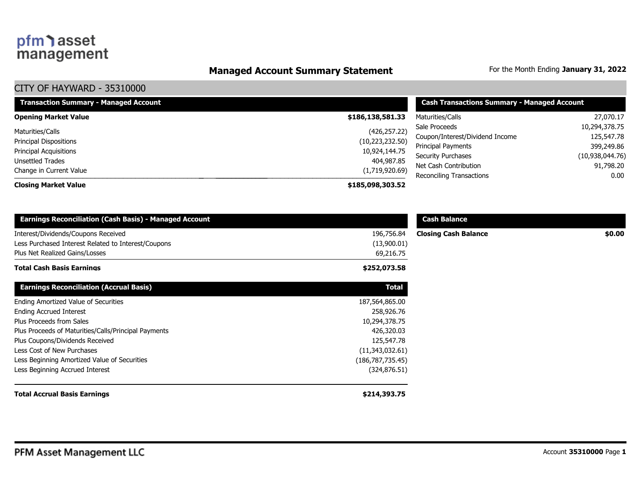### **Managed Account Summary Statement** For the Month Ending January 31, 2022

| <b>Transaction Summary - Managed Account</b> | <b>Cash Transactions Summary - Managed Account</b> |                                 |                 |
|----------------------------------------------|----------------------------------------------------|---------------------------------|-----------------|
| <b>Opening Market Value</b>                  | \$186,138,581.33                                   | Maturities/Calls                | 27,070.17       |
| Maturities/Calls                             | (426, 257.22)                                      | Sale Proceeds                   | 10,294,378.75   |
| <b>Principal Dispositions</b>                | (10, 223, 232.50)                                  | Coupon/Interest/Dividend Income | 125,547.78      |
| Principal Acquisitions                       | 10,924,144.75                                      | Principal Payments              | 399,249.86      |
| Unsettled Trades                             | 404,987.85                                         | Security Purchases              | (10,938,044.76) |
| Change in Current Value                      | (1,719,920.69)                                     | Net Cash Contribution           | 91,798.20       |
|                                              |                                                    | Reconciling Transactions        | 0.00            |
| <b>Closing Market Value</b>                  | \$185,098,303.52                                   |                                 |                 |

| <b>Earnings Reconciliation (Cash Basis) - Managed Account</b> |                    | <b>Cash Balance</b>         |        |
|---------------------------------------------------------------|--------------------|-----------------------------|--------|
| Interest/Dividends/Coupons Received                           | 196,756.84         | <b>Closing Cash Balance</b> | \$0.00 |
| Less Purchased Interest Related to Interest/Coupons           | (13,900.01)        |                             |        |
| Plus Net Realized Gains/Losses                                | 69,216.75          |                             |        |
| Total Cash Basis Earnings                                     | \$252,073.58       |                             |        |
| <b>Earnings Reconciliation (Accrual Basis)</b>                | <b>Total</b>       |                             |        |
| Ending Amortized Value of Securities                          | 187,564,865.00     |                             |        |
| <b>Ending Accrued Interest</b>                                | 258,926.76         |                             |        |
| Plus Proceeds from Sales                                      | 10,294,378.75      |                             |        |
| Plus Proceeds of Maturities/Calls/Principal Payments          | 426,320.03         |                             |        |
| Plus Coupons/Dividends Received                               | 125,547.78         |                             |        |
| Less Cost of New Purchases                                    | (11,343,032.61)    |                             |        |
| Less Beginning Amortized Value of Securities                  | (186, 787, 735.45) |                             |        |
| Less Beginning Accrued Interest                               | (324, 876.51)      |                             |        |
| <b>Total Accrual Basis Earnings</b>                           | \$214,393.75       |                             |        |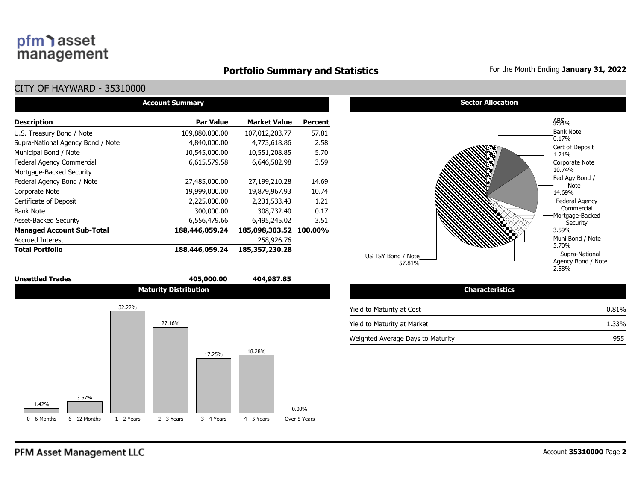#### **Portfolio Summary and Statistics** For the Month Ending January 31, 2022

### CITY OF HAYWARD - 35310000

|                                   | <b>Account Summary</b> |                        |                |  |  |  |  |  |  |  |  |
|-----------------------------------|------------------------|------------------------|----------------|--|--|--|--|--|--|--|--|
| <b>Description</b>                | <b>Par Value</b>       | <b>Market Value</b>    | <b>Percent</b> |  |  |  |  |  |  |  |  |
| U.S. Treasury Bond / Note         | 109,880,000.00         | 107,012,203.77         | 57.81          |  |  |  |  |  |  |  |  |
| Supra-National Agency Bond / Note | 4,840,000.00           | 4,773,618.86           | 2.58           |  |  |  |  |  |  |  |  |
| Municipal Bond / Note             | 10,545,000.00          | 10,551,208.85          | 5.70           |  |  |  |  |  |  |  |  |
| Federal Agency Commercial         | 6,615,579.58           | 6,646,582.98           | 3.59           |  |  |  |  |  |  |  |  |
| Mortgage-Backed Security          |                        |                        |                |  |  |  |  |  |  |  |  |
| Federal Agency Bond / Note        | 27,485,000.00          | 27,199,210.28          | 14.69          |  |  |  |  |  |  |  |  |
| Corporate Note                    | 19,999,000.00          | 19,879,967.93          | 10.74          |  |  |  |  |  |  |  |  |
| Certificate of Deposit            | 2,225,000.00           | 2,231,533.43           | 1.21           |  |  |  |  |  |  |  |  |
| <b>Bank Note</b>                  | 300,000.00             | 308,732.40             | 0.17           |  |  |  |  |  |  |  |  |
| <b>Asset-Backed Security</b>      | 6,556,479.66           | 6,495,245.02           | 3.51           |  |  |  |  |  |  |  |  |
| <b>Managed Account Sub-Total</b>  | 188,446,059.24         | 185,098,303.52 100.00% |                |  |  |  |  |  |  |  |  |
| <b>Accrued Interest</b>           |                        | 258,926.76             |                |  |  |  |  |  |  |  |  |
| <b>Total Portfolio</b>            | 188,446,059.24         | 185,357,230.28         |                |  |  |  |  |  |  |  |  |

#### **Unsettled Trades 405,000.00 404,987.85**





### **Sector Allocation**



| <b>Characteristics</b>            |       |
|-----------------------------------|-------|
| Yield to Maturity at Cost         | 0.81% |
| Yield to Maturity at Market       | 1.33% |
| Weighted Average Days to Maturity | 955   |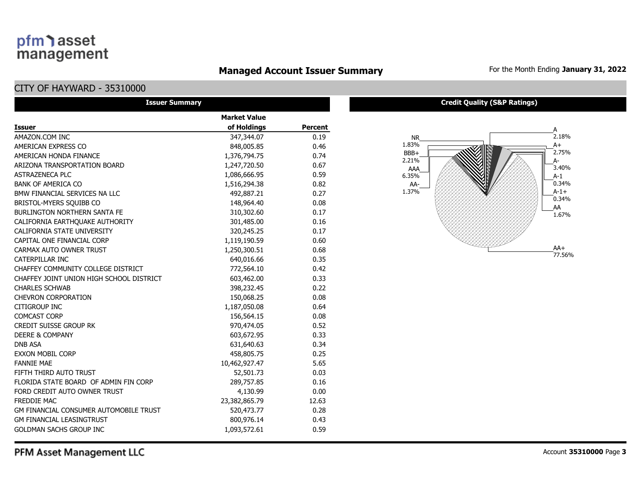### **Managed Account Issuer Summary** For the Month Ending January 31, 2022

#### CITY OF HAYWARD - 35310000

| <b>Issuer Summary</b>                         |                     |                |
|-----------------------------------------------|---------------------|----------------|
|                                               | <b>Market Value</b> |                |
| <b>Issuer</b>                                 | of Holdings         | <b>Percent</b> |
| AMAZON.COM INC                                | 347,344.07          | 0.19           |
| AMERICAN EXPRESS CO                           | 848,005.85          | 0.46           |
| AMERICAN HONDA FINANCE                        | 1,376,794.75        | 0.74           |
| ARIZONA TRANSPORTATION BOARD                  | 1,247,720.50        | 0.67           |
| <b>ASTRAZENECA PLC</b>                        | 1,086,666.95        | 0.59           |
| <b>BANK OF AMERICA CO</b>                     | 1,516,294.38        | 0.82           |
| BMW FINANCIAL SERVICES NA LLC                 | 492,887.21          | 0.27           |
| BRISTOL-MYERS SQUIBB CO                       | 148,964.40          | 0.08           |
| <b>BURLINGTON NORTHERN SANTA FE</b>           | 310,302.60          | 0.17           |
| CALIFORNIA EARTHQUAKE AUTHORITY               | 301,485.00          | 0.16           |
| CALIFORNIA STATE UNIVERSITY                   | 320,245.25          | 0.17           |
| CAPITAL ONE FINANCIAL CORP                    | 1,119,190.59        | 0.60           |
| CARMAX AUTO OWNER TRUST                       | 1,250,300.51        | 0.68           |
| CATERPILLAR INC                               | 640,016.66          | 0.35           |
| CHAFFEY COMMUNITY COLLEGE DISTRICT            | 772,564.10          | 0.42           |
| CHAFFEY JOINT UNION HIGH SCHOOL DISTRICT      | 603,462.00          | 0.33           |
| <b>CHARLES SCHWAB</b>                         | 398,232.45          | 0.22           |
| <b>CHEVRON CORPORATION</b>                    | 150,068.25          | 0.08           |
| <b>CITIGROUP INC</b>                          | 1,187,050.08        | 0.64           |
| <b>COMCAST CORP</b>                           | 156,564.15          | 0.08           |
| <b>CREDIT SUISSE GROUP RK</b>                 | 970,474.05          | 0.52           |
| <b>DEERE &amp; COMPANY</b>                    | 603,672.95          | 0.33           |
| <b>DNB ASA</b>                                | 631,640.63          | 0.34           |
| <b>EXXON MOBIL CORP</b>                       | 458,805.75          | 0.25           |
| <b>FANNIE MAE</b>                             | 10,462,927.47       | 5.65           |
| FIFTH THIRD AUTO TRUST                        | 52,501.73           | 0.03           |
| FLORIDA STATE BOARD OF ADMIN FIN CORP         | 289,757.85          | 0.16           |
| FORD CREDIT AUTO OWNER TRUST                  | 4,130.99            | 0.00           |
| <b>FREDDIE MAC</b>                            | 23,382,865.79       | 12.63          |
| <b>GM FINANCIAL CONSUMER AUTOMOBILE TRUST</b> | 520,473.77          | 0.28           |
| <b>GM FINANCIAL LEASINGTRUST</b>              | 800,976.14          | 0.43           |
| <b>GOLDMAN SACHS GROUP INC</b>                | 1,093,572.61        | 0.59           |



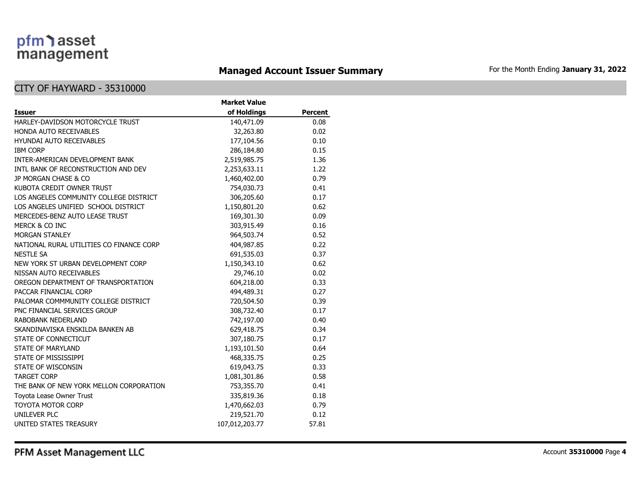### **Managed Account Issuer Summary** For the Month Ending January 31, 2022

#### CITY OF HAYWARD - 35310000

|                                          | <b>Market Value</b> |         |
|------------------------------------------|---------------------|---------|
| <b>Issuer</b>                            | of Holdings         | Percent |
| HARLEY-DAVIDSON MOTORCYCLE TRUST         | 140,471.09          | 0.08    |
| HONDA AUTO RECEIVABLES                   | 32,263.80           | 0.02    |
| <b>HYUNDAI AUTO RECEIVABLES</b>          | 177,104.56          | 0.10    |
| <b>IBM CORP</b>                          | 286,184.80          | 0.15    |
| INTER-AMERICAN DEVELOPMENT BANK          | 2,519,985.75        | 1.36    |
| INTL BANK OF RECONSTRUCTION AND DEV      | 2,253,633.11        | 1.22    |
| JP MORGAN CHASE & CO                     | 1,460,402.00        | 0.79    |
| KUBOTA CREDIT OWNER TRUST                | 754,030.73          | 0.41    |
| LOS ANGELES COMMUNITY COLLEGE DISTRICT   | 306,205.60          | 0.17    |
| LOS ANGELES UNIFIED SCHOOL DISTRICT      | 1,150,801.20        | 0.62    |
| MERCEDES-BENZ AUTO LEASE TRUST           | 169,301.30          | 0.09    |
| MERCK & CO INC                           | 303,915.49          | 0.16    |
| <b>MORGAN STANLEY</b>                    | 964,503.74          | 0.52    |
| NATIONAL RURAL UTILITIES CO FINANCE CORP | 404,987.85          | 0.22    |
| <b>NESTLE SA</b>                         | 691,535.03          | 0.37    |
| NEW YORK ST URBAN DEVELOPMENT CORP       | 1,150,343.10        | 0.62    |
| NISSAN AUTO RECEIVABLES                  | 29,746.10           | 0.02    |
| OREGON DEPARTMENT OF TRANSPORTATION      | 604,218.00          | 0.33    |
| PACCAR FINANCIAL CORP                    | 494,489.31          | 0.27    |
| PALOMAR COMMMUNITY COLLEGE DISTRICT      | 720,504.50          | 0.39    |
| PNC FINANCIAL SERVICES GROUP             | 308,732.40          | 0.17    |
| <b>RABOBANK NEDERLAND</b>                | 742,197.00          | 0.40    |
| SKANDINAVISKA ENSKILDA BANKEN AB         | 629,418.75          | 0.34    |
| STATE OF CONNECTICUT                     | 307,180.75          | 0.17    |
| <b>STATE OF MARYLAND</b>                 | 1,193,101.50        | 0.64    |
| STATE OF MISSISSIPPI                     | 468,335.75          | 0.25    |
| STATE OF WISCONSIN                       | 619,043.75          | 0.33    |
| <b>TARGET CORP</b>                       | 1,081,301.86        | 0.58    |
| THE BANK OF NEW YORK MELLON CORPORATION  | 753,355.70          | 0.41    |
| Toyota Lease Owner Trust                 | 335,819.36          | 0.18    |
| <b>TOYOTA MOTOR CORP</b>                 | 1,470,662.03        | 0.79    |
| UNILEVER PLC                             | 219,521.70          | 0.12    |
| UNITED STATES TREASURY                   | 107,012,203.77      | 57.81   |

PFM Asset Management LLC

Account **35310000** Page **4**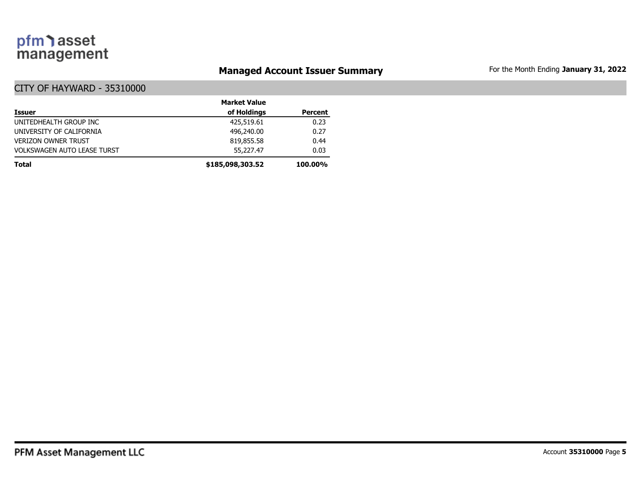### **Managed Account Issuer Summary** For the Month Ending January 31, 2022

|                                    | <b>Market Value</b> |                |
|------------------------------------|---------------------|----------------|
| <b>Issuer</b>                      | of Holdings         | <b>Percent</b> |
| UNITEDHEALTH GROUP INC             | 425,519.61          | 0.23           |
| UNIVERSITY OF CALIFORNIA           | 496,240,00          | 0.27           |
| <b>VERIZON OWNER TRUST</b>         | 819,855.58          | 0.44           |
| <b>VOLKSWAGEN AUTO LEASE TURST</b> | 55,227.47           | 0.03           |
| <b>Total</b>                       | \$185,098,303.52    | <b>100.00%</b> |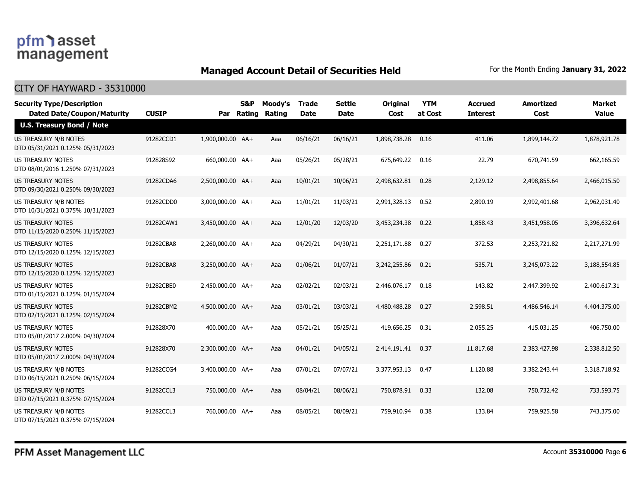### **Managed Account Detail of Securities Held** For the Month Ending January 31, 2022

| <b>Security Type/Description</b>                                 |              |                  | S&P    | Moody's | <b>Trade</b> | <b>Settle</b> | <b>Original</b> | <b>YTM</b> | Accrued         | <b>Amortized</b> | <b>Market</b> |
|------------------------------------------------------------------|--------------|------------------|--------|---------|--------------|---------------|-----------------|------------|-----------------|------------------|---------------|
| <b>Dated Date/Coupon/Maturity</b>                                | <b>CUSIP</b> | Par              | Rating | Rating  | Date         | <b>Date</b>   | Cost            | at Cost    | <b>Interest</b> | Cost             | <b>Value</b>  |
| <b>U.S. Treasury Bond / Note</b>                                 |              |                  |        |         |              |               |                 |            |                 |                  |               |
| <b>US TREASURY N/B NOTES</b><br>DTD 05/31/2021 0.125% 05/31/2023 | 91282CCD1    | 1,900,000.00 AA+ |        | Aaa     | 06/16/21     | 06/16/21      | 1,898,738.28    | 0.16       | 411.06          | 1,899,144.72     | 1,878,921.78  |
| US TREASURY NOTES<br>DTD 08/01/2016 1.250% 07/31/2023            | 912828S92    | 660,000.00 AA+   |        | Aaa     | 05/26/21     | 05/28/21      | 675,649.22      | 0.16       | 22.79           | 670,741.59       | 662,165.59    |
| <b>US TREASURY NOTES</b><br>DTD 09/30/2021 0.250% 09/30/2023     | 91282CDA6    | 2,500,000.00 AA+ |        | Aaa     | 10/01/21     | 10/06/21      | 2,498,632.81    | 0.28       | 2,129.12        | 2,498,855.64     | 2,466,015.50  |
| US TREASURY N/B NOTES<br>DTD 10/31/2021 0.375% 10/31/2023        | 91282CDD0    | 3,000,000.00 AA+ |        | Aaa     | 11/01/21     | 11/03/21      | 2,991,328.13    | 0.52       | 2,890.19        | 2,992,401.68     | 2,962,031.40  |
| <b>US TREASURY NOTES</b><br>DTD 11/15/2020 0.250% 11/15/2023     | 91282CAW1    | 3,450,000.00 AA+ |        | Aaa     | 12/01/20     | 12/03/20      | 3,453,234.38    | 0.22       | 1,858.43        | 3,451,958.05     | 3,396,632.64  |
| <b>US TREASURY NOTES</b><br>DTD 12/15/2020 0.125% 12/15/2023     | 91282CBA8    | 2,260,000.00 AA+ |        | Aaa     | 04/29/21     | 04/30/21      | 2,251,171.88    | 0.27       | 372.53          | 2,253,721.82     | 2,217,271.99  |
| US TREASURY NOTES<br>DTD 12/15/2020 0.125% 12/15/2023            | 91282CBA8    | 3,250,000.00 AA+ |        | Aaa     | 01/06/21     | 01/07/21      | 3,242,255.86    | 0.21       | 535.71          | 3,245,073.22     | 3,188,554.85  |
| US TREASURY NOTES<br>DTD 01/15/2021 0.125% 01/15/2024            | 91282CBE0    | 2,450,000.00 AA+ |        | Aaa     | 02/02/21     | 02/03/21      | 2,446,076.17    | 0.18       | 143.82          | 2,447,399.92     | 2,400,617.31  |
| <b>US TREASURY NOTES</b><br>DTD 02/15/2021 0.125% 02/15/2024     | 91282CBM2    | 4,500,000.00 AA+ |        | Aaa     | 03/01/21     | 03/03/21      | 4,480,488.28    | 0.27       | 2,598.51        | 4,486,546.14     | 4,404,375.00  |
| <b>US TREASURY NOTES</b><br>DTD 05/01/2017 2.000% 04/30/2024     | 912828X70    | 400,000,00 AA+   |        | Aaa     | 05/21/21     | 05/25/21      | 419,656.25      | 0.31       | 2,055.25        | 415,031.25       | 406,750.00    |
| <b>US TREASURY NOTES</b><br>DTD 05/01/2017 2.000% 04/30/2024     | 912828X70    | 2,300,000.00 AA+ |        | Aaa     | 04/01/21     | 04/05/21      | 2,414,191.41    | 0.37       | 11,817.68       | 2,383,427.98     | 2,338,812.50  |
| US TREASURY N/B NOTES<br>DTD 06/15/2021 0.250% 06/15/2024        | 91282CCG4    | 3,400,000.00 AA+ |        | Aaa     | 07/01/21     | 07/07/21      | 3,377,953.13    | 0.47       | 1,120.88        | 3,382,243.44     | 3,318,718.92  |
| US TREASURY N/B NOTES<br>DTD 07/15/2021 0.375% 07/15/2024        | 91282CCL3    | 750,000.00 AA+   |        | Aaa     | 08/04/21     | 08/06/21      | 750,878.91      | 0.33       | 132.08          | 750,732.42       | 733,593.75    |
| US TREASURY N/B NOTES<br>DTD 07/15/2021 0.375% 07/15/2024        | 91282CCL3    | 760,000.00 AA+   |        | Aaa     | 08/05/21     | 08/09/21      | 759,910.94      | 0.38       | 133.84          | 759,925.58       | 743,375.00    |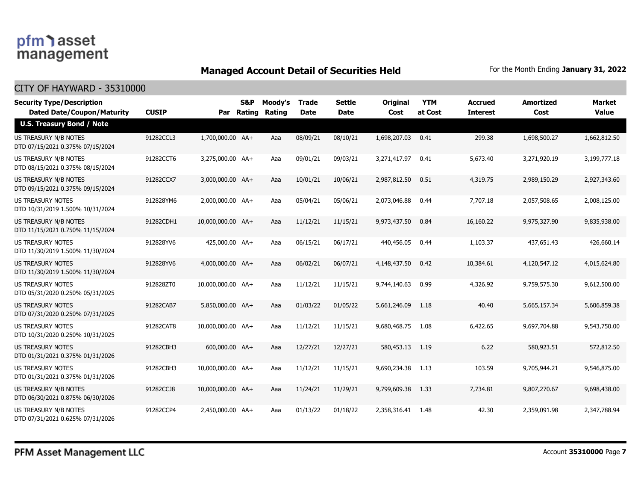### **Managed Account Detail of Securities Held** For the Month Ending January 31, 2022

| <b>Security Type/Description</b><br><b>Dated Date/Coupon/Maturity</b> | <b>CUSIP</b> |                   | S&P<br>Par Rating | Moody's<br>Rating | <b>Trade</b><br><b>Date</b> | <b>Settle</b><br><b>Date</b> | <b>Original</b><br>Cost | <b>YTM</b><br>at Cost | <b>Accrued</b><br><b>Interest</b> | <b>Amortized</b><br>Cost | <b>Market</b><br><b>Value</b> |
|-----------------------------------------------------------------------|--------------|-------------------|-------------------|-------------------|-----------------------------|------------------------------|-------------------------|-----------------------|-----------------------------------|--------------------------|-------------------------------|
| <b>U.S. Treasury Bond / Note</b>                                      |              |                   |                   |                   |                             |                              |                         |                       |                                   |                          |                               |
| <b>US TREASURY N/B NOTES</b><br>DTD 07/15/2021 0.375% 07/15/2024      | 91282CCL3    | 1,700,000.00 AA+  |                   | Aaa               | 08/09/21                    | 08/10/21                     | 1,698,207.03            | 0.41                  | 299.38                            | 1,698,500.27             | 1,662,812.50                  |
| US TREASURY N/B NOTES<br>DTD 08/15/2021 0.375% 08/15/2024             | 91282CCT6    | 3,275,000.00 AA+  |                   | Aaa               | 09/01/21                    | 09/03/21                     | 3,271,417.97            | 0.41                  | 5,673.40                          | 3,271,920.19             | 3,199,777.18                  |
| US TREASURY N/B NOTES<br>DTD 09/15/2021 0.375% 09/15/2024             | 91282CCX7    | 3,000,000.00 AA+  |                   | Aaa               | 10/01/21                    | 10/06/21                     | 2,987,812.50            | 0.51                  | 4,319.75                          | 2,989,150.29             | 2,927,343.60                  |
| <b>US TREASURY NOTES</b><br>DTD 10/31/2019 1.500% 10/31/2024          | 912828YM6    | 2,000,000.00 AA+  |                   | Aaa               | 05/04/21                    | 05/06/21                     | 2,073,046.88            | 0.44                  | 7,707.18                          | 2,057,508.65             | 2,008,125.00                  |
| <b>US TREASURY N/B NOTES</b><br>DTD 11/15/2021 0.750% 11/15/2024      | 91282CDH1    | 10,000,000.00 AA+ |                   | Aaa               | 11/12/21                    | 11/15/21                     | 9,973,437.50            | 0.84                  | 16,160.22                         | 9,975,327.90             | 9,835,938,00                  |
| <b>US TREASURY NOTES</b><br>DTD 11/30/2019 1.500% 11/30/2024          | 912828YV6    | 425,000.00 AA+    |                   | Aaa               | 06/15/21                    | 06/17/21                     | 440,456.05              | 0.44                  | 1,103.37                          | 437,651.43               | 426,660.14                    |
| <b>US TREASURY NOTES</b><br>DTD 11/30/2019 1.500% 11/30/2024          | 912828YV6    | 4,000,000.00 AA+  |                   | Aaa               | 06/02/21                    | 06/07/21                     | 4,148,437.50            | 0.42                  | 10,384.61                         | 4,120,547.12             | 4,015,624.80                  |
| <b>US TREASURY NOTES</b><br>DTD 05/31/2020 0.250% 05/31/2025          | 912828ZT0    | 10,000,000.00 AA+ |                   | Aaa               | 11/12/21                    | 11/15/21                     | 9,744,140.63            | 0.99                  | 4,326.92                          | 9,759,575.30             | 9,612,500.00                  |
| US TREASURY NOTES<br>DTD 07/31/2020 0.250% 07/31/2025                 | 91282CAB7    | 5,850,000.00 AA+  |                   | Aaa               | 01/03/22                    | 01/05/22                     | 5,661,246.09            | 1.18                  | 40.40                             | 5,665,157.34             | 5,606,859.38                  |
| <b>US TREASURY NOTES</b><br>DTD 10/31/2020 0.250% 10/31/2025          | 91282CAT8    | 10,000,000.00 AA+ |                   | Aaa               | 11/12/21                    | 11/15/21                     | 9,680,468.75            | 1.08                  | 6,422.65                          | 9,697,704.88             | 9,543,750.00                  |
| <b>US TREASURY NOTES</b><br>DTD 01/31/2021 0.375% 01/31/2026          | 91282CBH3    | 600,000.00 AA+    |                   | Aaa               | 12/27/21                    | 12/27/21                     | 580,453.13              | 1.19                  | 6.22                              | 580,923.51               | 572,812.50                    |
| <b>US TREASURY NOTES</b><br>DTD 01/31/2021 0.375% 01/31/2026          | 91282CBH3    | 10,000,000.00 AA+ |                   | Aaa               | 11/12/21                    | 11/15/21                     | 9,690,234.38            | 1.13                  | 103.59                            | 9,705,944.21             | 9,546,875.00                  |
| <b>US TREASURY N/B NOTES</b><br>DTD 06/30/2021 0.875% 06/30/2026      | 91282CCJ8    | 10,000,000.00 AA+ |                   | Aaa               | 11/24/21                    | 11/29/21                     | 9,799,609.38            | 1.33                  | 7,734.81                          | 9,807,270.67             | 9,698,438.00                  |
| <b>US TREASURY N/B NOTES</b><br>DTD 07/31/2021 0.625% 07/31/2026      | 91282CCP4    | 2,450,000.00 AA+  |                   | Aaa               | 01/13/22                    | 01/18/22                     | 2,358,316.41            | 1.48                  | 42.30                             | 2,359,091.98             | 2,347,788.94                  |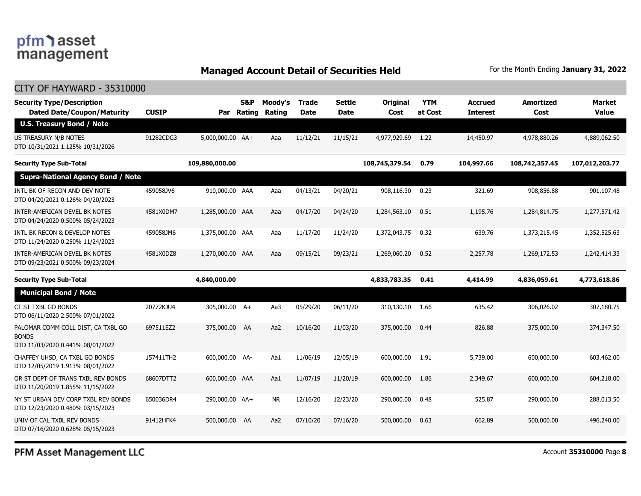### **Managed Account Detail of Securities Held** For the Month Ending January 31, 2022

| CITY OF HAYWARD - 35310000                                                             |              |                  |                          |                   |               |                              |                  |                       |                                   |                          |                               |
|----------------------------------------------------------------------------------------|--------------|------------------|--------------------------|-------------------|---------------|------------------------------|------------------|-----------------------|-----------------------------------|--------------------------|-------------------------------|
| <b>Security Type/Description</b><br><b>Dated Date/Coupon/Maturity</b>                  | <b>CUSIP</b> | Par              | <b>S&amp;P</b><br>Rating | Moody's<br>Rating | Trade<br>Date | <b>Settle</b><br><b>Date</b> | Original<br>Cost | <b>YTM</b><br>at Cost | <b>Accrued</b><br><b>Interest</b> | <b>Amortized</b><br>Cost | <b>Market</b><br><b>Value</b> |
| <b>U.S. Treasury Bond / Note</b>                                                       |              |                  |                          |                   |               |                              |                  |                       |                                   |                          |                               |
| US TREASURY N/B NOTES<br>DTD 10/31/2021 1.125% 10/31/2026                              | 91282CDG3    | 5,000,000.00 AA+ |                          | Aaa               | 11/12/21      | 11/15/21                     | 4,977,929.69     | 1.22                  | 14,450.97                         | 4,978,880.26             | 4,889,062.50                  |
| <b>Security Type Sub-Total</b>                                                         |              | 109,880,000.00   |                          |                   |               |                              | 108,745,379.54   | 0.79                  | 104,997.66                        | 108,742,357.45           | 107,012,203.77                |
| <b>Supra-National Agency Bond / Note</b>                                               |              |                  |                          |                   |               |                              |                  |                       |                                   |                          |                               |
| INTL BK OF RECON AND DEV NOTE<br>DTD 04/20/2021 0.126% 04/20/2023                      | 459058JV6    | 910,000.00 AAA   |                          | Aaa               | 04/13/21      | 04/20/21                     | 908,116.30       | 0.23                  | 321.69                            | 908,856.88               | 901,107.48                    |
| INTER-AMERICAN DEVEL BK NOTES<br>DTD 04/24/2020 0.500% 05/24/2023                      | 4581X0DM7    | 1,285,000.00 AAA |                          | Aaa               | 04/17/20      | 04/24/20                     | 1,284,563.10     | 0.51                  | 1,195.76                          | 1,284,814.75             | 1,277,571.42                  |
| INTL BK RECON & DEVELOP NOTES<br>DTD 11/24/2020 0.250% 11/24/2023                      | 459058JM6    | 1,375,000.00 AAA |                          | Aaa               | 11/17/20      | 11/24/20                     | 1,372,043.75     | 0.32                  | 639.76                            | 1,373,215.45             | 1,352,525.63                  |
| INTER-AMERICAN DEVEL BK NOTES<br>DTD 09/23/2021 0.500% 09/23/2024                      | 4581X0DZ8    | 1,270,000.00 AAA |                          | Aaa               | 09/15/21      | 09/23/21                     | 1,269,060.20     | 0.52                  | 2,257.78                          | 1,269,172.53             | 1,242,414.33                  |
| <b>Security Type Sub-Total</b>                                                         |              | 4,840,000.00     |                          |                   |               |                              | 4,833,783.35     | 0.41                  | 4,414.99                          | 4,836,059.61             | 4,773,618.86                  |
| <b>Municipal Bond / Note</b>                                                           |              |                  |                          |                   |               |                              |                  |                       |                                   |                          |                               |
| CT ST TXBL GO BONDS<br>DTD 06/11/2020 2.500% 07/01/2022                                | 20772KJU4    | 305,000.00 A+    |                          | Aa3               | 05/29/20      | 06/11/20                     | 310,130.10       | 1.66                  | 635.42                            | 306,026.02               | 307,180.75                    |
| PALOMAR COMM COLL DIST, CA TXBL GO<br><b>BONDS</b><br>DTD 11/03/2020 0.441% 08/01/2022 | 697511EZ2    | 375,000.00 AA    |                          | Aa2               | 10/16/20      | 11/03/20                     | 375,000.00       | 0.44                  | 826.88                            | 375,000.00               | 374,347.50                    |
| CHAFFEY UHSD, CA TXBL GO BONDS<br>DTD 12/05/2019 1.913% 08/01/2022                     | 157411TH2    | 600,000.00 AA-   |                          | Aa1               | 11/06/19      | 12/05/19                     | 600,000.00       | 1.91                  | 5,739.00                          | 600,000.00               | 603,462.00                    |
| OR ST DEPT OF TRANS TXBL REV BONDS<br>DTD 11/20/2019 1.855% 11/15/2022                 | 68607DTT2    | 600,000.00 AAA   |                          | Aa1               | 11/07/19      | 11/20/19                     | 600,000.00       | 1.86                  | 2,349.67                          | 600,000.00               | 604,218.00                    |
| NY ST URBAN DEV CORP TXBL REV BONDS<br>DTD 12/23/2020 0.480% 03/15/2023                | 650036DR4    | 290,000.00 AA+   |                          | NR                | 12/16/20      | 12/23/20                     | 290,000.00       | 0.48                  | 525.87                            | 290,000,00               | 288,013.50                    |
| UNIV OF CAL TXBL REV BONDS<br>DTD 07/16/2020 0.628% 05/15/2023                         | 91412HFK4    | 500,000.00 AA    |                          | Aa2               | 07/10/20      | 07/16/20                     | 500,000.00       | 0.63                  | 662.89                            | 500,000.00               | 496,240.00                    |
|                                                                                        |              |                  |                          |                   |               |                              |                  |                       |                                   |                          |                               |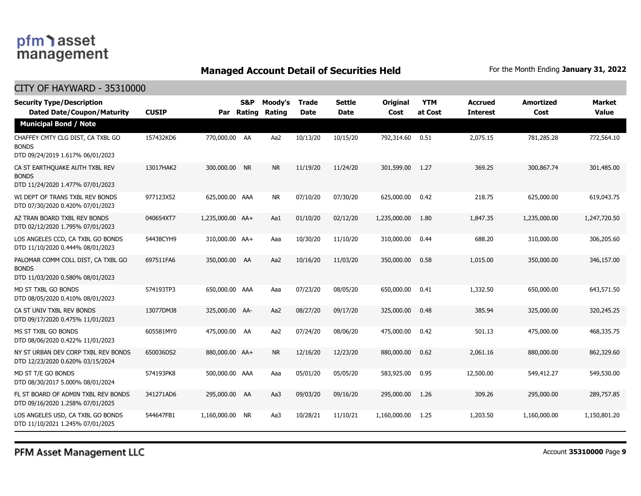### **Managed Account Detail of Securities Held** For the Month Ending January 31, 2022

#### CITY OF HAYWARD - 35310000

| <b>Security Type/Description</b><br><b>Dated Date/Coupon/Maturity</b>                  | <b>CUSIP</b> | Par              | <b>S&amp;P</b><br>Rating | Moody's<br><b>Rating</b> | <b>Trade</b><br><b>Date</b> | <b>Settle</b><br><b>Date</b> | Original<br>Cost | <b>YTM</b><br>at Cost | <b>Accrued</b><br><b>Interest</b> | <b>Amortized</b><br>Cost | <b>Market</b><br><b>Value</b> |
|----------------------------------------------------------------------------------------|--------------|------------------|--------------------------|--------------------------|-----------------------------|------------------------------|------------------|-----------------------|-----------------------------------|--------------------------|-------------------------------|
| <b>Municipal Bond / Note</b>                                                           |              |                  |                          |                          |                             |                              |                  |                       |                                   |                          |                               |
| CHAFFEY CMTY CLG DIST, CA TXBL GO<br><b>BONDS</b><br>DTD 09/24/2019 1.617% 06/01/2023  | 157432KD6    | 770,000.00 AA    |                          | Aa2                      | 10/13/20                    | 10/15/20                     | 792,314.60       | 0.51                  | 2,075.15                          | 781,285.28               | 772,564.10                    |
| CA ST EARTHQUAKE AUTH TXBL REV<br><b>BONDS</b><br>DTD 11/24/2020 1.477% 07/01/2023     | 13017HAK2    | 300,000.00 NR    |                          | <b>NR</b>                | 11/19/20                    | 11/24/20                     | 301,599.00       | 1.27                  | 369.25                            | 300,867.74               | 301,485.00                    |
| WI DEPT OF TRANS TXBL REV BONDS<br>DTD 07/30/2020 0.420% 07/01/2023                    | 977123X52    | 625,000.00 AAA   |                          | <b>NR</b>                | 07/10/20                    | 07/30/20                     | 625,000.00       | 0.42                  | 218.75                            | 625,000.00               | 619,043.75                    |
| AZ TRAN BOARD TXBL REV BONDS<br>DTD 02/12/2020 1.795% 07/01/2023                       | 040654XT7    | 1,235,000.00 AA+ |                          | Aa1                      | 01/10/20                    | 02/12/20                     | 1,235,000.00     | 1.80                  | 1,847.35                          | 1,235,000.00             | 1,247,720.50                  |
| LOS ANGELES CCD, CA TXBL GO BONDS<br>DTD 11/10/2020 0.444% 08/01/2023                  | 54438CYH9    | 310,000.00 AA+   |                          | Aaa                      | 10/30/20                    | 11/10/20                     | 310,000.00       | 0.44                  | 688.20                            | 310,000.00               | 306,205.60                    |
| PALOMAR COMM COLL DIST, CA TXBL GO<br><b>BONDS</b><br>DTD 11/03/2020 0.580% 08/01/2023 | 697511FA6    | 350,000.00 AA    |                          | Aa2                      | 10/16/20                    | 11/03/20                     | 350,000.00       | 0.58                  | 1,015.00                          | 350,000.00               | 346,157.00                    |
| MD ST TXBL GO BONDS<br>DTD 08/05/2020 0.410% 08/01/2023                                | 574193TP3    | 650,000.00 AAA   |                          | Aaa                      | 07/23/20                    | 08/05/20                     | 650,000.00       | 0.41                  | 1,332.50                          | 650,000.00               | 643,571.50                    |
| CA ST UNIV TXBL REV BONDS<br>DTD 09/17/2020 0.475% 11/01/2023                          | 13077DMJ8    | 325,000.00 AA-   |                          | Aa2                      | 08/27/20                    | 09/17/20                     | 325,000.00       | 0.48                  | 385.94                            | 325,000.00               | 320,245.25                    |
| MS ST TXBL GO BONDS<br>DTD 08/06/2020 0.422% 11/01/2023                                | 605581MY0    | 475,000.00 AA    |                          | Aa2                      | 07/24/20                    | 08/06/20                     | 475,000.00       | 0.42                  | 501.13                            | 475,000.00               | 468,335.75                    |
| NY ST URBAN DEV CORP TXBL REV BONDS<br>DTD 12/23/2020 0.620% 03/15/2024                | 650036DS2    | 880,000.00 AA+   |                          | <b>NR</b>                | 12/16/20                    | 12/23/20                     | 880,000.00       | 0.62                  | 2,061.16                          | 880,000.00               | 862,329.60                    |
| MD ST T/E GO BONDS<br>DTD 08/30/2017 5.000% 08/01/2024                                 | 574193PK8    | 500,000.00 AAA   |                          | Aaa                      | 05/01/20                    | 05/05/20                     | 583,925.00       | 0.95                  | 12,500.00                         | 549,412.27               | 549,530.00                    |
| FL ST BOARD OF ADMIN TXBL REV BONDS<br>DTD 09/16/2020 1.258% 07/01/2025                | 341271AD6    | 295,000.00 AA    |                          | Aa3                      | 09/03/20                    | 09/16/20                     | 295,000.00       | 1.26                  | 309.26                            | 295,000.00               | 289,757.85                    |
| LOS ANGELES USD, CA TXBL GO BONDS<br>DTD 11/10/2021 1.245% 07/01/2025                  | 544647FB1    | 1,160,000.00 NR  |                          | Aa3                      | 10/28/21                    | 11/10/21                     | 1,160,000.00     | 1.25                  | 1,203.50                          | 1,160,000.00             | 1,150,801.20                  |

PFM Asset Management LLC

Account **35310000** Page **9**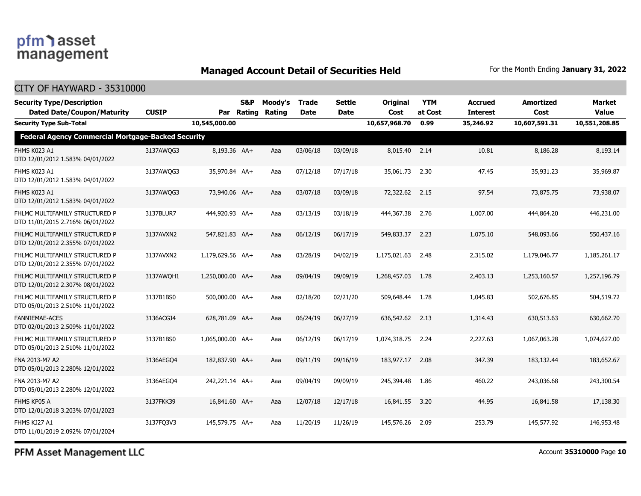### **Managed Account Detail of Securities Held** For the Month Ending January 31, 2022

#### CITY OF HAYWARD - 35310000

| <b>Security Type/Description</b><br><b>Dated Date/Coupon/Maturity</b> | <b>CUSIP</b> |                  | <b>S&amp;P</b><br>Par Rating | Moody's<br>Rating | <b>Trade</b><br><b>Date</b> | Settle<br><b>Date</b> | <b>Original</b><br>Cost | <b>YTM</b><br>at Cost | <b>Accrued</b><br><b>Interest</b> | <b>Amortized</b><br>Cost | Market<br><b>Value</b> |
|-----------------------------------------------------------------------|--------------|------------------|------------------------------|-------------------|-----------------------------|-----------------------|-------------------------|-----------------------|-----------------------------------|--------------------------|------------------------|
| <b>Security Type Sub-Total</b>                                        |              | 10,545,000.00    |                              |                   |                             |                       | 10,657,968.70           | 0.99                  | 35,246.92                         | 10,607,591.31            | 10,551,208.85          |
| <b>Federal Agency Commercial Mortgage-Backed Security</b>             |              |                  |                              |                   |                             |                       |                         |                       |                                   |                          |                        |
| FHMS K023 A1<br>DTD 12/01/2012 1.583% 04/01/2022                      | 3137AWQG3    | 8,193.36 AA+     |                              | Aaa               | 03/06/18                    | 03/09/18              | 8,015.40                | 2.14                  | 10.81                             | 8,186.28                 | 8,193.14               |
| FHMS K023 A1<br>DTD 12/01/2012 1.583% 04/01/2022                      | 3137AWQG3    | 35,970.84 AA+    |                              | Aaa               | 07/12/18                    | 07/17/18              | 35,061.73               | 2.30                  | 47.45                             | 35,931.23                | 35,969.87              |
| FHMS K023 A1<br>DTD 12/01/2012 1.583% 04/01/2022                      | 3137AWQG3    | 73,940.06 AA+    |                              | Aaa               | 03/07/18                    | 03/09/18              | 72,322.62 2.15          |                       | 97.54                             | 73,875,75                | 73,938.07              |
| FHLMC MULTIFAMILY STRUCTURED P<br>DTD 11/01/2015 2.716% 06/01/2022    | 3137BLUR7    | 444,920.93 AA+   |                              | Aaa               | 03/13/19                    | 03/18/19              | 444,367.38              | 2.76                  | 1,007.00                          | 444,864.20               | 446,231.00             |
| FHLMC MULTIFAMILY STRUCTURED P<br>DTD 12/01/2012 2.355% 07/01/2022    | 3137AVXN2    | 547,821,83 AA+   |                              | Aaa               | 06/12/19                    | 06/17/19              | 549,833.37              | 2.23                  | 1.075.10                          | 548,093.66               | 550,437.16             |
| FHLMC MULTIFAMILY STRUCTURED P<br>DTD 12/01/2012 2.355% 07/01/2022    | 3137AVXN2    | 1,179,629.56 AA+ |                              | Aaa               | 03/28/19                    | 04/02/19              | 1,175,021.63            | 2.48                  | 2,315.02                          | 1,179,046.77             | 1,185,261.17           |
| FHLMC MULTIFAMILY STRUCTURED P<br>DTD 12/01/2012 2.307% 08/01/2022    | 3137AWOH1    | 1,250,000.00 AA+ |                              | Aaa               | 09/04/19                    | 09/09/19              | 1,268,457.03            | 1.78                  | 2,403.13                          | 1,253,160.57             | 1,257,196.79           |
| FHLMC MULTIFAMILY STRUCTURED P<br>DTD 05/01/2013 2.510% 11/01/2022    | 3137B1BS0    | 500,000.00 AA+   |                              | Aaa               | 02/18/20                    | 02/21/20              | 509,648.44              | 1.78                  | 1,045.83                          | 502,676.85               | 504,519.72             |
| <b>FANNIEMAE-ACES</b><br>DTD 02/01/2013 2.509% 11/01/2022             | 3136ACGJ4    | 628,781.09 AA+   |                              | Aaa               | 06/24/19                    | 06/27/19              | 636,542.62              | 2.13                  | 1,314.43                          | 630,513.63               | 630,662.70             |
| FHLMC MULTIFAMILY STRUCTURED P<br>DTD 05/01/2013 2.510% 11/01/2022    | 3137B1BS0    | 1,065,000.00 AA+ |                              | Aaa               | 06/12/19                    | 06/17/19              | 1,074,318.75            | 2.24                  | 2,227.63                          | 1,067,063.28             | 1,074,627.00           |
| FNA 2013-M7 A2<br>DTD 05/01/2013 2.280% 12/01/2022                    | 3136AEGO4    | 182,837.90 AA+   |                              | Aaa               | 09/11/19                    | 09/16/19              | 183,977.17              | 2.08                  | 347.39                            | 183,132,44               | 183,652,67             |
| FNA 2013-M7 A2<br>DTD 05/01/2013 2.280% 12/01/2022                    | 3136AEGO4    | 242,221.14 AA+   |                              | Aaa               | 09/04/19                    | 09/09/19              | 245,394.48              | 1.86                  | 460.22                            | 243,036.68               | 243,300.54             |
| FHMS KP05 A<br>DTD 12/01/2018 3.203% 07/01/2023                       | 3137FKK39    | 16.841.60 AA+    |                              | Aaa               | 12/07/18                    | 12/17/18              | 16,841.55               | 3.20                  | 44.95                             | 16,841.58                | 17,138.30              |
| FHMS KJ27 A1<br>DTD 11/01/2019 2.092% 07/01/2024                      | 3137FQ3V3    | 145,579.75 AA+   |                              | Aaa               | 11/20/19                    | 11/26/19              | 145,576.26              | 2.09                  | 253.79                            | 145,577.92               | 146,953.48             |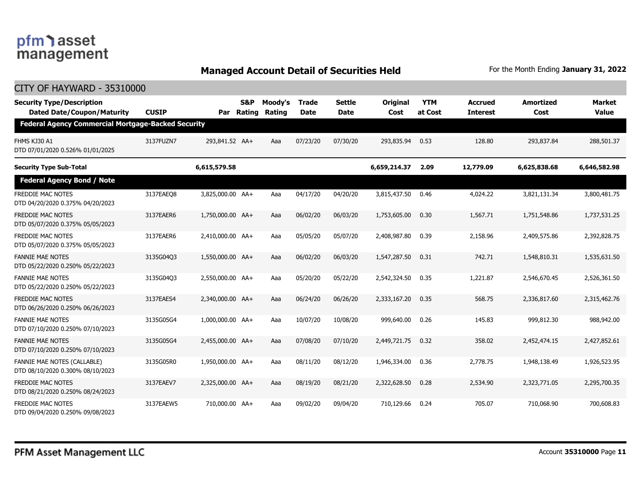### **Managed Account Detail of Securities Held** For the Month Ending January 31, 2022

| <b>CITY OF HAYWARD - 35310000</b>                                      |              |                  |                          |                   |                             |                              |                         |                       |                            |                          |                        |
|------------------------------------------------------------------------|--------------|------------------|--------------------------|-------------------|-----------------------------|------------------------------|-------------------------|-----------------------|----------------------------|--------------------------|------------------------|
| <b>Security Type/Description</b><br><b>Dated Date/Coupon/Maturity</b>  | <b>CUSIP</b> | Par              | <b>S&amp;P</b><br>Rating | Moody's<br>Rating | <b>Trade</b><br><b>Date</b> | <b>Settle</b><br><b>Date</b> | <b>Original</b><br>Cost | <b>YTM</b><br>at Cost | Accrued<br><b>Interest</b> | <b>Amortized</b><br>Cost | Market<br><b>Value</b> |
| <b>Federal Agency Commercial Mortgage-Backed Security</b>              |              |                  |                          |                   |                             |                              |                         |                       |                            |                          |                        |
| FHMS KJ30 A1<br>DTD 07/01/2020 0.526% 01/01/2025                       | 3137FUZN7    | 293,841.52 AA+   |                          | Aaa               | 07/23/20                    | 07/30/20                     | 293,835.94              | 0.53                  | 128.80                     | 293,837,84               | 288,501.37             |
| <b>Security Type Sub-Total</b>                                         |              | 6,615,579.58     |                          |                   |                             |                              | 6,659,214.37            | 2.09                  | 12,779.09                  | 6,625,838.68             | 6,646,582.98           |
| <b>Federal Agency Bond / Note</b>                                      |              |                  |                          |                   |                             |                              |                         |                       |                            |                          |                        |
| FREDDIE MAC NOTES<br>DTD 04/20/2020 0.375% 04/20/2023                  | 3137EAEO8    | 3,825,000.00 AA+ |                          | Aaa               | 04/17/20                    | 04/20/20                     | 3,815,437.50            | 0.46                  | 4,024.22                   | 3,821,131.34             | 3,800,481.75           |
| <b>FREDDIE MAC NOTES</b><br>DTD 05/07/2020 0.375% 05/05/2023           | 3137EAER6    | 1,750,000.00 AA+ |                          | Aaa               | 06/02/20                    | 06/03/20                     | 1,753,605.00            | 0.30                  | 1,567.71                   | 1,751,548.86             | 1,737,531.25           |
| <b>FREDDIE MAC NOTES</b><br>DTD 05/07/2020 0.375% 05/05/2023           | 3137EAER6    | 2,410,000.00 AA+ |                          | Aaa               | 05/05/20                    | 05/07/20                     | 2,408,987.80            | 0.39                  | 2,158.96                   | 2,409,575.86             | 2,392,828.75           |
| <b>FANNIE MAE NOTES</b><br>DTD 05/22/2020 0.250% 05/22/2023            | 3135G04Q3    | 1,550,000.00 AA+ |                          | Aaa               | 06/02/20                    | 06/03/20                     | 1,547,287.50            | 0.31                  | 742.71                     | 1,548,810.31             | 1,535,631.50           |
| <b>FANNIE MAE NOTES</b><br>DTD 05/22/2020 0.250% 05/22/2023            | 3135G04Q3    | 2,550,000.00 AA+ |                          | Aaa               | 05/20/20                    | 05/22/20                     | 2,542,324.50            | 0.35                  | 1,221.87                   | 2,546,670.45             | 2,526,361.50           |
| <b>FREDDIE MAC NOTES</b><br>DTD 06/26/2020 0.250% 06/26/2023           | 3137EAES4    | 2,340,000.00 AA+ |                          | Aaa               | 06/24/20                    | 06/26/20                     | 2,333,167.20            | 0.35                  | 568.75                     | 2,336,817.60             | 2,315,462.76           |
| <b>FANNIE MAE NOTES</b><br>DTD 07/10/2020 0.250% 07/10/2023            | 3135G05G4    | 1,000,000.00 AA+ |                          | Aaa               | 10/07/20                    | 10/08/20                     | 999,640.00              | 0.26                  | 145.83                     | 999,812.30               | 988,942.00             |
| <b>FANNIE MAE NOTES</b><br>DTD 07/10/2020 0.250% 07/10/2023            | 3135G05G4    | 2,455,000.00 AA+ |                          | Aaa               | 07/08/20                    | 07/10/20                     | 2,449,721.75            | 0.32                  | 358.02                     | 2,452,474.15             | 2,427,852.61           |
| <b>FANNIE MAE NOTES (CALLABLE)</b><br>DTD 08/10/2020 0.300% 08/10/2023 | 3135G05R0    | 1,950,000.00 AA+ |                          | Aaa               | 08/11/20                    | 08/12/20                     | 1,946,334.00            | 0.36                  | 2,778.75                   | 1,948,138.49             | 1,926,523.95           |
| <b>FREDDIE MAC NOTES</b><br>DTD 08/21/2020 0.250% 08/24/2023           | 3137EAEV7    | 2.325.000.00 AA+ |                          | Aaa               | 08/19/20                    | 08/21/20                     | 2,322,628.50            | 0.28                  | 2,534.90                   | 2,323,771.05             | 2,295,700.35           |
| <b>FREDDIE MAC NOTES</b><br>DTD 09/04/2020 0.250% 09/08/2023           | 3137EAEW5    | 710,000.00 AA+   |                          | Aaa               | 09/02/20                    | 09/04/20                     | 710,129.66              | 0.24                  | 705.07                     | 710,068.90               | 700,608.83             |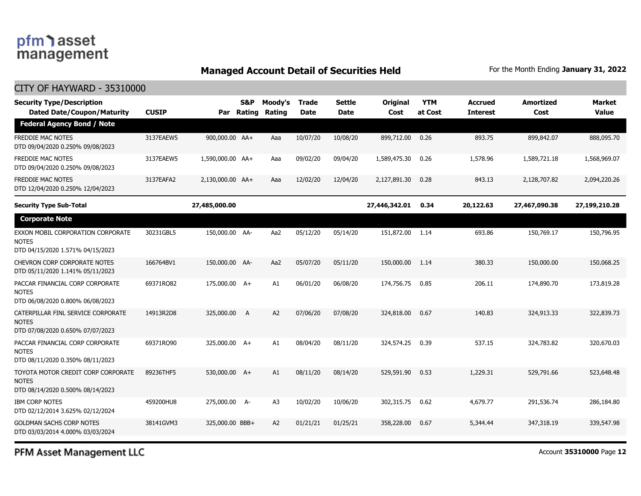### **Managed Account Detail of Securities Held** For the Month Ending January 31, 2022

#### CITY OF HAYWARD - 35310000

| <b>Security Type/Description</b><br><b>Dated Date/Coupon/Maturity</b>                  | <b>CUSIP</b> | Par              | S&P<br>Rating | Moody's<br><b>Rating</b> | <b>Trade</b><br><b>Date</b> | Settle<br>Date | Original<br>Cost | <b>YTM</b><br>at Cost | <b>Accrued</b><br><b>Interest</b> | <b>Amortized</b><br>Cost | <b>Market</b><br><b>Value</b> |
|----------------------------------------------------------------------------------------|--------------|------------------|---------------|--------------------------|-----------------------------|----------------|------------------|-----------------------|-----------------------------------|--------------------------|-------------------------------|
| <b>Federal Agency Bond / Note</b>                                                      |              |                  |               |                          |                             |                |                  |                       |                                   |                          |                               |
| <b>FREDDIE MAC NOTES</b><br>DTD 09/04/2020 0.250% 09/08/2023                           | 3137EAEW5    | 900,000.00 AA+   |               | Aaa                      | 10/07/20                    | 10/08/20       | 899,712.00       | 0.26                  | 893.75                            | 899,842.07               | 888,095.70                    |
| FREDDIE MAC NOTES<br>DTD 09/04/2020 0.250% 09/08/2023                                  | 3137EAEW5    | 1,590,000.00 AA+ |               | Aaa                      | 09/02/20                    | 09/04/20       | 1,589,475.30     | 0.26                  | 1,578.96                          | 1,589,721.18             | 1,568,969.07                  |
| <b>FREDDIE MAC NOTES</b><br>DTD 12/04/2020 0.250% 12/04/2023                           | 3137EAFA2    | 2,130,000.00 AA+ |               | Aaa                      | 12/02/20                    | 12/04/20       | 2,127,891.30     | 0.28                  | 843.13                            | 2,128,707.82             | 2,094,220.26                  |
| <b>Security Type Sub-Total</b>                                                         |              | 27,485,000.00    |               |                          |                             |                | 27,446,342.01    | 0.34                  | 20,122.63                         | 27,467,090.38            | 27,199,210.28                 |
| <b>Corporate Note</b>                                                                  |              |                  |               |                          |                             |                |                  |                       |                                   |                          |                               |
| EXXON MOBIL CORPORATION CORPORATE<br><b>NOTES</b><br>DTD 04/15/2020 1.571% 04/15/2023  | 30231GBL5    | 150,000.00 AA-   |               | Aa2                      | 05/12/20                    | 05/14/20       | 151,872.00 1.14  |                       | 693.86                            | 150,769.17               | 150,796.95                    |
| CHEVRON CORP CORPORATE NOTES<br>DTD 05/11/2020 1.141% 05/11/2023                       | 166764BV1    | 150,000.00 AA-   |               | Aa2                      | 05/07/20                    | 05/11/20       | 150,000.00       | 1.14                  | 380.33                            | 150,000.00               | 150,068.25                    |
| PACCAR FINANCIAL CORP CORPORATE<br><b>NOTES</b><br>DTD 06/08/2020 0.800% 06/08/2023    | 69371RQ82    | 175,000.00 A+    |               | A1                       | 06/01/20                    | 06/08/20       | 174,756.75       | 0.85                  | 206.11                            | 174,890.70               | 173,819.28                    |
| CATERPILLAR FINL SERVICE CORPORATE<br><b>NOTES</b><br>DTD 07/08/2020 0.650% 07/07/2023 | 14913R2D8    | 325,000.00       | A             | A2                       | 07/06/20                    | 07/08/20       | 324,818.00       | 0.67                  | 140.83                            | 324,913.33               | 322,839.73                    |
| PACCAR FINANCIAL CORP CORPORATE<br><b>NOTES</b><br>DTD 08/11/2020 0.350% 08/11/2023    | 69371RQ90    | 325,000.00 A+    |               | A1                       | 08/04/20                    | 08/11/20       | 324,574.25       | 0.39                  | 537.15                            | 324,783.82               | 320,670.03                    |
| TOYOTA MOTOR CREDIT CORP CORPORATE<br><b>NOTES</b><br>DTD 08/14/2020 0.500% 08/14/2023 | 89236THF5    | 530,000.00 A+    |               | A1                       | 08/11/20                    | 08/14/20       | 529,591.90       | 0.53                  | 1,229.31                          | 529,791.66               | 523,648.48                    |
| IBM CORP NOTES<br>DTD 02/12/2014 3.625% 02/12/2024                                     | 459200HU8    | 275,000.00 A-    |               | A <sub>3</sub>           | 10/02/20                    | 10/06/20       | 302,315.75       | 0.62                  | 4,679.77                          | 291,536.74               | 286,184.80                    |
| <b>GOLDMAN SACHS CORP NOTES</b><br>DTD 03/03/2014 4.000% 03/03/2024                    | 38141GVM3    | 325,000.00 BBB+  |               | A <sub>2</sub>           | 01/21/21                    | 01/25/21       | 358,228.00       | 0.67                  | 5,344.44                          | 347,318.19               | 339,547.98                    |

PFM Asset Management LLC

Account **35310000** Page **12**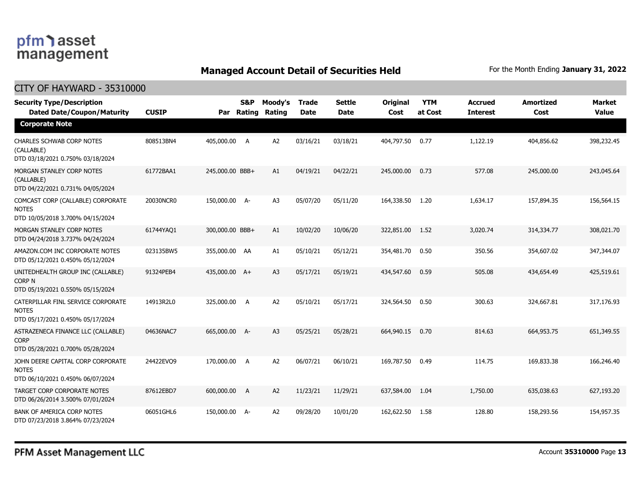### **Managed Account Detail of Securities Held** For the Month Ending January 31, 2022

| <b>CITY OF HAYWARD - 35310000</b>                                                      |              |                 |                          |                   |                             |                              |                         |                       |                                   |                          |                        |
|----------------------------------------------------------------------------------------|--------------|-----------------|--------------------------|-------------------|-----------------------------|------------------------------|-------------------------|-----------------------|-----------------------------------|--------------------------|------------------------|
| <b>Security Type/Description</b><br><b>Dated Date/Coupon/Maturity</b>                  | <b>CUSIP</b> | Par             | <b>S&amp;P</b><br>Rating | Moody's<br>Rating | <b>Trade</b><br><b>Date</b> | <b>Settle</b><br><b>Date</b> | <b>Original</b><br>Cost | <b>YTM</b><br>at Cost | <b>Accrued</b><br><b>Interest</b> | <b>Amortized</b><br>Cost | <b>Market</b><br>Value |
| <b>Corporate Note</b>                                                                  |              |                 |                          |                   |                             |                              |                         |                       |                                   |                          |                        |
| CHARLES SCHWAB CORP NOTES<br>(CALLABLE)<br>DTD 03/18/2021 0.750% 03/18/2024            | 808513BN4    | 405,000.00 A    |                          | A <sub>2</sub>    | 03/16/21                    | 03/18/21                     | 404,797.50              | 0.77                  | 1,122.19                          | 404,856.62               | 398,232.45             |
| MORGAN STANLEY CORP NOTES<br>(CALLABLE)<br>DTD 04/22/2021 0.731% 04/05/2024            | 61772BAA1    | 245,000.00 BBB+ |                          | A1                | 04/19/21                    | 04/22/21                     | 245,000.00              | 0.73                  | 577.08                            | 245,000.00               | 243,045.64             |
| COMCAST CORP (CALLABLE) CORPORATE<br><b>NOTES</b><br>DTD 10/05/2018 3.700% 04/15/2024  | 20030NCR0    | 150,000.00 A-   |                          | A3                | 05/07/20                    | 05/11/20                     | 164,338.50              | 1.20                  | 1,634.17                          | 157,894.35               | 156,564.15             |
| MORGAN STANLEY CORP NOTES<br>DTD 04/24/2018 3.737% 04/24/2024                          | 61744YA01    | 300,000.00 BBB+ |                          | A1                | 10/02/20                    | 10/06/20                     | 322,851.00              | 1.52                  | 3,020.74                          | 314,334.77               | 308,021.70             |
| AMAZON.COM INC CORPORATE NOTES<br>DTD 05/12/2021 0.450% 05/12/2024                     | 023135BW5    | 355,000.00 AA   |                          | A1                | 05/10/21                    | 05/12/21                     | 354,481.70              | 0.50                  | 350.56                            | 354,607.02               | 347,344.07             |
| UNITEDHEALTH GROUP INC (CALLABLE)<br>Corp N<br>DTD 05/19/2021 0.550% 05/15/2024        | 91324PEB4    | 435,000.00 A+   |                          | A <sub>3</sub>    | 05/17/21                    | 05/19/21                     | 434,547.60              | 0.59                  | 505.08                            | 434,654.49               | 425,519.61             |
| CATERPILLAR FINL SERVICE CORPORATE<br><b>NOTES</b><br>DTD 05/17/2021 0.450% 05/17/2024 | 14913R2L0    | 325,000.00 A    |                          | A <sub>2</sub>    | 05/10/21                    | 05/17/21                     | 324,564.50              | 0.50                  | 300.63                            | 324,667.81               | 317,176.93             |
| ASTRAZENECA FINANCE LLC (CALLABLE)<br><b>CORP</b><br>DTD 05/28/2021 0.700% 05/28/2024  | 04636NAC7    | 665,000.00 A-   |                          | A <sub>3</sub>    | 05/25/21                    | 05/28/21                     | 664,940.15              | 0.70                  | 814.63                            | 664,953.75               | 651,349.55             |
| JOHN DEERE CAPITAL CORP CORPORATE<br><b>NOTES</b><br>DTD 06/10/2021 0.450% 06/07/2024  | 24422EVO9    | 170,000.00 A    |                          | A <sub>2</sub>    | 06/07/21                    | 06/10/21                     | 169,787.50              | 0.49                  | 114.75                            | 169,833.38               | 166,246.40             |
| TARGET CORP CORPORATE NOTES<br>DTD 06/26/2014 3.500% 07/01/2024                        | 87612EBD7    | 600,000.00      | A                        | A2                | 11/23/21                    | 11/29/21                     | 637,584.00              | 1.04                  | 1,750.00                          | 635,038.63               | 627,193.20             |
| <b>BANK OF AMERICA CORP NOTES</b><br>DTD 07/23/2018 3.864% 07/23/2024                  | 06051GHL6    | 150,000.00 A-   |                          | A2                | 09/28/20                    | 10/01/20                     | 162,622.50              | 1.58                  | 128.80                            | 158,293.56               | 154,957.35             |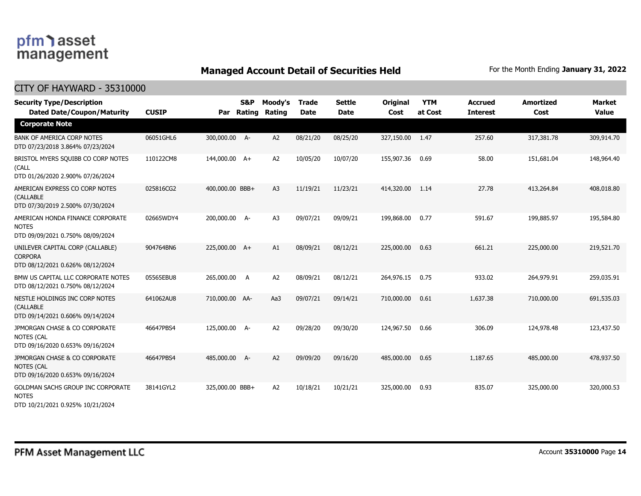### **Managed Account Detail of Securities Held** For the Month Ending January 31, 2022

| <b>Security Type/Description</b><br><b>Dated Date/Coupon/Maturity</b>                  | <b>CUSIP</b> | Par             | S&P<br>Rating | Moody's<br>Rating | <b>Trade</b><br><b>Date</b> | <b>Settle</b><br><b>Date</b> | <b>Original</b><br>Cost | <b>YTM</b><br>at Cost | <b>Accrued</b><br><b>Interest</b> | <b>Amortized</b><br>Cost | Market<br><b>Value</b> |
|----------------------------------------------------------------------------------------|--------------|-----------------|---------------|-------------------|-----------------------------|------------------------------|-------------------------|-----------------------|-----------------------------------|--------------------------|------------------------|
| <b>Corporate Note</b>                                                                  |              |                 |               |                   |                             |                              |                         |                       |                                   |                          |                        |
| <b>BANK OF AMERICA CORP NOTES</b><br>DTD 07/23/2018 3.864% 07/23/2024                  | 06051GHL6    | 300,000.00 A-   |               | A2                | 08/21/20                    | 08/25/20                     | 327,150.00              | 1.47                  | 257.60                            | 317,381.78               | 309,914.70             |
| BRISTOL MYERS SQUIBB CO CORP NOTES<br>(CALL<br>DTD 01/26/2020 2.900% 07/26/2024        | 110122CM8    | 144,000.00 A+   |               | A2                | 10/05/20                    | 10/07/20                     | 155,907.36              | 0.69                  | 58.00                             | 151,681.04               | 148,964.40             |
| AMERICAN EXPRESS CO CORP NOTES<br>(CALLABLE<br>DTD 07/30/2019 2.500% 07/30/2024        | 025816CG2    | 400,000.00 BBB+ |               | A <sub>3</sub>    | 11/19/21                    | 11/23/21                     | 414,320.00              | 1.14                  | 27.78                             | 413,264.84               | 408,018.80             |
| AMERICAN HONDA FINANCE CORPORATE<br><b>NOTES</b><br>DTD 09/09/2021 0.750% 08/09/2024   | 02665WDY4    | 200,000.00 A-   |               | A <sub>3</sub>    | 09/07/21                    | 09/09/21                     | 199,868.00              | 0.77                  | 591.67                            | 199,885.97               | 195,584.80             |
| UNILEVER CAPITAL CORP (CALLABLE)<br><b>CORPORA</b><br>DTD 08/12/2021 0.626% 08/12/2024 | 904764BN6    | 225,000.00 A+   |               | A1                | 08/09/21                    | 08/12/21                     | 225,000.00              | 0.63                  | 661.21                            | 225,000.00               | 219,521.70             |
| BMW US CAPITAL LLC CORPORATE NOTES<br>DTD 08/12/2021 0.750% 08/12/2024                 | 05565EBU8    | 265,000.00      | A             | A2                | 08/09/21                    | 08/12/21                     | 264,976.15              | 0.75                  | 933.02                            | 264,979.91               | 259,035.91             |
| NESTLE HOLDINGS INC CORP NOTES<br>(CALLABLE<br>DTD 09/14/2021 0.606% 09/14/2024        | 641062AU8    | 710,000.00 AA-  |               | Aa3               | 09/07/21                    | 09/14/21                     | 710,000.00              | 0.61                  | 1,637,38                          | 710,000.00               | 691,535.03             |
| JPMORGAN CHASE & CO CORPORATE<br><b>NOTES (CAL</b><br>DTD 09/16/2020 0.653% 09/16/2024 | 46647PBS4    | 125,000.00 A-   |               | A <sub>2</sub>    | 09/28/20                    | 09/30/20                     | 124,967.50              | 0.66                  | 306.09                            | 124,978.48               | 123,437.50             |
| JPMORGAN CHASE & CO CORPORATE<br><b>NOTES (CAL</b><br>DTD 09/16/2020 0.653% 09/16/2024 | 46647PBS4    | 485,000.00      | $A-$          | A <sub>2</sub>    | 09/09/20                    | 09/16/20                     | 485,000.00              | 0.65                  | 1,187.65                          | 485,000.00               | 478,937.50             |
| GOLDMAN SACHS GROUP INC CORPORATE<br><b>NOTES</b><br>DTD 10/21/2021 0.925% 10/21/2024  | 38141GYL2    | 325,000.00 BBB+ |               | A2                | 10/18/21                    | 10/21/21                     | 325,000.00              | 0.93                  | 835.07                            | 325,000.00               | 320,000.53             |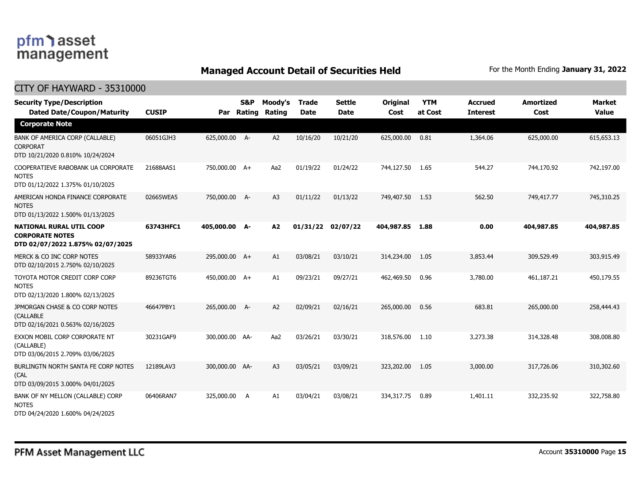### pfm<sup>1</sup>asset management

NOTES

**NOTES** 

NOTES

(CAL

NOTES

CITY OF HAYWARD - 35310000

#### **Managed Account Detail of Securities Held** For the Month Ending January 31, 2022

#### **Dated Date/Coupon/Maturity CUSIP Rating Rating Date Date Cost at Cost Interest Cost Value Security Type/Description S&P Moody's Trade Settle Original YTM Accrued Amortized Market Par Corporate Note** BANK OF AMERICA CORP (CALLABLE) CORPORAT DTD 10/21/2020 0.810% 10/24/2024 06051GJH3 625,000.00 A- A2 10/16/20 10/21/20 625,000.00 0.81 1,364.06 625,000.00 615,653.13 COOPERATIEVE RABOBANK UA CORPORATE DTD 01/12/2022 1.375% 01/10/2025 21688AAS1 750,000.00 A+ Aa2 01/19/22 01/24/22 744,127.50 1.65 544.27 744,170.92 742,197.00 AMERICAN HONDA FINANCE CORPORATE DTD 01/13/2022 1.500% 01/13/2025 02665WEA5 750,000.00 A- A3 01/11/22 01/13/22 749,407.50 1.53 562.50 749,417.77 745,310.25 **NATIONAL RURAL UTIL COOP CORPORATE NOTES DTD 02/07/2022 1.875% 02/07/2025 63743HFC1 405,000.00 A- A2 01/31/22 02/07/22 404,987.85 1.88 0.00 404,987.85 404,987.85**  MERCK & CO INC CORP NOTES DTD 02/10/2015 2.750% 02/10/2025 58933YAR6 295,000.00 A+ A1 03/08/21 03/10/21 314,234.00 1.05 3,853.44 309,529.49 303,915.49 TOYOTA MOTOR CREDIT CORP CORP DTD 02/13/2020 1.800% 02/13/2025 89236TGT6 450,000.00 A+ A1 09/23/21 09/27/21 462,469.50 0.96 3,780.00 461,187.21 450,179.55 JPMORGAN CHASE & CO CORP NOTES (CALLABLE DTD 02/16/2021 0.563% 02/16/2025 46647PBY1 265,000.00 A- A2 02/09/21 02/16/21 265,000.00 0.56 683.81 265,000.00 258,444.43 EXXON MOBIL CORP CORPORATE NT (CALLABLE) DTD 03/06/2015 2.709% 03/06/2025 30231GAF9 300,000.00 AA- Aa2 03/26/21 03/30/21 318,576.00 1.10 3,273.38 314,328.48 308,008.80 BURLINGTN NORTH SANTA FE CORP NOTES DTD 03/09/2015 3.000% 04/01/2025 12189LAV3 300,000.00 AA- A3 03/05/21 03/09/21 323,202.00 1.05 3,000.00 317,726.06 310,302.60 BANK OF NY MELLON (CALLABLE) CORP 06406RAN7 325,000.00 A A1 03/04/21 03/08/21 334,317.75 0.89 1,401.11 332,235.92 322,758.80

DTD 04/24/2020 1.600% 04/24/2025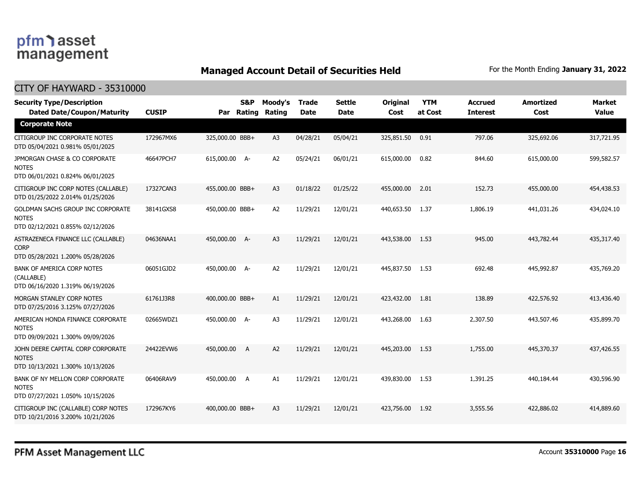### **Managed Account Detail of Securities Held** For the Month Ending January 31, 2022

| <b>Security Type/Description</b><br><b>Dated Date/Coupon/Maturity</b>                 | <b>CUSIP</b> | Par             | S&P<br>Rating | Moody's<br>Rating | <b>Trade</b><br><b>Date</b> | <b>Settle</b><br><b>Date</b> | <b>Original</b><br>Cost | <b>YTM</b><br>at Cost | <b>Accrued</b><br><b>Interest</b> | <b>Amortized</b><br>Cost | <b>Market</b><br><b>Value</b> |
|---------------------------------------------------------------------------------------|--------------|-----------------|---------------|-------------------|-----------------------------|------------------------------|-------------------------|-----------------------|-----------------------------------|--------------------------|-------------------------------|
| <b>Corporate Note</b>                                                                 |              |                 |               |                   |                             |                              |                         |                       |                                   |                          |                               |
| CITIGROUP INC CORPORATE NOTES<br>DTD 05/04/2021 0.981% 05/01/2025                     | 172967MX6    | 325,000.00 BBB+ |               | A <sub>3</sub>    | 04/28/21                    | 05/04/21                     | 325,851.50              | 0.91                  | 797.06                            | 325,692.06               | 317,721.95                    |
| JPMORGAN CHASE & CO CORPORATE<br><b>NOTES</b><br>DTD 06/01/2021 0.824% 06/01/2025     | 46647PCH7    | 615,000.00 A-   |               | A <sub>2</sub>    | 05/24/21                    | 06/01/21                     | 615,000.00              | 0.82                  | 844.60                            | 615,000.00               | 599,582.57                    |
| CITIGROUP INC CORP NOTES (CALLABLE)<br>DTD 01/25/2022 2.014% 01/25/2026               | 17327CAN3    | 455,000.00 BBB+ |               | A <sub>3</sub>    | 01/18/22                    | 01/25/22                     | 455,000,00              | 2.01                  | 152.73                            | 455,000.00               | 454,438.53                    |
| GOLDMAN SACHS GROUP INC CORPORATE<br><b>NOTES</b><br>DTD 02/12/2021 0.855% 02/12/2026 | 38141GXS8    | 450,000.00 BBB+ |               | A2                | 11/29/21                    | 12/01/21                     | 440,653.50              | 1.37                  | 1,806.19                          | 441,031.26               | 434,024.10                    |
| ASTRAZENECA FINANCE LLC (CALLABLE)<br><b>CORP</b><br>DTD 05/28/2021 1.200% 05/28/2026 | 04636NAA1    | 450,000.00 A-   |               | A <sub>3</sub>    | 11/29/21                    | 12/01/21                     | 443,538.00              | 1.53                  | 945.00                            | 443,782,44               | 435,317.40                    |
| BANK OF AMERICA CORP NOTES<br>(CALLABLE)<br>DTD 06/16/2020 1.319% 06/19/2026          | 06051GJD2    | 450,000.00 A-   |               | A <sub>2</sub>    | 11/29/21                    | 12/01/21                     | 445,837.50              | 1.53                  | 692.48                            | 445,992.87               | 435,769.20                    |
| MORGAN STANLEY CORP NOTES<br>DTD 07/25/2016 3.125% 07/27/2026                         | 61761J3R8    | 400,000.00 BBB+ |               | A1                | 11/29/21                    | 12/01/21                     | 423,432.00              | 1.81                  | 138.89                            | 422,576.92               | 413,436.40                    |
| AMERICAN HONDA FINANCE CORPORATE<br><b>NOTES</b><br>DTD 09/09/2021 1.300% 09/09/2026  | 02665WDZ1    | 450,000.00 A-   |               | A <sub>3</sub>    | 11/29/21                    | 12/01/21                     | 443,268.00              | 1.63                  | 2,307.50                          | 443,507.46               | 435,899.70                    |
| JOHN DEERE CAPITAL CORP CORPORATE<br><b>NOTES</b><br>DTD 10/13/2021 1.300% 10/13/2026 | 24422EVW6    | 450,000.00      | A             | A2                | 11/29/21                    | 12/01/21                     | 445,203.00              | 1.53                  | 1,755.00                          | 445,370.37               | 437,426.55                    |
| BANK OF NY MELLON CORP CORPORATE<br><b>NOTES</b><br>DTD 07/27/2021 1.050% 10/15/2026  | 06406RAV9    | 450,000.00      | A             | A1                | 11/29/21                    | 12/01/21                     | 439,830.00              | 1.53                  | 1,391.25                          | 440,184.44               | 430,596.90                    |
| CITIGROUP INC (CALLABLE) CORP NOTES<br>DTD 10/21/2016 3.200% 10/21/2026               | 172967KY6    | 400,000.00 BBB+ |               | A <sub>3</sub>    | 11/29/21                    | 12/01/21                     | 423,756.00              | 1.92                  | 3,555.56                          | 422,886.02               | 414,889.60                    |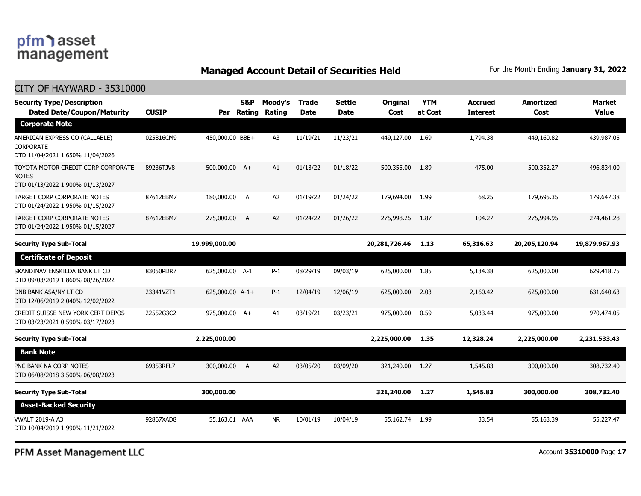### pfm asset management

#### **Managed Account Detail of Securities Held** For the Month Ending January 31, 2022

#### CITY OF HAYWARD - 35310000 **Dated Date/Coupon/Maturity CUSIP Rating Rating Date Date Cost at Cost Interest Cost Value Security Type/Description S&P Moody's Trade Settle Original YTM Accrued Amortized Market Par Corporate Note** AMERICAN EXPRESS CO (CALLABLE) CORPORATE DTD 11/04/2021 1.650% 11/04/2026 025816CM9 450,000.00 BBB+ A3 11/19/21 11/23/21 449,127.00 1.69 1,794.38 449,160.82 439,987.05 TOYOTA MOTOR CREDIT CORP CORPORATE **NOTES** DTD 01/13/2022 1.900% 01/13/2027 89236TJV8 500,000.00 A+ A1 01/13/22 01/18/22 500,355.00 1.89 475.00 500,352.27 496,834.00 TARGET CORP CORPORATE NOTES DTD 01/24/2022 1.950% 01/15/2027 87612EBM7 180,000.00 A A2 01/19/22 01/24/22 179,694.00 1.99 68.25 179,695.35 179,647.38 TARGET CORP CORPORATE NOTES DTD 01/24/2022 1.950% 01/15/2027 87612EBM7 275,000.00 A A2 01/24/22 01/26/22 275,998.25 1.87 104.27 275,994.95 274,461.28 **Security Type Sub-Total 19,999,000.00 20,281,726.46 1.13 65,316.63 20,205,120.94 19,879,967.93 Certificate of Deposit** SKANDINAV ENSKILDA BANK LT CD DTD 09/03/2019 1.860% 08/26/2022 83050PDR7 625,000.00 A-1 P-1 08/29/19 09/03/19 625,000.00 1.85 5,134.38 625,000.00 629,418.75 DNB BANK ASA/NY LT CD DTD 12/06/2019 2.040% 12/02/2022 23341VZT1 625,000.00 A-1+ P-1 12/04/19 12/06/19 625,000.00 2.03 2,160.42 625,000.00 631,640.63 CREDIT SUISSE NEW YORK CERT DEPOS DTD 03/23/2021 0.590% 03/17/2023 22552G3C2 975,000.00 A+ A1 03/19/21 03/23/21 975,000.00 0.59 5,033.44 975,000.00 970,474.05 **Security Type Sub-Total 2,225,000.00 2,225,000.00 1.35 12,328.24 2,225,000.00 2,231,533.43 Bank Note** PNC BANK NA CORP NOTES DTD 06/08/2018 3.500% 06/08/2023 69353RFL7 300,000.00 A A2 03/05/20 03/09/20 321,240.00 1.27 1,545.83 300,000.00 308,732.40 **Security Type Sub-Total 300,000.00 321,240.00 1.27 1,545.83 300,000.00 308,732.40 Asset-Backed Security** VWALT 2019-A A3 DTD 10/04/2019 1.990% 11/21/2022 92867XAD8 55,163.61 AAA NR 10/01/19 10/04/19 55,162.74 1.99 33.54 55,163.39 55,227.47

PFM Asset Management LLC

Account **35310000** Page **17**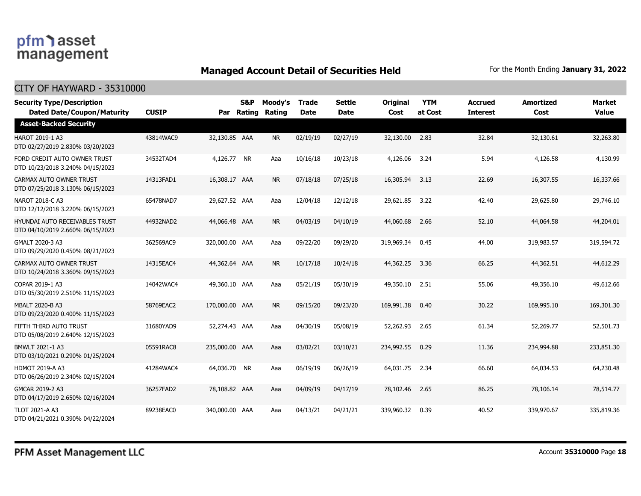### **Managed Account Detail of Securities Held** For the Month Ending January 31, 2022

| <b>Security Type/Description</b><br><b>Dated Date/Coupon/Maturity</b> | <b>CUSIP</b> |                | S&P<br>Par Rating | Moody's<br>Rating | <b>Trade</b><br><b>Date</b> | <b>Settle</b><br><b>Date</b> | <b>Original</b><br>Cost | <b>YTM</b><br>at Cost | <b>Accrued</b><br><b>Interest</b> | <b>Amortized</b><br>Cost | <b>Market</b><br><b>Value</b> |
|-----------------------------------------------------------------------|--------------|----------------|-------------------|-------------------|-----------------------------|------------------------------|-------------------------|-----------------------|-----------------------------------|--------------------------|-------------------------------|
| <b>Asset-Backed Security</b>                                          |              |                |                   |                   |                             |                              |                         |                       |                                   |                          |                               |
| HAROT 2019-1 A3<br>DTD 02/27/2019 2.830% 03/20/2023                   | 43814WAC9    | 32,130.85 AAA  |                   | <b>NR</b>         | 02/19/19                    | 02/27/19                     | 32,130.00               | 2.83                  | 32.84                             | 32,130.61                | 32,263.80                     |
| FORD CREDIT AUTO OWNER TRUST<br>DTD 10/23/2018 3.240% 04/15/2023      | 34532TAD4    | 4,126.77 NR    |                   | Aaa               | 10/16/18                    | 10/23/18                     | 4,126.06                | 3.24                  | 5.94                              | 4,126.58                 | 4,130.99                      |
| CARMAX AUTO OWNER TRUST<br>DTD 07/25/2018 3.130% 06/15/2023           | 14313FAD1    | 16,308.17 AAA  |                   | <b>NR</b>         | 07/18/18                    | 07/25/18                     | 16,305.94               | 3.13                  | 22.69                             | 16,307.55                | 16,337.66                     |
| NAROT 2018-C A3<br>DTD 12/12/2018 3.220% 06/15/2023                   | 65478NAD7    | 29,627.52 AAA  |                   | Aaa               | 12/04/18                    | 12/12/18                     | 29,621.85               | 3.22                  | 42.40                             | 29,625.80                | 29,746.10                     |
| HYUNDAI AUTO RECEIVABLES TRUST<br>DTD 04/10/2019 2.660% 06/15/2023    | 44932NAD2    | 44,066.48 AAA  |                   | <b>NR</b>         | 04/03/19                    | 04/10/19                     | 44,060.68               | 2.66                  | 52.10                             | 44,064.58                | 44,204.01                     |
| GMALT 2020-3 A3<br>DTD 09/29/2020 0.450% 08/21/2023                   | 362569AC9    | 320,000.00 AAA |                   | Aaa               | 09/22/20                    | 09/29/20                     | 319,969.34              | 0.45                  | 44.00                             | 319,983.57               | 319,594.72                    |
| CARMAX AUTO OWNER TRUST<br>DTD 10/24/2018 3.360% 09/15/2023           | 14315EAC4    | 44,362.64 AAA  |                   | <b>NR</b>         | 10/17/18                    | 10/24/18                     | 44,362.25               | 3.36                  | 66.25                             | 44,362.51                | 44,612.29                     |
| COPAR 2019-1 A3<br>DTD 05/30/2019 2.510% 11/15/2023                   | 14042WAC4    | 49,360.10 AAA  |                   | Aaa               | 05/21/19                    | 05/30/19                     | 49,350.10               | 2.51                  | 55.06                             | 49,356.10                | 49,612.66                     |
| <b>MBALT 2020-B A3</b><br>DTD 09/23/2020 0.400% 11/15/2023            | 58769EAC2    | 170,000.00 AAA |                   | <b>NR</b>         | 09/15/20                    | 09/23/20                     | 169,991.38              | 0.40                  | 30.22                             | 169,995.10               | 169,301.30                    |
| FIFTH THIRD AUTO TRUST<br>DTD 05/08/2019 2.640% 12/15/2023            | 31680YAD9    | 52,274.43 AAA  |                   | Aaa               | 04/30/19                    | 05/08/19                     | 52,262.93               | 2.65                  | 61.34                             | 52,269.77                | 52,501.73                     |
| BMWLT 2021-1 A3<br>DTD 03/10/2021 0.290% 01/25/2024                   | 05591RAC8    | 235,000.00 AAA |                   | Aaa               | 03/02/21                    | 03/10/21                     | 234,992.55              | 0.29                  | 11.36                             | 234,994.88               | 233,851.30                    |
| <b>HDMOT 2019-A A3</b><br>DTD 06/26/2019 2.340% 02/15/2024            | 41284WAC4    | 64,036.70 NR   |                   | Aaa               | 06/19/19                    | 06/26/19                     | 64,031.75               | 2.34                  | 66.60                             | 64,034.53                | 64,230.48                     |
| GMCAR 2019-2 A3<br>DTD 04/17/2019 2.650% 02/16/2024                   | 36257FAD2    | 78,108.82 AAA  |                   | Aaa               | 04/09/19                    | 04/17/19                     | 78,102.46               | 2.65                  | 86.25                             | 78,106.14                | 78,514.77                     |
| <b>TLOT 2021-A A3</b><br>DTD 04/21/2021 0.390% 04/22/2024             | 89238EAC0    | 340,000.00 AAA |                   | Aaa               | 04/13/21                    | 04/21/21                     | 339,960.32              | 0.39                  | 40.52                             | 339,970.67               | 335,819.36                    |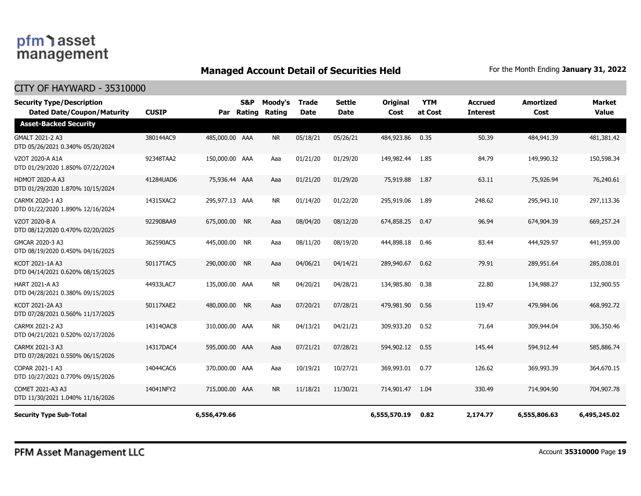### **Managed Account Detail of Securities Held** For the Month Ending January 31, 2022

#### CITY OF HAYWARD - 35310000

| <b>Security Type/Description</b><br><b>Dated Date/Coupon/Maturity</b> | <b>CUSIP</b> | Par            | S&P<br>Rating | Moody's<br>Rating | <b>Trade</b><br><b>Date</b> | <b>Settle</b><br><b>Date</b> | <b>Original</b><br>Cost | <b>YTM</b><br>at Cost | <b>Accrued</b><br><b>Interest</b> | <b>Amortized</b><br>Cost | <b>Market</b><br><b>Value</b> |
|-----------------------------------------------------------------------|--------------|----------------|---------------|-------------------|-----------------------------|------------------------------|-------------------------|-----------------------|-----------------------------------|--------------------------|-------------------------------|
| <b>Asset-Backed Security</b>                                          |              |                |               |                   |                             |                              |                         |                       |                                   |                          |                               |
| GMALT 2021-2 A3<br>DTD 05/26/2021 0.340% 05/20/2024                   | 380144AC9    | 485,000.00 AAA |               | <b>NR</b>         | 05/18/21                    | 05/26/21                     | 484,923.86              | 0.35                  | 50.39                             | 484,941.39               | 481,381.42                    |
| VZOT 2020-A A1A<br>DTD 01/29/2020 1.850% 07/22/2024                   | 92348TAA2    | 150,000.00 AAA |               | Aaa               | 01/21/20                    | 01/29/20                     | 149,982.44              | 1.85                  | 84.79                             | 149,990.32               | 150,598.34                    |
| <b>HDMOT 2020-A A3</b><br>DTD 01/29/2020 1.870% 10/15/2024            | 41284UAD6    | 75,936.44 AAA  |               | Aaa               | 01/21/20                    | 01/29/20                     | 75,919.88               | 1.87                  | 63.11                             | 75,926.94                | 76,240.61                     |
| CARMX 2020-1 A3<br>DTD 01/22/2020 1.890% 12/16/2024                   | 14315XAC2    | 295,977.13 AAA |               | NR.               | 01/14/20                    | 01/22/20                     | 295,919.06              | 1.89                  | 248.62                            | 295,943.10               | 297,113.36                    |
| VZOT 2020-B A<br>DTD 08/12/2020 0.470% 02/20/2025                     | 92290BAA9    | 675,000.00 NR  |               | Aaa               | 08/04/20                    | 08/12/20                     | 674,858.25              | 0.47                  | 96.94                             | 674,904.39               | 669,257.24                    |
| GMCAR 2020-3 A3<br>DTD 08/19/2020 0.450% 04/16/2025                   | 362590AC5    | 445,000.00 NR  |               | Aaa               | 08/11/20                    | 08/19/20                     | 444,898.18              | 0.46                  | 83.44                             | 444,929.97               | 441,959.00                    |
| KCOT 2021-1A A3<br>DTD 04/14/2021 0.620% 08/15/2025                   | 50117TAC5    | 290,000.00     | <b>NR</b>     | Aaa               | 04/06/21                    | 04/14/21                     | 289,940.67              | 0.62                  | 79.91                             | 289,951.64               | 285,038.01                    |
| <b>HART 2021-A A3</b><br>DTD 04/28/2021 0.380% 09/15/2025             | 44933LAC7    | 135,000.00 AAA |               | <b>NR</b>         | 04/20/21                    | 04/28/21                     | 134,985.80              | 0.38                  | 22.80                             | 134,988.27               | 132,900.55                    |
| KCOT 2021-2A A3<br>DTD 07/28/2021 0.560% 11/17/2025                   | 50117XAE2    | 480,000.00 NR  |               | Aaa               | 07/20/21                    | 07/28/21                     | 479,981.90              | 0.56                  | 119.47                            | 479,984.06               | 468,992,72                    |
| CARMX 2021-2 A3<br>DTD 04/21/2021 0.520% 02/17/2026                   | 14314QAC8    | 310,000.00 AAA |               | <b>NR</b>         | 04/13/21                    | 04/21/21                     | 309,933.20              | 0.52                  | 71.64                             | 309,944.04               | 306,350.46                    |
| CARMX 2021-3 A3<br>DTD 07/28/2021 0.550% 06/15/2026                   | 14317DAC4    | 595,000.00 AAA |               | Aaa               | 07/21/21                    | 07/28/21                     | 594,902.12              | 0.55                  | 145.44                            | 594,912.44               | 585,886.74                    |
| COPAR 2021-1 A3<br>DTD 10/27/2021 0.770% 09/15/2026                   | 14044CAC6    | 370,000.00 AAA |               | Aaa               | 10/19/21                    | 10/27/21                     | 369,993.01              | 0.77                  | 126.62                            | 369,993.39               | 364,670.15                    |
| COMET 2021-A3 A3<br>DTD 11/30/2021 1.040% 11/16/2026                  | 14041NFY2    | 715,000.00 AAA |               | <b>NR</b>         | 11/18/21                    | 11/30/21                     | 714,901.47              | 1.04                  | 330.49                            | 714,904.90               | 704,907.78                    |
| <b>Security Type Sub-Total</b>                                        |              | 6,556,479.66   |               |                   |                             |                              | 6,555,570.19            | 0.82                  | 2,174.77                          | 6,555,806.63             | 6,495,245.02                  |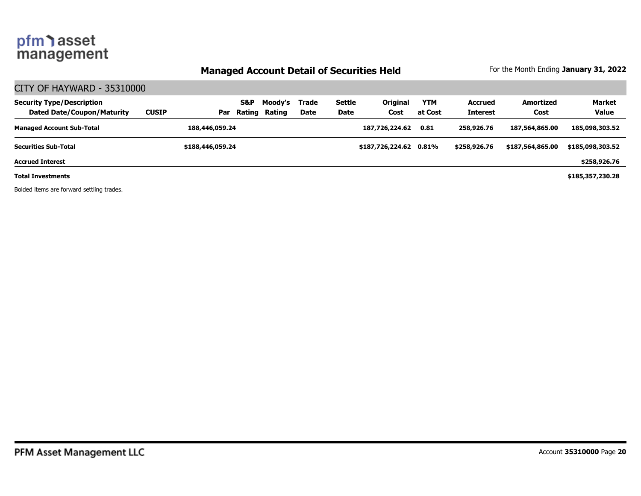### **Managed Account Detail of Securities Held** For the Month Ending January 31, 2022

### CITY OF HAYWARD - 35310000

| <b>Security Type/Description</b><br><b>Dated Date/Coupon/Maturity</b> | <b>CUSIP</b> | Par              | S&P<br>Rating | Moodv's<br>Rating | Trade<br><b>Date</b> | Settle<br>Date | <b>Original</b><br>Cost | <b>YTM</b><br>at Cost | <b>Accrued</b><br><b>Interest</b> | Amortized<br>Cost | <b>Market</b><br><b>Value</b> |
|-----------------------------------------------------------------------|--------------|------------------|---------------|-------------------|----------------------|----------------|-------------------------|-----------------------|-----------------------------------|-------------------|-------------------------------|
| <b>Managed Account Sub-Total</b>                                      |              | 188,446,059.24   |               |                   |                      |                | 187,726,224.62          | 0.81                  | 258,926,76                        | 187,564,865,00    | 185,098,303.52                |
| <b>Securities Sub-Total</b>                                           |              | \$188,446,059.24 |               |                   |                      |                | \$187,726,224.62 0.81%  |                       | \$258,926.76                      | \$187,564,865,00  | \$185,098,303.52              |
| <b>Accrued Interest</b>                                               |              |                  |               |                   |                      |                |                         |                       |                                   |                   | \$258,926.76                  |
| <b>Total Investments</b>                                              |              |                  |               |                   |                      |                |                         |                       |                                   |                   | \$185,357,230.28              |

Bolded items are forward settling trades.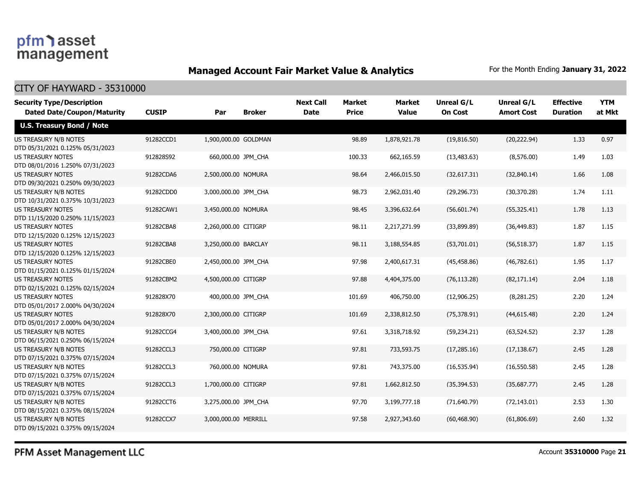### **Managed Account Fair Market Value & Analytics** For the Month Ending January 31, 2022

| <b>Security Type/Description</b><br><b>Dated Date/Coupon/Maturity</b> | <b>CUSIP</b> | Par                  | <b>Broker</b> | <b>Next Call</b><br><b>Date</b> | <b>Market</b><br><b>Price</b> | <b>Market</b><br><b>Value</b> | <b>Unreal G/L</b><br><b>On Cost</b> | Unreal G/L<br><b>Amort Cost</b> | <b>Effective</b><br><b>Duration</b> | <b>YTM</b><br>at Mkt |
|-----------------------------------------------------------------------|--------------|----------------------|---------------|---------------------------------|-------------------------------|-------------------------------|-------------------------------------|---------------------------------|-------------------------------------|----------------------|
| <b>U.S. Treasury Bond / Note</b>                                      |              |                      |               |                                 |                               |                               |                                     |                                 |                                     |                      |
| US TREASURY N/B NOTES<br>DTD 05/31/2021 0.125% 05/31/2023             | 91282CCD1    | 1,900,000.00 GOLDMAN |               |                                 | 98.89                         | 1,878,921.78                  | (19, 816.50)                        | (20, 222.94)                    | 1.33                                | 0.97                 |
| <b>US TREASURY NOTES</b><br>DTD 08/01/2016 1.250% 07/31/2023          | 912828S92    | 660,000.00 JPM_CHA   |               |                                 | 100.33                        | 662,165.59                    | (13, 483.63)                        | (8,576.00)                      | 1.49                                | 1.03                 |
| <b>US TREASURY NOTES</b><br>DTD 09/30/2021 0.250% 09/30/2023          | 91282CDA6    | 2,500,000.00 NOMURA  |               |                                 | 98.64                         | 2,466,015.50                  | (32,617.31)                         | (32,840.14)                     | 1.66                                | 1.08                 |
| US TREASURY N/B NOTES<br>DTD 10/31/2021 0.375% 10/31/2023             | 91282CDD0    | 3,000,000.00 JPM_CHA |               |                                 | 98.73                         | 2,962,031.40                  | (29, 296.73)                        | (30, 370.28)                    | 1.74                                | 1.11                 |
| <b>US TREASURY NOTES</b><br>DTD 11/15/2020 0.250% 11/15/2023          | 91282CAW1    | 3,450,000.00 NOMURA  |               |                                 | 98.45                         | 3,396,632.64                  | (56,601.74)                         | (55, 325.41)                    | 1.78                                | 1.13                 |
| <b>US TREASURY NOTES</b><br>DTD 12/15/2020 0.125% 12/15/2023          | 91282CBA8    | 2,260,000.00 CITIGRP |               |                                 | 98.11                         | 2,217,271.99                  | (33,899.89)                         | (36, 449.83)                    | 1.87                                | 1.15                 |
| <b>US TREASURY NOTES</b><br>DTD 12/15/2020 0.125% 12/15/2023          | 91282CBA8    | 3,250,000.00 BARCLAY |               |                                 | 98.11                         | 3,188,554.85                  | (53,701.01)                         | (56, 518.37)                    | 1.87                                | 1.15                 |
| <b>US TREASURY NOTES</b><br>DTD 01/15/2021 0.125% 01/15/2024          | 91282CBE0    | 2,450,000.00 JPM_CHA |               |                                 | 97.98                         | 2,400,617.31                  | (45, 458.86)                        | (46,782.61)                     | 1.95                                | 1.17                 |
| <b>US TREASURY NOTES</b><br>DTD 02/15/2021 0.125% 02/15/2024          | 91282CBM2    | 4,500,000.00 CITIGRP |               |                                 | 97.88                         | 4,404,375.00                  | (76, 113.28)                        | (82, 171.14)                    | 2.04                                | 1.18                 |
| <b>US TREASURY NOTES</b><br>DTD 05/01/2017 2.000% 04/30/2024          | 912828X70    | 400,000.00 JPM CHA   |               |                                 | 101.69                        | 406,750.00                    | (12,906.25)                         | (8, 281.25)                     | 2.20                                | 1.24                 |
| <b>US TREASURY NOTES</b><br>DTD 05/01/2017 2.000% 04/30/2024          | 912828X70    | 2,300,000.00 CITIGRP |               |                                 | 101.69                        | 2,338,812.50                  | (75, 378.91)                        | (44, 615.48)                    | 2.20                                | 1.24                 |
| US TREASURY N/B NOTES<br>DTD 06/15/2021 0.250% 06/15/2024             | 91282CCG4    | 3,400,000.00 JPM_CHA |               |                                 | 97.61                         | 3,318,718.92                  | (59, 234.21)                        | (63, 524.52)                    | 2.37                                | 1.28                 |
| US TREASURY N/B NOTES<br>DTD 07/15/2021 0.375% 07/15/2024             | 91282CCL3    | 750,000.00 CITIGRP   |               |                                 | 97.81                         | 733,593.75                    | (17, 285.16)                        | (17, 138.67)                    | 2.45                                | 1.28                 |
| US TREASURY N/B NOTES<br>DTD 07/15/2021 0.375% 07/15/2024             | 91282CCL3    | 760,000.00 NOMURA    |               |                                 | 97.81                         | 743,375.00                    | (16, 535.94)                        | (16, 550.58)                    | 2.45                                | 1.28                 |
| US TREASURY N/B NOTES<br>DTD 07/15/2021 0.375% 07/15/2024             | 91282CCL3    | 1,700,000.00 CITIGRP |               |                                 | 97.81                         | 1,662,812.50                  | (35, 394.53)                        | (35,687.77)                     | 2.45                                | 1.28                 |
| US TREASURY N/B NOTES<br>DTD 08/15/2021 0.375% 08/15/2024             | 91282CCT6    | 3,275,000.00 JPM_CHA |               |                                 | 97.70                         | 3,199,777.18                  | (71,640.79)                         | (72, 143.01)                    | 2.53                                | 1.30                 |
| US TREASURY N/B NOTES<br>DTD 09/15/2021 0.375% 09/15/2024             | 91282CCX7    | 3,000,000.00 MERRILL |               |                                 | 97.58                         | 2,927,343.60                  | (60, 468.90)                        | (61,806.69)                     | 2.60                                | 1.32                 |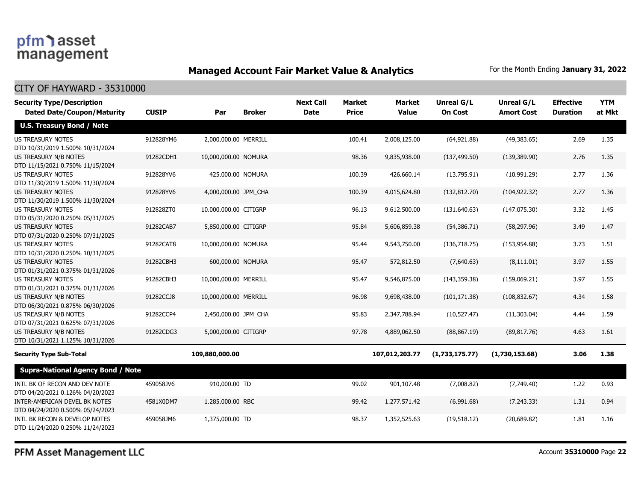### **Managed Account Fair Market Value & Analytics** For the Month Ending January 31, 2022

CITY OF HAYWARD - 35310000

| <b>Security Type/Description</b><br><b>Dated Date/Coupon/Maturity</b> | <b>CUSIP</b> | Par                   | <b>Broker</b> | <b>Next Call</b><br><b>Date</b> | <b>Market</b><br><b>Price</b> | <b>Market</b><br><b>Value</b> | <b>Unreal G/L</b><br><b>On Cost</b> | Unreal G/L<br><b>Amort Cost</b> | <b>Effective</b><br><b>Duration</b> | <b>YTM</b><br>at Mkt |
|-----------------------------------------------------------------------|--------------|-----------------------|---------------|---------------------------------|-------------------------------|-------------------------------|-------------------------------------|---------------------------------|-------------------------------------|----------------------|
| <b>U.S. Treasury Bond / Note</b>                                      |              |                       |               |                                 |                               |                               |                                     |                                 |                                     |                      |
| <b>US TREASURY NOTES</b><br>DTD 10/31/2019 1.500% 10/31/2024          | 912828YM6    | 2,000,000.00 MERRILL  |               |                                 | 100.41                        | 2,008,125.00                  | (64, 921.88)                        | (49, 383.65)                    | 2.69                                | 1.35                 |
| US TREASURY N/B NOTES<br>DTD 11/15/2021 0.750% 11/15/2024             | 91282CDH1    | 10,000,000.00 NOMURA  |               |                                 | 98.36                         | 9,835,938.00                  | (137, 499.50)                       | (139, 389.90)                   | 2.76                                | 1.35                 |
| <b>US TREASURY NOTES</b><br>DTD 11/30/2019 1.500% 11/30/2024          | 912828YV6    | 425,000.00 NOMURA     |               |                                 | 100.39                        | 426,660.14                    | (13,795.91)                         | (10,991.29)                     | 2.77                                | 1.36                 |
| <b>US TREASURY NOTES</b><br>DTD 11/30/2019 1.500% 11/30/2024          | 912828YV6    | 4,000,000.00 JPM_CHA  |               |                                 | 100.39                        | 4,015,624.80                  | (132, 812.70)                       | (104, 922.32)                   | 2.77                                | 1.36                 |
| <b>US TREASURY NOTES</b><br>DTD 05/31/2020 0.250% 05/31/2025          | 912828ZT0    | 10,000,000.00 CITIGRP |               |                                 | 96.13                         | 9,612,500.00                  | (131,640.63)                        | (147, 075.30)                   | 3.32                                | 1.45                 |
| <b>US TREASURY NOTES</b><br>DTD 07/31/2020 0.250% 07/31/2025          | 91282CAB7    | 5,850,000.00 CITIGRP  |               |                                 | 95.84                         | 5,606,859.38                  | (54, 386.71)                        | (58, 297.96)                    | 3.49                                | 1.47                 |
| <b>US TREASURY NOTES</b><br>DTD 10/31/2020 0.250% 10/31/2025          | 91282CAT8    | 10,000,000.00 NOMURA  |               |                                 | 95.44                         | 9,543,750.00                  | (136, 718.75)                       | (153, 954.88)                   | 3.73                                | 1.51                 |
| <b>US TREASURY NOTES</b><br>DTD 01/31/2021 0.375% 01/31/2026          | 91282CBH3    | 600,000.00 NOMURA     |               |                                 | 95.47                         | 572,812.50                    | (7,640.63)                          | (8, 111.01)                     | 3.97                                | 1.55                 |
| <b>US TREASURY NOTES</b><br>DTD 01/31/2021 0.375% 01/31/2026          | 91282CBH3    | 10,000,000.00 MERRILL |               |                                 | 95.47                         | 9,546,875.00                  | (143, 359.38)                       | (159,069.21)                    | 3.97                                | 1.55                 |
| US TREASURY N/B NOTES<br>DTD 06/30/2021 0.875% 06/30/2026             | 91282CCJ8    | 10,000,000.00 MERRILL |               |                                 | 96.98                         | 9,698,438.00                  | (101, 171.38)                       | (108, 832.67)                   | 4.34                                | 1.58                 |
| US TREASURY N/B NOTES<br>DTD 07/31/2021 0.625% 07/31/2026             | 91282CCP4    | 2,450,000.00 JPM_CHA  |               |                                 | 95.83                         | 2,347,788.94                  | (10, 527.47)                        | (11,303.04)                     | 4.44                                | 1.59                 |
| <b>US TREASURY N/B NOTES</b><br>DTD 10/31/2021 1.125% 10/31/2026      | 91282CDG3    | 5,000,000.00 CITIGRP  |               |                                 | 97.78                         | 4,889,062.50                  | (88, 867.19)                        | (89, 817.76)                    | 4.63                                | 1.61                 |
| <b>Security Type Sub-Total</b>                                        |              | 109,880,000.00        |               |                                 |                               | 107,012,203.77                | (1,733,175.77)                      | (1,730,153.68)                  | 3.06                                | 1.38                 |
| <b>Supra-National Agency Bond / Note</b>                              |              |                       |               |                                 |                               |                               |                                     |                                 |                                     |                      |
| INTL BK OF RECON AND DEV NOTE<br>DTD 04/20/2021 0.126% 04/20/2023     | 459058JV6    | 910,000,00 TD         |               |                                 | 99.02                         | 901,107.48                    | (7,008.82)                          | (7,749.40)                      | 1.22                                | 0.93                 |
| INTER-AMERICAN DEVEL BK NOTES<br>DTD 04/24/2020 0.500% 05/24/2023     | 4581X0DM7    | 1,285,000.00 RBC      |               |                                 | 99.42                         | 1,277,571.42                  | (6,991.68)                          | (7, 243.33)                     | 1.31                                | 0.94                 |
| INTL BK RECON & DEVELOP NOTES<br>DTD 11/24/2020 0.250% 11/24/2023     | 459058JM6    | 1,375,000.00 TD       |               |                                 | 98.37                         | 1,352,525.63                  | (19,518.12)                         | (20.689.82)                     | 1.81                                | 1.16                 |

PFM Asset Management LLC

Account **35310000** Page **22**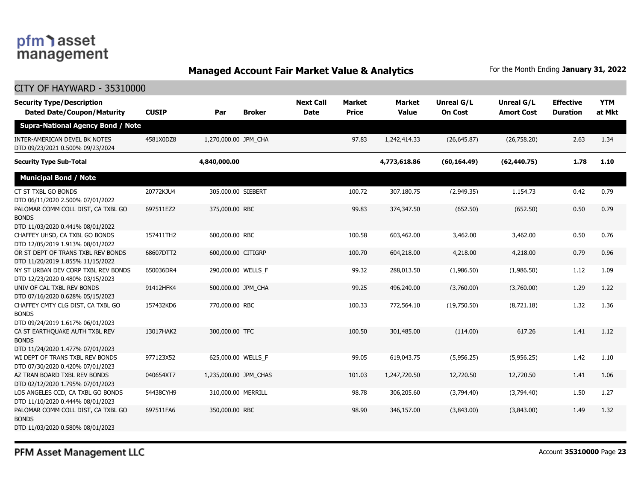# pfm) asset<br>management

### **Managed Account Fair Market Value & Analytics** For the Month Ending January 31, 2022

| <b>CITY OF HAYWARD - 35310000</b>                                                      |              |                       |               |                                 |                               |                               |                                     |                                        |                                     |                      |
|----------------------------------------------------------------------------------------|--------------|-----------------------|---------------|---------------------------------|-------------------------------|-------------------------------|-------------------------------------|----------------------------------------|-------------------------------------|----------------------|
| <b>Security Type/Description</b><br><b>Dated Date/Coupon/Maturity</b>                  | <b>CUSIP</b> | Par                   | <b>Broker</b> | <b>Next Call</b><br><b>Date</b> | <b>Market</b><br><b>Price</b> | <b>Market</b><br><b>Value</b> | <b>Unreal G/L</b><br><b>On Cost</b> | <b>Unreal G/L</b><br><b>Amort Cost</b> | <b>Effective</b><br><b>Duration</b> | <b>YTM</b><br>at Mkt |
| <b>Supra-National Agency Bond / Note</b>                                               |              |                       |               |                                 |                               |                               |                                     |                                        |                                     |                      |
| INTER-AMERICAN DEVEL BK NOTES<br>DTD 09/23/2021 0.500% 09/23/2024                      | 4581X0DZ8    | 1,270,000.00 JPM_CHA  |               |                                 | 97.83                         | 1,242,414.33                  | (26, 645.87)                        | (26,758.20)                            | 2.63                                | 1.34                 |
| <b>Security Type Sub-Total</b>                                                         |              | 4,840,000.00          |               |                                 |                               | 4,773,618.86                  | (60, 164.49)                        | (62, 440.75)                           | 1.78                                | 1.10                 |
| <b>Municipal Bond / Note</b>                                                           |              |                       |               |                                 |                               |                               |                                     |                                        |                                     |                      |
| CT ST TXBL GO BONDS<br>DTD 06/11/2020 2.500% 07/01/2022                                | 20772KJU4    | 305,000.00 SIEBERT    |               |                                 | 100.72                        | 307,180.75                    | (2,949.35)                          | 1,154.73                               | 0.42                                | 0.79                 |
| PALOMAR COMM COLL DIST, CA TXBL GO<br><b>BONDS</b><br>DTD 11/03/2020 0.441% 08/01/2022 | 697511EZ2    | 375,000.00 RBC        |               |                                 | 99.83                         | 374,347.50                    | (652.50)                            | (652.50)                               | 0.50                                | 0.79                 |
| CHAFFEY UHSD, CA TXBL GO BONDS<br>DTD 12/05/2019 1.913% 08/01/2022                     | 157411TH2    | 600,000.00 RBC        |               |                                 | 100.58                        | 603,462.00                    | 3,462.00                            | 3,462,00                               | 0.50                                | 0.76                 |
| OR ST DEPT OF TRANS TXBL REV BONDS<br>DTD 11/20/2019 1.855% 11/15/2022                 | 68607DTT2    | 600,000.00 CITIGRP    |               |                                 | 100.70                        | 604,218,00                    | 4,218,00                            | 4,218.00                               | 0.79                                | 0.96                 |
| NY ST URBAN DEV CORP TXBL REV BONDS<br>DTD 12/23/2020 0.480% 03/15/2023                | 650036DR4    | 290,000.00 WELLS_F    |               |                                 | 99.32                         | 288,013.50                    | (1,986.50)                          | (1,986.50)                             | 1.12                                | 1.09                 |
| UNIV OF CAL TXBL REV BONDS<br>DTD 07/16/2020 0.628% 05/15/2023                         | 91412HFK4    | 500,000.00 JPM_CHA    |               |                                 | 99.25                         | 496,240.00                    | (3,760.00)                          | (3,760.00)                             | 1.29                                | 1.22                 |
| CHAFFEY CMTY CLG DIST, CA TXBL GO<br><b>BONDS</b><br>DTD 09/24/2019 1.617% 06/01/2023  | 157432KD6    | 770,000.00 RBC        |               |                                 | 100.33                        | 772,564.10                    | (19,750.50)                         | (8,721.18)                             | 1.32                                | 1.36                 |
| CA ST EARTHQUAKE AUTH TXBL REV<br><b>BONDS</b><br>DTD 11/24/2020 1.477% 07/01/2023     | 13017HAK2    | 300,000.00 TFC        |               |                                 | 100.50                        | 301,485.00                    | (114.00)                            | 617.26                                 | 1.41                                | 1.12                 |
| WI DEPT OF TRANS TXBL REV BONDS<br>DTD 07/30/2020 0.420% 07/01/2023                    | 977123X52    | 625,000.00 WELLS_F    |               |                                 | 99.05                         | 619,043.75                    | (5,956.25)                          | (5,956.25)                             | 1.42                                | 1.10                 |
| AZ TRAN BOARD TXBL REV BONDS<br>DTD 02/12/2020 1.795% 07/01/2023                       | 040654XT7    | 1,235,000.00 JPM CHAS |               |                                 | 101.03                        | 1,247,720.50                  | 12,720.50                           | 12,720.50                              | 1.41                                | 1.06                 |
| LOS ANGELES CCD, CA TXBL GO BONDS<br>DTD 11/10/2020 0.444% 08/01/2023                  | 54438CYH9    | 310,000.00 MERRILL    |               |                                 | 98.78                         | 306,205.60                    | (3,794.40)                          | (3,794.40)                             | 1.50                                | 1.27                 |
| PALOMAR COMM COLL DIST, CA TXBL GO<br><b>BONDS</b><br>DTD 11/03/2020 0.580% 08/01/2023 | 697511FA6    | 350,000.00 RBC        |               |                                 | 98.90                         | 346,157.00                    | (3,843.00)                          | (3,843.00)                             | 1.49                                | 1.32                 |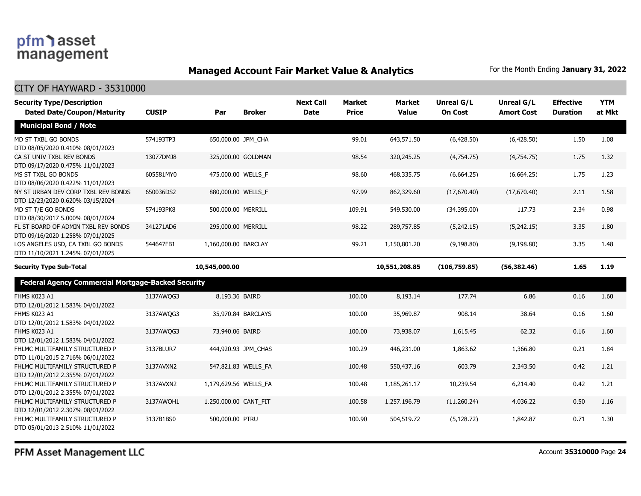### **Managed Account Fair Market Value & Analytics** For the Month Ending January 31, 2022

| <b>Security Type/Description</b>                                        |              |                       |                     | <b>Next Call</b> | <b>Market</b> | <b>Market</b><br><b>Value</b> | <b>Unreal G/L</b><br><b>On Cost</b> | Unreal G/L        | <b>Effective</b> | <b>YTM</b> |
|-------------------------------------------------------------------------|--------------|-----------------------|---------------------|------------------|---------------|-------------------------------|-------------------------------------|-------------------|------------------|------------|
| <b>Dated Date/Coupon/Maturity</b>                                       | <b>CUSIP</b> | Par                   | <b>Broker</b>       | <b>Date</b>      | <b>Price</b>  |                               |                                     | <b>Amort Cost</b> | <b>Duration</b>  | at Mkt     |
| <b>Municipal Bond / Note</b>                                            |              |                       |                     |                  |               |                               |                                     |                   |                  |            |
| MD ST TXBL GO BONDS<br>DTD 08/05/2020 0.410% 08/01/2023                 | 574193TP3    | 650,000.00 JPM_CHA    |                     |                  | 99.01         | 643,571.50                    | (6,428.50)                          | (6,428.50)        | 1.50             | 1.08       |
| CA ST UNIV TXBL REV BONDS<br>DTD 09/17/2020 0.475% 11/01/2023           | 13077DMJ8    |                       | 325,000.00 GOLDMAN  |                  | 98.54         | 320,245.25                    | (4,754.75)                          | (4,754.75)        | 1.75             | 1.32       |
| MS ST TXBL GO BONDS<br>DTD 08/06/2020 0.422% 11/01/2023                 | 605581MY0    | 475,000.00 WELLS F    |                     |                  | 98.60         | 468,335.75                    | (6,664.25)                          | (6,664.25)        | 1.75             | 1.23       |
| NY ST URBAN DEV CORP TXBL REV BONDS<br>DTD 12/23/2020 0.620% 03/15/2024 | 650036DS2    | 880,000.00 WELLS F    |                     |                  | 97.99         | 862,329.60                    | (17,670.40)                         | (17,670.40)       | 2.11             | 1.58       |
| MD ST T/E GO BONDS<br>DTD 08/30/2017 5.000% 08/01/2024                  | 574193PK8    | 500,000.00 MERRILL    |                     |                  | 109.91        | 549,530.00                    | (34,395.00)                         | 117.73            | 2.34             | 0.98       |
| FL ST BOARD OF ADMIN TXBL REV BONDS<br>DTD 09/16/2020 1.258% 07/01/2025 | 341271AD6    | 295,000.00 MERRILL    |                     |                  | 98.22         | 289,757.85                    | (5,242.15)                          | (5,242.15)        | 3.35             | 1.80       |
| LOS ANGELES USD, CA TXBL GO BONDS<br>DTD 11/10/2021 1.245% 07/01/2025   | 544647FB1    | 1,160,000.00 BARCLAY  |                     |                  | 99.21         | 1,150,801.20                  | (9, 198.80)                         | (9, 198.80)       | 3.35             | 1.48       |
| <b>Security Type Sub-Total</b>                                          |              | 10,545,000.00         |                     |                  |               | 10,551,208.85                 | (106,759.85)                        | (56, 382.46)      | 1.65             | 1.19       |
| <b>Federal Agency Commercial Mortgage-Backed Security</b>               |              |                       |                     |                  |               |                               |                                     |                   |                  |            |
| FHMS K023 A1<br>DTD 12/01/2012 1.583% 04/01/2022                        | 3137AWQG3    | 8,193.36 BAIRD        |                     |                  | 100.00        | 8,193.14                      | 177.74                              | 6.86              | 0.16             | 1.60       |
| FHMS K023 A1<br>DTD 12/01/2012 1.583% 04/01/2022                        | 3137AWQG3    |                       | 35,970.84 BARCLAYS  |                  | 100.00        | 35,969.87                     | 908.14                              | 38.64             | 0.16             | 1.60       |
| FHMS K023 A1<br>DTD 12/01/2012 1.583% 04/01/2022                        | 3137AWQG3    | 73,940.06 BAIRD       |                     |                  | 100.00        | 73,938.07                     | 1,615.45                            | 62.32             | 0.16             | 1.60       |
| FHLMC MULTIFAMILY STRUCTURED P<br>DTD 11/01/2015 2.716% 06/01/2022      | 3137BLUR7    |                       | 444,920.93 JPM CHAS |                  | 100.29        | 446,231.00                    | 1,863.62                            | 1,366.80          | 0.21             | 1.84       |
| FHLMC MULTIFAMILY STRUCTURED P<br>DTD 12/01/2012 2.355% 07/01/2022      | 3137AVXN2    |                       | 547,821.83 WELLS_FA |                  | 100.48        | 550,437.16                    | 603.79                              | 2,343.50          | 0.42             | 1.21       |
| FHLMC MULTIFAMILY STRUCTURED P<br>DTD 12/01/2012 2.355% 07/01/2022      | 3137AVXN2    | 1,179,629.56 WELLS_FA |                     |                  | 100.48        | 1,185,261.17                  | 10,239.54                           | 6,214.40          | 0.42             | 1.21       |
| FHLMC MULTIFAMILY STRUCTURED P<br>DTD 12/01/2012 2.307% 08/01/2022      | 3137AWQH1    | 1,250,000.00 CANT FIT |                     |                  | 100.58        | 1,257,196.79                  | (11,260.24)                         | 4,036.22          | 0.50             | 1.16       |
| FHLMC MULTIFAMILY STRUCTURED P<br>DTD 05/01/2013 2.510% 11/01/2022      | 3137B1BS0    | 500,000.00 PTRU       |                     |                  | 100.90        | 504,519.72                    | (5, 128.72)                         | 1,842.87          | 0.71             | 1.30       |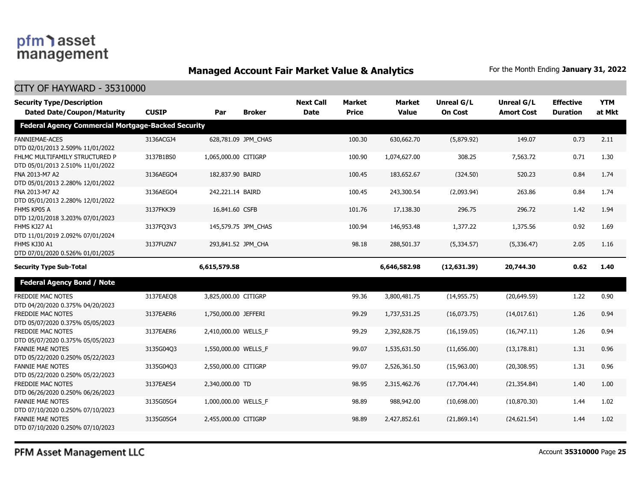### **Managed Account Fair Market Value & Analytics** For the Month Ending January 31, 2022

| <b>Security Type/Description</b><br><b>Dated Date/Coupon/Maturity</b> | <b>CUSIP</b> | Par                  | <b>Broker</b>       | <b>Next Call</b><br><b>Date</b> | <b>Market</b><br><b>Price</b> | <b>Market</b><br><b>Value</b> | <b>Unreal G/L</b><br><b>On Cost</b> | <b>Unreal G/L</b><br><b>Amort Cost</b> | <b>Effective</b><br><b>Duration</b> | <b>YTM</b><br>at Mkt |
|-----------------------------------------------------------------------|--------------|----------------------|---------------------|---------------------------------|-------------------------------|-------------------------------|-------------------------------------|----------------------------------------|-------------------------------------|----------------------|
| Federal Agency Commercial Mortgage-Backed Security                    |              |                      |                     |                                 |                               |                               |                                     |                                        |                                     |                      |
| FANNIEMAE-ACES<br>DTD 02/01/2013 2.509% 11/01/2022                    | 3136ACGJ4    |                      | 628,781.09 JPM CHAS |                                 | 100.30                        | 630,662.70                    | (5,879.92)                          | 149.07                                 | 0.73                                | 2.11                 |
| FHLMC MULTIFAMILY STRUCTURED P<br>DTD 05/01/2013 2.510% 11/01/2022    | 3137B1BS0    | 1,065,000.00 CITIGRP |                     |                                 | 100.90                        | 1,074,627.00                  | 308.25                              | 7,563.72                               | 0.71                                | 1.30                 |
| FNA 2013-M7 A2<br>DTD 05/01/2013 2.280% 12/01/2022                    | 3136AEGO4    | 182,837.90 BAIRD     |                     |                                 | 100.45                        | 183,652.67                    | (324.50)                            | 520.23                                 | 0.84                                | 1.74                 |
| FNA 2013-M7 A2<br>DTD 05/01/2013 2.280% 12/01/2022                    | 3136AEGO4    | 242,221.14 BAIRD     |                     |                                 | 100.45                        | 243,300.54                    | (2,093.94)                          | 263.86                                 | 0.84                                | 1.74                 |
| FHMS KP05 A<br>DTD 12/01/2018 3.203% 07/01/2023                       | 3137FKK39    | 16,841.60 CSFB       |                     |                                 | 101.76                        | 17,138.30                     | 296.75                              | 296.72                                 | 1.42                                | 1.94                 |
| FHMS KJ27 A1<br>DTD 11/01/2019 2.092% 07/01/2024                      | 3137FQ3V3    |                      | 145,579.75 JPM_CHAS |                                 | 100.94                        | 146,953.48                    | 1,377.22                            | 1,375.56                               | 0.92                                | 1.69                 |
| FHMS KJ30 A1<br>DTD 07/01/2020 0.526% 01/01/2025                      | 3137FUZN7    | 293,841.52 JPM_CHA   |                     |                                 | 98.18                         | 288,501.37                    | (5,334.57)                          | (5,336.47)                             | 2.05                                | 1.16                 |
| <b>Security Type Sub-Total</b>                                        |              | 6,615,579.58         |                     |                                 |                               | 6,646,582.98                  | (12, 631.39)                        | 20,744.30                              | 0.62                                | 1.40                 |
| <b>Federal Agency Bond / Note</b>                                     |              |                      |                     |                                 |                               |                               |                                     |                                        |                                     |                      |
| FREDDIE MAC NOTES<br>DTD 04/20/2020 0.375% 04/20/2023                 | 3137EAEO8    | 3,825,000.00 CITIGRP |                     |                                 | 99.36                         | 3,800,481.75                  | (14, 955.75)                        | (20, 649.59)                           | 1.22                                | 0.90                 |
| <b>FREDDIE MAC NOTES</b><br>DTD 05/07/2020 0.375% 05/05/2023          | 3137EAER6    | 1,750,000.00 JEFFERI |                     |                                 | 99.29                         | 1,737,531.25                  | (16,073.75)                         | (14,017.61)                            | 1.26                                | 0.94                 |
| <b>FREDDIE MAC NOTES</b><br>DTD 05/07/2020 0.375% 05/05/2023          | 3137EAER6    | 2,410,000.00 WELLS_F |                     |                                 | 99.29                         | 2,392,828.75                  | (16, 159.05)                        | (16,747.11)                            | 1.26                                | 0.94                 |
| <b>FANNIE MAE NOTES</b><br>DTD 05/22/2020 0.250% 05/22/2023           | 3135G04Q3    | 1,550,000.00 WELLS_F |                     |                                 | 99.07                         | 1,535,631.50                  | (11,656.00)                         | (13, 178.81)                           | 1.31                                | 0.96                 |
| <b>FANNIE MAE NOTES</b><br>DTD 05/22/2020 0.250% 05/22/2023           | 3135G04Q3    | 2,550,000.00 CITIGRP |                     |                                 | 99.07                         | 2,526,361.50                  | (15,963.00)                         | (20, 308.95)                           | 1.31                                | 0.96                 |
| <b>FREDDIE MAC NOTES</b><br>DTD 06/26/2020 0.250% 06/26/2023          | 3137EAES4    | 2,340,000.00 TD      |                     |                                 | 98.95                         | 2,315,462.76                  | (17,704.44)                         | (21, 354.84)                           | 1.40                                | 1.00                 |
| <b>FANNIE MAE NOTES</b><br>DTD 07/10/2020 0.250% 07/10/2023           | 3135G05G4    | 1,000,000.00 WELLS_F |                     |                                 | 98.89                         | 988,942.00                    | (10,698.00)                         | (10, 870.30)                           | 1.44                                | 1.02                 |
| <b>FANNIE MAE NOTES</b><br>DTD 07/10/2020 0.250% 07/10/2023           | 3135G05G4    | 2,455,000.00 CITIGRP |                     |                                 | 98.89                         | 2,427,852.61                  | (21,869.14)                         | (24,621.54)                            | 1.44                                | 1.02                 |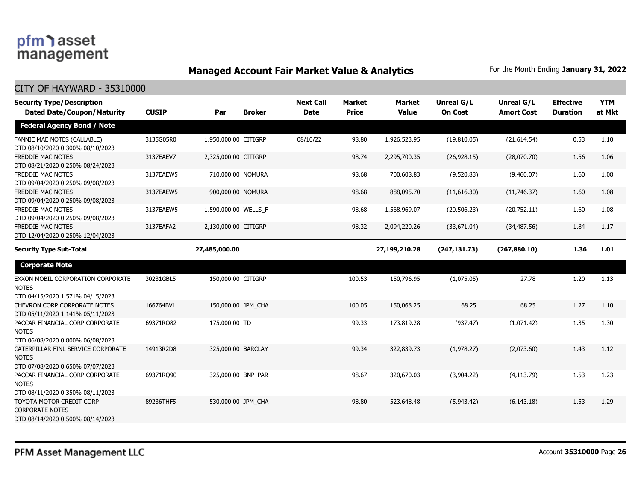### **Managed Account Fair Market Value & Analytics** For the Month Ending January 31, 2022

| <b>Security Type/Description</b><br><b>Dated Date/Coupon/Maturity</b>                  | <b>CUSIP</b> | Par                  | <b>Broker</b> | <b>Next Call</b><br><b>Date</b> | <b>Market</b><br><b>Price</b> | <b>Market</b><br><b>Value</b> | <b>Unreal G/L</b><br><b>On Cost</b> | Unreal G/L<br><b>Amort Cost</b> | <b>Effective</b><br><b>Duration</b> | <b>YTM</b><br>at Mkt |
|----------------------------------------------------------------------------------------|--------------|----------------------|---------------|---------------------------------|-------------------------------|-------------------------------|-------------------------------------|---------------------------------|-------------------------------------|----------------------|
| <b>Federal Agency Bond / Note</b>                                                      |              |                      |               |                                 |                               |                               |                                     |                                 |                                     |                      |
| FANNIE MAE NOTES (CALLABLE)<br>DTD 08/10/2020 0.300% 08/10/2023                        | 3135G05R0    | 1,950,000.00 CITIGRP |               | 08/10/22                        | 98.80                         | 1,926,523.95                  | (19,810.05)                         | (21,614.54)                     | 0.53                                | 1.10                 |
| <b>FREDDIE MAC NOTES</b><br>DTD 08/21/2020 0.250% 08/24/2023                           | 3137EAEV7    | 2,325,000.00 CITIGRP |               |                                 | 98.74                         | 2,295,700.35                  | (26, 928.15)                        | (28,070.70)                     | 1.56                                | 1.06                 |
| <b>FREDDIE MAC NOTES</b><br>DTD 09/04/2020 0.250% 09/08/2023                           | 3137EAEW5    | 710,000.00 NOMURA    |               |                                 | 98.68                         | 700,608.83                    | (9,520.83)                          | (9,460.07)                      | 1.60                                | 1.08                 |
| <b>FREDDIE MAC NOTES</b><br>DTD 09/04/2020 0.250% 09/08/2023                           | 3137EAEW5    | 900,000.00 NOMURA    |               |                                 | 98.68                         | 888,095.70                    | (11,616.30)                         | (11,746.37)                     | 1.60                                | 1.08                 |
| FREDDIE MAC NOTES<br>DTD 09/04/2020 0.250% 09/08/2023                                  | 3137EAEW5    | 1,590,000.00 WELLS_F |               |                                 | 98.68                         | 1,568,969.07                  | (20, 506.23)                        | (20,752.11)                     | 1.60                                | 1.08                 |
| <b>FREDDIE MAC NOTES</b><br>DTD 12/04/2020 0.250% 12/04/2023                           | 3137EAFA2    | 2,130,000.00 CITIGRP |               |                                 | 98.32                         | 2,094,220.26                  | (33,671.04)                         | (34, 487.56)                    | 1.84                                | 1.17                 |
| <b>Security Type Sub-Total</b>                                                         |              | 27,485,000.00        |               |                                 |                               | 27,199,210.28                 | (247, 131.73)                       | (267,880.10)                    | 1.36                                | 1.01                 |
| <b>Corporate Note</b>                                                                  |              |                      |               |                                 |                               |                               |                                     |                                 |                                     |                      |
| EXXON MOBIL CORPORATION CORPORATE<br><b>NOTES</b><br>DTD 04/15/2020 1.571% 04/15/2023  | 30231GBL5    | 150,000.00 CITIGRP   |               |                                 | 100.53                        | 150,796.95                    | (1,075.05)                          | 27.78                           | 1.20                                | 1.13                 |
| <b>CHEVRON CORP CORPORATE NOTES</b><br>DTD 05/11/2020 1.141% 05/11/2023                | 166764BV1    | 150,000.00 JPM CHA   |               |                                 | 100.05                        | 150,068.25                    | 68.25                               | 68.25                           | 1.27                                | 1.10                 |
| PACCAR FINANCIAL CORP CORPORATE<br><b>NOTES</b><br>DTD 06/08/2020 0.800% 06/08/2023    | 69371RQ82    | 175,000.00 TD        |               |                                 | 99.33                         | 173,819.28                    | (937.47)                            | (1,071.42)                      | 1.35                                | 1.30                 |
| CATERPILLAR FINL SERVICE CORPORATE<br><b>NOTES</b><br>DTD 07/08/2020 0.650% 07/07/2023 | 14913R2D8    | 325,000.00 BARCLAY   |               |                                 | 99.34                         | 322,839.73                    | (1,978.27)                          | (2,073.60)                      | 1.43                                | 1.12                 |
| PACCAR FINANCIAL CORP CORPORATE<br><b>NOTES</b><br>DTD 08/11/2020 0.350% 08/11/2023    | 69371RO90    | 325,000.00 BNP PAR   |               |                                 | 98.67                         | 320,670.03                    | (3,904.22)                          | (4, 113.79)                     | 1.53                                | 1.23                 |
| TOYOTA MOTOR CREDIT CORP<br><b>CORPORATE NOTES</b><br>DTD 08/14/2020 0.500% 08/14/2023 | 89236THF5    | 530,000.00 JPM_CHA   |               |                                 | 98.80                         | 523,648.48                    | (5,943.42)                          | (6, 143.18)                     | 1.53                                | 1.29                 |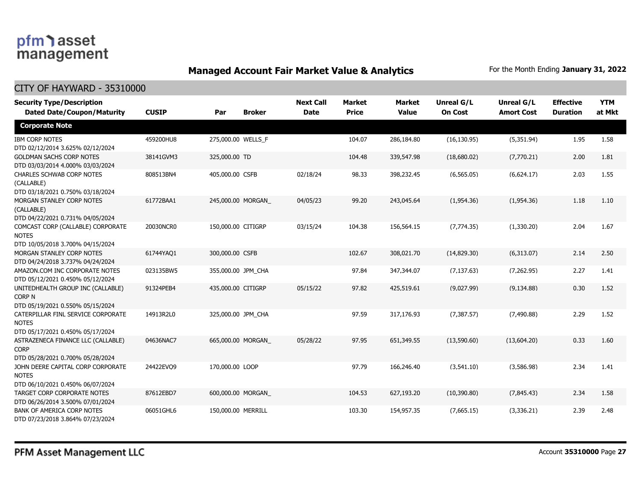### **Managed Account Fair Market Value & Analytics** For the Month Ending January 31, 2022

| <b>Security Type/Description</b><br><b>Dated Date/Coupon/Maturity</b>                  | <b>CUSIP</b> | Par                | <b>Broker</b>      | <b>Next Call</b><br><b>Date</b> | <b>Market</b><br><b>Price</b> | <b>Market</b><br><b>Value</b> | <b>Unreal G/L</b><br><b>On Cost</b> | Unreal G/L<br><b>Amort Cost</b> | <b>Effective</b><br><b>Duration</b> | <b>YTM</b><br>at Mkt |
|----------------------------------------------------------------------------------------|--------------|--------------------|--------------------|---------------------------------|-------------------------------|-------------------------------|-------------------------------------|---------------------------------|-------------------------------------|----------------------|
| <b>Corporate Note</b>                                                                  |              |                    |                    |                                 |                               |                               |                                     |                                 |                                     |                      |
| <b>IBM CORP NOTES</b><br>DTD 02/12/2014 3.625% 02/12/2024                              | 459200HU8    |                    | 275,000.00 WELLS_F |                                 | 104.07                        | 286,184.80                    | (16, 130.95)                        | (5,351.94)                      | 1.95                                | 1.58                 |
| <b>GOLDMAN SACHS CORP NOTES</b><br>DTD 03/03/2014 4.000% 03/03/2024                    | 38141GVM3    | 325,000.00 TD      |                    |                                 | 104.48                        | 339,547.98                    | (18,680.02)                         | (7,770.21)                      | 2.00                                | 1.81                 |
| <b>CHARLES SCHWAB CORP NOTES</b><br>(CALLABLE)<br>DTD 03/18/2021 0.750% 03/18/2024     | 808513BN4    | 405,000.00 CSFB    |                    | 02/18/24                        | 98.33                         | 398,232.45                    | (6, 565.05)                         | (6,624.17)                      | 2.03                                | 1.55                 |
| MORGAN STANLEY CORP NOTES<br>(CALLABLE)<br>DTD 04/22/2021 0.731% 04/05/2024            | 61772BAA1    |                    | 245,000.00 MORGAN  | 04/05/23                        | 99.20                         | 243,045.64                    | (1,954.36)                          | (1,954.36)                      | 1.18                                | 1.10                 |
| COMCAST CORP (CALLABLE) CORPORATE<br><b>NOTES</b><br>DTD 10/05/2018 3.700% 04/15/2024  | 20030NCR0    | 150,000.00 CITIGRP |                    | 03/15/24                        | 104.38                        | 156,564.15                    | (7, 774.35)                         | (1,330.20)                      | 2.04                                | 1.67                 |
| MORGAN STANLEY CORP NOTES<br>DTD 04/24/2018 3.737% 04/24/2024                          | 61744YAQ1    | 300,000.00 CSFB    |                    |                                 | 102.67                        | 308,021.70                    | (14,829.30)                         | (6,313.07)                      | 2.14                                | 2.50                 |
| AMAZON.COM INC CORPORATE NOTES<br>DTD 05/12/2021 0.450% 05/12/2024                     | 023135BW5    |                    | 355,000.00 JPM_CHA |                                 | 97.84                         | 347,344.07                    | (7, 137.63)                         | (7,262.95)                      | 2.27                                | 1.41                 |
| UNITEDHEALTH GROUP INC (CALLABLE)<br>CORP N<br>DTD 05/19/2021 0.550% 05/15/2024        | 91324PEB4    | 435,000.00 CITIGRP |                    | 05/15/22                        | 97.82                         | 425,519.61                    | (9,027.99)                          | (9, 134.88)                     | 0.30                                | 1.52                 |
| CATERPILLAR FINL SERVICE CORPORATE<br><b>NOTES</b><br>DTD 05/17/2021 0.450% 05/17/2024 | 14913R2L0    |                    | 325,000.00 JPM_CHA |                                 | 97.59                         | 317,176.93                    | (7, 387.57)                         | (7,490.88)                      | 2.29                                | 1.52                 |
| ASTRAZENECA FINANCE LLC (CALLABLE)<br><b>CORP</b><br>DTD 05/28/2021 0.700% 05/28/2024  | 04636NAC7    |                    | 665,000.00 MORGAN  | 05/28/22                        | 97.95                         | 651,349.55                    | (13,590.60)                         | (13,604.20)                     | 0.33                                | 1.60                 |
| JOHN DEERE CAPITAL CORP CORPORATE<br><b>NOTES</b><br>DTD 06/10/2021 0.450% 06/07/2024  | 24422EVQ9    | 170,000.00 LOOP    |                    |                                 | 97.79                         | 166,246.40                    | (3,541.10)                          | (3,586.98)                      | 2.34                                | 1.41                 |
| TARGET CORP CORPORATE NOTES<br>DTD 06/26/2014 3.500% 07/01/2024                        | 87612EBD7    |                    | 600,000.00 MORGAN  |                                 | 104.53                        | 627,193.20                    | (10,390.80)                         | (7,845.43)                      | 2.34                                | 1.58                 |
| BANK OF AMERICA CORP NOTES<br>DTD 07/23/2018 3.864% 07/23/2024                         | 06051GHL6    | 150,000.00 MERRILL |                    |                                 | 103.30                        | 154,957.35                    | (7,665.15)                          | (3,336.21)                      | 2.39                                | 2.48                 |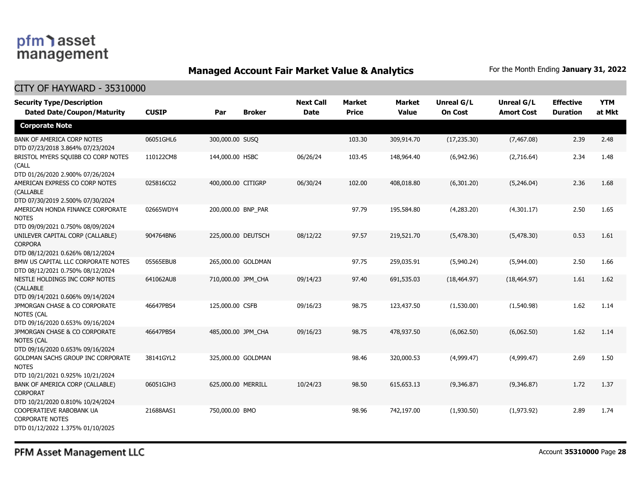### **Managed Account Fair Market Value & Analytics** For the Month Ending January 31, 2022

#### CITY OF HAYWARD - 35310000

| <b>Security Type/Description</b><br><b>Dated Date/Coupon/Maturity</b>                  | <b>CUSIP</b> | Par                | <b>Broker</b> | <b>Next Call</b><br><b>Date</b> | <b>Market</b><br><b>Price</b> | <b>Market</b><br><b>Value</b> | <b>Unreal G/L</b><br><b>On Cost</b> | Unreal G/L<br><b>Amort Cost</b> | <b>Effective</b><br><b>Duration</b> | <b>YTM</b><br>at Mkt |
|----------------------------------------------------------------------------------------|--------------|--------------------|---------------|---------------------------------|-------------------------------|-------------------------------|-------------------------------------|---------------------------------|-------------------------------------|----------------------|
| <b>Corporate Note</b>                                                                  |              |                    |               |                                 |                               |                               |                                     |                                 |                                     |                      |
| BANK OF AMERICA CORP NOTES<br>DTD 07/23/2018 3.864% 07/23/2024                         | 06051GHL6    | 300,000.00 SUSQ    |               |                                 | 103.30                        | 309,914.70                    | (17, 235.30)                        | (7, 467.08)                     | 2.39                                | 2.48                 |
| BRISTOL MYERS SQUIBB CO CORP NOTES<br>(CALL<br>DTD 01/26/2020 2.900% 07/26/2024        | 110122CM8    | 144,000.00 HSBC    |               | 06/26/24                        | 103.45                        | 148,964.40                    | (6,942.96)                          | (2,716.64)                      | 2.34                                | 1.48                 |
| AMERICAN EXPRESS CO CORP NOTES<br>(CALLABLE<br>DTD 07/30/2019 2.500% 07/30/2024        | 025816CG2    | 400,000.00 CITIGRP |               | 06/30/24                        | 102.00                        | 408,018.80                    | (6,301.20)                          | (5,246.04)                      | 2.36                                | 1.68                 |
| AMERICAN HONDA FINANCE CORPORATE<br><b>NOTES</b><br>DTD 09/09/2021 0.750% 08/09/2024   | 02665WDY4    | 200,000.00 BNP_PAR |               |                                 | 97.79                         | 195,584.80                    | (4,283.20)                          | (4,301.17)                      | 2.50                                | 1.65                 |
| UNILEVER CAPITAL CORP (CALLABLE)<br><b>CORPORA</b><br>DTD 08/12/2021 0.626% 08/12/2024 | 904764BN6    | 225,000.00 DEUTSCH |               | 08/12/22                        | 97.57                         | 219,521.70                    | (5,478.30)                          | (5,478.30)                      | 0.53                                | 1.61                 |
| BMW US CAPITAL LLC CORPORATE NOTES<br>DTD 08/12/2021 0.750% 08/12/2024                 | 05565EBU8    | 265,000.00 GOLDMAN |               |                                 | 97.75                         | 259,035.91                    | (5,940.24)                          | (5,944.00)                      | 2.50                                | 1.66                 |
| NESTLE HOLDINGS INC CORP NOTES<br>(CALLABLE<br>DTD 09/14/2021 0.606% 09/14/2024        | 641062AU8    | 710,000.00 JPM_CHA |               | 09/14/23                        | 97.40                         | 691,535.03                    | (18, 464.97)                        | (18, 464.97)                    | 1.61                                | 1.62                 |
| JPMORGAN CHASE & CO CORPORATE<br><b>NOTES (CAL</b><br>DTD 09/16/2020 0.653% 09/16/2024 | 46647PBS4    | 125,000.00 CSFB    |               | 09/16/23                        | 98.75                         | 123,437.50                    | (1,530.00)                          | (1,540.98)                      | 1.62                                | 1.14                 |
| JPMORGAN CHASE & CO CORPORATE<br><b>NOTES (CAL</b><br>DTD 09/16/2020 0.653% 09/16/2024 | 46647PBS4    | 485,000.00 JPM_CHA |               | 09/16/23                        | 98.75                         | 478,937.50                    | (6,062.50)                          | (6,062.50)                      | 1.62                                | 1.14                 |
| GOLDMAN SACHS GROUP INC CORPORATE<br><b>NOTES</b><br>DTD 10/21/2021 0.925% 10/21/2024  | 38141GYL2    | 325,000.00 GOLDMAN |               |                                 | 98.46                         | 320,000.53                    | (4,999.47)                          | (4,999.47)                      | 2.69                                | 1.50                 |
| BANK OF AMERICA CORP (CALLABLE)<br><b>CORPORAT</b><br>DTD 10/21/2020 0.810% 10/24/2024 | 06051GJH3    | 625,000.00 MERRILL |               | 10/24/23                        | 98.50                         | 615,653.13                    | (9,346.87)                          | (9,346.87)                      | 1.72                                | 1.37                 |
| COOPERATIEVE RABOBANK UA<br><b>CORPORATE NOTES</b><br>DTD 01/12/2022 1.375% 01/10/2025 | 21688AAS1    | 750,000.00 BMO     |               |                                 | 98.96                         | 742,197.00                    | (1,930.50)                          | (1,973.92)                      | 2.89                                | 1.74                 |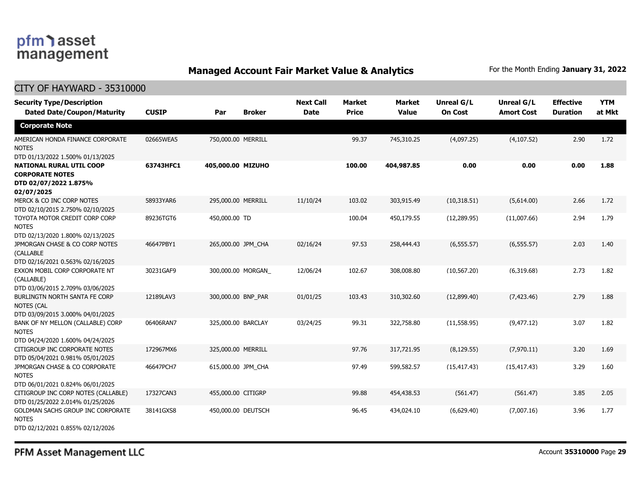### **Managed Account Fair Market Value & Analytics** For the Month Ending January 31, 2022

#### CITY OF HAYWARD - 35310000

| <b>Security Type/Description</b><br><b>Dated Date/Coupon/Maturity</b>                                                                | <b>CUSIP</b> | Par                | <b>Broker</b> | <b>Next Call</b><br><b>Date</b> | <b>Market</b><br><b>Price</b> | <b>Market</b><br><b>Value</b> | <b>Unreal G/L</b><br><b>On Cost</b> | Unreal G/L<br><b>Amort Cost</b> | <b>Effective</b><br><b>Duration</b> | <b>YTM</b><br>at Mkt |
|--------------------------------------------------------------------------------------------------------------------------------------|--------------|--------------------|---------------|---------------------------------|-------------------------------|-------------------------------|-------------------------------------|---------------------------------|-------------------------------------|----------------------|
| <b>Corporate Note</b>                                                                                                                |              |                    |               |                                 |                               |                               |                                     |                                 |                                     |                      |
| AMERICAN HONDA FINANCE CORPORATE<br><b>NOTES</b>                                                                                     | 02665WEA5    | 750,000.00 MERRILL |               |                                 | 99.37                         | 745,310.25                    | (4,097.25)                          | (4, 107.52)                     | 2.90                                | 1.72                 |
| DTD 01/13/2022 1.500% 01/13/2025<br><b>NATIONAL RURAL UTIL COOP</b><br><b>CORPORATE NOTES</b><br>DTD 02/07/2022 1.875%<br>02/07/2025 | 63743HFC1    | 405,000.00 MIZUHO  |               |                                 | 100.00                        | 404,987.85                    | 0.00                                | 0.00                            | 0.00                                | 1.88                 |
| MERCK & CO INC CORP NOTES<br>DTD 02/10/2015 2.750% 02/10/2025                                                                        | 58933YAR6    | 295,000.00 MERRILL |               | 11/10/24                        | 103.02                        | 303,915.49                    | (10,318.51)                         | (5,614.00)                      | 2.66                                | 1.72                 |
| TOYOTA MOTOR CREDIT CORP CORP<br><b>NOTES</b><br>DTD 02/13/2020 1.800% 02/13/2025                                                    | 89236TGT6    | 450,000.00 TD      |               |                                 | 100.04                        | 450,179.55                    | (12, 289.95)                        | (11,007.66)                     | 2.94                                | 1.79                 |
| JPMORGAN CHASE & CO CORP NOTES<br><b>(CALLABLE</b><br>DTD 02/16/2021 0.563% 02/16/2025                                               | 46647PBY1    | 265,000.00 JPM_CHA |               | 02/16/24                        | 97.53                         | 258,444.43                    | (6, 555.57)                         | (6, 555.57)                     | 2.03                                | 1.40                 |
| EXXON MOBIL CORP CORPORATE NT<br>(CALLABLE)<br>DTD 03/06/2015 2.709% 03/06/2025                                                      | 30231GAF9    | 300,000.00 MORGAN  |               | 12/06/24                        | 102.67                        | 308,008.80                    | (10, 567.20)                        | (6,319.68)                      | 2.73                                | 1.82                 |
| BURLINGTN NORTH SANTA FE CORP<br><b>NOTES (CAL</b><br>DTD 03/09/2015 3.000% 04/01/2025                                               | 12189LAV3    | 300,000.00 BNP PAR |               | 01/01/25                        | 103.43                        | 310,302.60                    | (12,899.40)                         | (7, 423.46)                     | 2.79                                | 1.88                 |
| BANK OF NY MELLON (CALLABLE) CORP<br><b>NOTES</b><br>DTD 04/24/2020 1.600% 04/24/2025                                                | 06406RAN7    | 325,000.00 BARCLAY |               | 03/24/25                        | 99.31                         | 322,758.80                    | (11, 558.95)                        | (9, 477.12)                     | 3.07                                | 1.82                 |
| CITIGROUP INC CORPORATE NOTES<br>DTD 05/04/2021 0.981% 05/01/2025                                                                    | 172967MX6    | 325,000.00 MERRILL |               |                                 | 97.76                         | 317,721.95                    | (8, 129.55)                         | (7,970.11)                      | 3.20                                | 1.69                 |
| JPMORGAN CHASE & CO CORPORATE<br><b>NOTES</b><br>DTD 06/01/2021 0.824% 06/01/2025                                                    | 46647PCH7    | 615,000.00 JPM_CHA |               |                                 | 97.49                         | 599,582.57                    | (15, 417.43)                        | (15, 417.43)                    | 3.29                                | 1.60                 |
| CITIGROUP INC CORP NOTES (CALLABLE)<br>DTD 01/25/2022 2.014% 01/25/2026                                                              | 17327CAN3    | 455,000.00 CITIGRP |               |                                 | 99.88                         | 454,438.53                    | (561.47)                            | (561.47)                        | 3.85                                | 2.05                 |
| GOLDMAN SACHS GROUP INC CORPORATE<br><b>NOTES</b><br>DTD 02/12/2021 0.855% 02/12/2026                                                | 38141GXS8    | 450,000.00 DEUTSCH |               |                                 | 96.45                         | 434,024.10                    | (6,629.40)                          | (7,007.16)                      | 3.96                                | 1.77                 |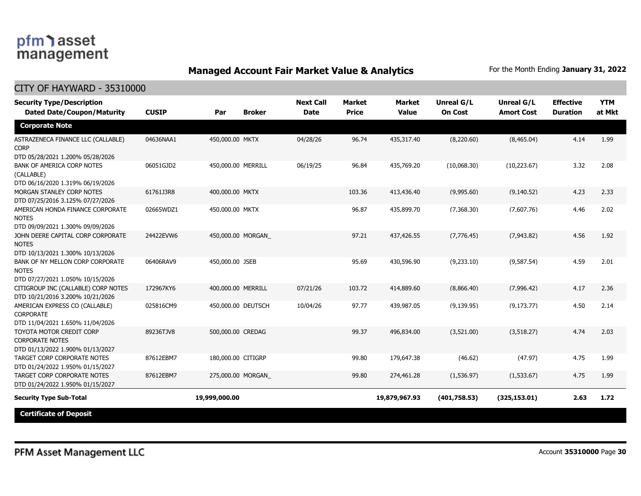### **Managed Account Fair Market Value & Analytics** For the Month Ending January 31, 2022

| <b>Security Type/Description</b><br><b>Dated Date/Coupon/Maturity</b>                  | <b>CUSIP</b> | Par                | <b>Broker</b> | <b>Next Call</b><br><b>Date</b> | <b>Market</b><br><b>Price</b> | <b>Market</b><br><b>Value</b> | <b>Unreal G/L</b><br><b>On Cost</b> | Unreal G/L<br><b>Amort Cost</b> | <b>Effective</b><br><b>Duration</b> | <b>YTM</b><br>at Mkt |
|----------------------------------------------------------------------------------------|--------------|--------------------|---------------|---------------------------------|-------------------------------|-------------------------------|-------------------------------------|---------------------------------|-------------------------------------|----------------------|
| <b>Corporate Note</b>                                                                  |              |                    |               |                                 |                               |                               |                                     |                                 |                                     |                      |
| ASTRAZENECA FINANCE LLC (CALLABLE)<br><b>CORP</b><br>DTD 05/28/2021 1.200% 05/28/2026  | 04636NAA1    | 450,000.00 MKTX    |               | 04/28/26                        | 96.74                         | 435,317.40                    | (8,220.60)                          | (8,465,04)                      | 4.14                                | 1.99                 |
| BANK OF AMERICA CORP NOTES<br>(CALLABLE)<br>DTD 06/16/2020 1.319% 06/19/2026           | 06051GJD2    | 450,000.00 MERRILL |               | 06/19/25                        | 96.84                         | 435,769.20                    | (10.068.30)                         | (10, 223.67)                    | 3.32                                | 2.08                 |
| MORGAN STANLEY CORP NOTES<br>DTD 07/25/2016 3.125% 07/27/2026                          | 61761J3R8    | 400,000.00 MKTX    |               |                                 | 103.36                        | 413,436.40                    | (9,995.60)                          | (9, 140.52)                     | 4.23                                | 2.33                 |
| AMERICAN HONDA FINANCE CORPORATE<br><b>NOTES</b><br>DTD 09/09/2021 1.300% 09/09/2026   | 02665WDZ1    | 450,000.00 MKTX    |               |                                 | 96.87                         | 435,899.70                    | (7,368.30)                          | (7,607.76)                      | 4.46                                | 2.02                 |
| JOHN DEERE CAPITAL CORP CORPORATE<br><b>NOTES</b><br>DTD 10/13/2021 1.300% 10/13/2026  | 24422EVW6    | 450,000.00 MORGAN  |               |                                 | 97.21                         | 437,426.55                    | (7,776.45)                          | (7,943.82)                      | 4.56                                | 1.92                 |
| BANK OF NY MELLON CORP CORPORATE<br><b>NOTES</b><br>DTD 07/27/2021 1.050% 10/15/2026   | 06406RAV9    | 450,000.00 JSEB    |               |                                 | 95.69                         | 430,596.90                    | (9,233.10)                          | (9,587.54)                      | 4.59                                | 2.01                 |
| CITIGROUP INC (CALLABLE) CORP NOTES<br>DTD 10/21/2016 3.200% 10/21/2026                | 172967KY6    | 400,000.00 MERRILL |               | 07/21/26                        | 103.72                        | 414,889.60                    | (8,866.40)                          | (7,996.42)                      | 4.17                                | 2.36                 |
| AMERICAN EXPRESS CO (CALLABLE)<br><b>CORPORATE</b><br>DTD 11/04/2021 1.650% 11/04/2026 | 025816CM9    | 450,000.00 DEUTSCH |               | 10/04/26                        | 97.77                         | 439,987.05                    | (9, 139.95)                         | (9, 173.77)                     | 4.50                                | 2.14                 |
| TOYOTA MOTOR CREDIT CORP<br><b>CORPORATE NOTES</b><br>DTD 01/13/2022 1.900% 01/13/2027 | 89236TJV8    | 500,000.00 CREDAG  |               |                                 | 99.37                         | 496,834.00                    | (3,521.00)                          | (3,518.27)                      | 4.74                                | 2.03                 |
| TARGET CORP CORPORATE NOTES<br>DTD 01/24/2022 1.950% 01/15/2027                        | 87612EBM7    | 180,000.00 CITIGRP |               |                                 | 99.80                         | 179,647.38                    | (46.62)                             | (47.97)                         | 4.75                                | 1.99                 |
| TARGET CORP CORPORATE NOTES<br>DTD 01/24/2022 1.950% 01/15/2027                        | 87612EBM7    | 275,000.00 MORGAN  |               |                                 | 99.80                         | 274,461.28                    | (1, 536.97)                         | (1,533.67)                      | 4.75                                | 1.99                 |
| <b>Security Type Sub-Total</b>                                                         |              | 19,999,000.00      |               |                                 |                               | 19,879,967.93                 | (401,758.53)                        | (325, 153.01)                   | 2.63                                | 1.72                 |
| <b>Certificate of Deposit</b>                                                          |              |                    |               |                                 |                               |                               |                                     |                                 |                                     |                      |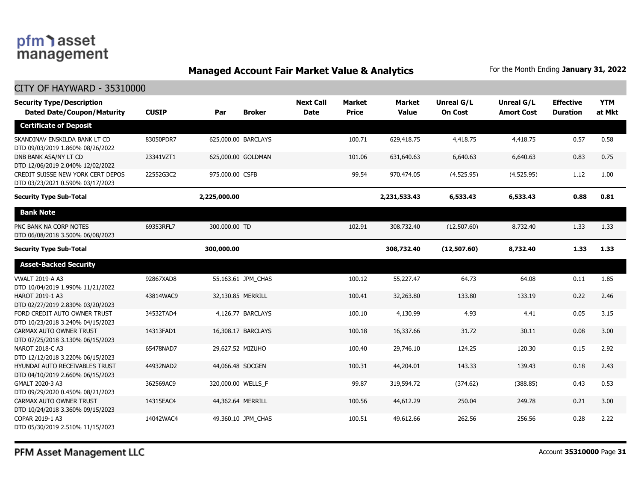### **Managed Account Fair Market Value & Analytics** For the Month Ending January 31, 2022

| <b>Security Type/Description</b><br><b>Dated Date/Coupon/Maturity</b> | <b>CUSIP</b> | Par                 | <b>Broker</b>      | <b>Next Call</b><br><b>Date</b> | <b>Market</b><br><b>Price</b> | <b>Market</b><br><b>Value</b> | <b>Unreal G/L</b><br><b>On Cost</b> | Unreal G/L<br><b>Amort Cost</b> | <b>Effective</b><br><b>Duration</b> | <b>YTM</b><br>at Mkt |
|-----------------------------------------------------------------------|--------------|---------------------|--------------------|---------------------------------|-------------------------------|-------------------------------|-------------------------------------|---------------------------------|-------------------------------------|----------------------|
| <b>Certificate of Deposit</b>                                         |              |                     |                    |                                 |                               |                               |                                     |                                 |                                     |                      |
| SKANDINAV ENSKILDA BANK LT CD<br>DTD 09/03/2019 1.860% 08/26/2022     | 83050PDR7    | 625,000.00 BARCLAYS |                    |                                 | 100.71                        | 629,418.75                    | 4,418.75                            | 4,418.75                        | 0.57                                | 0.58                 |
| DNB BANK ASA/NY LT CD<br>DTD 12/06/2019 2.040% 12/02/2022             | 23341VZT1    | 625,000.00 GOLDMAN  |                    |                                 | 101.06                        | 631,640,63                    | 6,640.63                            | 6,640.63                        | 0.83                                | 0.75                 |
| CREDIT SUISSE NEW YORK CERT DEPOS<br>DTD 03/23/2021 0.590% 03/17/2023 | 22552G3C2    | 975,000.00 CSFB     |                    |                                 | 99.54                         | 970,474.05                    | (4,525.95)                          | (4,525.95)                      | 1.12                                | 1.00                 |
| <b>Security Type Sub-Total</b>                                        |              | 2,225,000.00        |                    |                                 |                               | 2,231,533.43                  | 6,533.43                            | 6,533.43                        | 0.88                                | 0.81                 |
| <b>Bank Note</b>                                                      |              |                     |                    |                                 |                               |                               |                                     |                                 |                                     |                      |
| PNC BANK NA CORP NOTES<br>DTD 06/08/2018 3.500% 06/08/2023            | 69353RFL7    | 300,000.00 TD       |                    |                                 | 102.91                        | 308,732.40                    | (12,507.60)                         | 8,732.40                        | 1.33                                | 1.33                 |
| <b>Security Type Sub-Total</b>                                        |              | 300,000.00          |                    |                                 |                               | 308,732.40                    | (12,507.60)                         | 8,732.40                        | 1.33                                | 1.33                 |
| <b>Asset-Backed Security</b>                                          |              |                     |                    |                                 |                               |                               |                                     |                                 |                                     |                      |
| <b>VWALT 2019-A A3</b><br>DTD 10/04/2019 1.990% 11/21/2022            | 92867XAD8    |                     | 55,163.61 JPM_CHAS |                                 | 100.12                        | 55,227.47                     | 64.73                               | 64.08                           | 0.11                                | 1.85                 |
| HAROT 2019-1 A3<br>DTD 02/27/2019 2.830% 03/20/2023                   | 43814WAC9    | 32,130.85 MERRILL   |                    |                                 | 100.41                        | 32,263.80                     | 133.80                              | 133.19                          | 0.22                                | 2.46                 |
| FORD CREDIT AUTO OWNER TRUST<br>DTD 10/23/2018 3.240% 04/15/2023      | 34532TAD4    |                     | 4,126.77 BARCLAYS  |                                 | 100.10                        | 4,130.99                      | 4.93                                | 4.41                            | 0.05                                | 3.15                 |
| CARMAX AUTO OWNER TRUST<br>DTD 07/25/2018 3.130% 06/15/2023           | 14313FAD1    |                     | 16,308.17 BARCLAYS |                                 | 100.18                        | 16,337.66                     | 31.72                               | 30.11                           | 0.08                                | 3.00                 |
| NAROT 2018-C A3<br>DTD 12/12/2018 3.220% 06/15/2023                   | 65478NAD7    | 29,627.52 MIZUHO    |                    |                                 | 100.40                        | 29,746.10                     | 124.25                              | 120.30                          | 0.15                                | 2.92                 |
| HYUNDAI AUTO RECEIVABLES TRUST<br>DTD 04/10/2019 2.660% 06/15/2023    | 44932NAD2    | 44,066.48 SOCGEN    |                    |                                 | 100.31                        | 44,204.01                     | 143.33                              | 139.43                          | 0.18                                | 2.43                 |
| GMALT 2020-3 A3<br>DTD 09/29/2020 0.450% 08/21/2023                   | 362569AC9    | 320,000.00 WELLS_F  |                    |                                 | 99.87                         | 319,594.72                    | (374.62)                            | (388.85)                        | 0.43                                | 0.53                 |
| CARMAX AUTO OWNER TRUST<br>DTD 10/24/2018 3.360% 09/15/2023           | 14315EAC4    | 44,362.64 MERRILL   |                    |                                 | 100.56                        | 44,612.29                     | 250.04                              | 249.78                          | 0.21                                | 3.00                 |
| COPAR 2019-1 A3<br>DTD 05/30/2019 2.510% 11/15/2023                   | 14042WAC4    |                     | 49,360.10 JPM CHAS |                                 | 100.51                        | 49,612.66                     | 262.56                              | 256.56                          | 0.28                                | 2.22                 |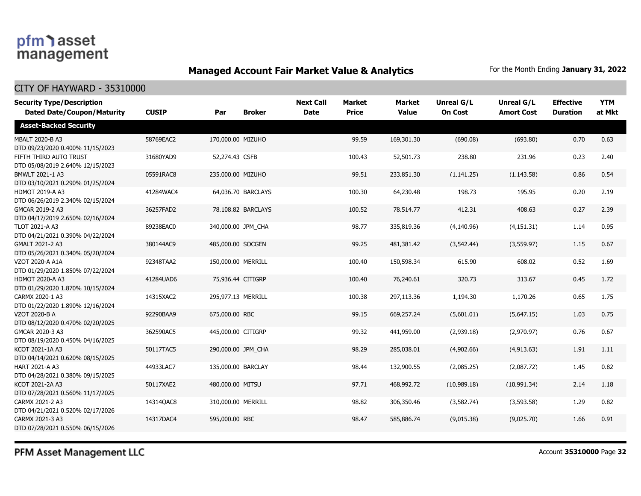### **Managed Account Fair Market Value & Analytics** For the Month Ending January 31, 2022

#### CITY OF HAYWARD - 35310000

| <b>Security Type/Description</b><br><b>Dated Date/Coupon/Maturity</b> | <b>CUSIP</b> | Par                | <b>Broker</b>      | <b>Next Call</b><br><b>Date</b> | <b>Market</b><br><b>Price</b> | <b>Market</b><br><b>Value</b> | <b>Unreal G/L</b><br><b>On Cost</b> | Unreal G/L<br><b>Amort Cost</b> | <b>Effective</b><br><b>Duration</b> | <b>YTM</b><br>at Mkt |
|-----------------------------------------------------------------------|--------------|--------------------|--------------------|---------------------------------|-------------------------------|-------------------------------|-------------------------------------|---------------------------------|-------------------------------------|----------------------|
| <b>Asset-Backed Security</b>                                          |              |                    |                    |                                 |                               |                               |                                     |                                 |                                     |                      |
| MBALT 2020-B A3<br>DTD 09/23/2020 0.400% 11/15/2023                   | 58769EAC2    | 170,000.00 MIZUHO  |                    |                                 | 99.59                         | 169,301.30                    | (690.08)                            | (693.80)                        | 0.70                                | 0.63                 |
| FIFTH THIRD AUTO TRUST<br>DTD 05/08/2019 2.640% 12/15/2023            | 31680YAD9    | 52,274.43 CSFB     |                    |                                 | 100.43                        | 52,501.73                     | 238.80                              | 231.96                          | 0.23                                | 2.40                 |
| BMWLT 2021-1 A3<br>DTD 03/10/2021 0.290% 01/25/2024                   | 05591RAC8    | 235,000.00 MIZUHO  |                    |                                 | 99.51                         | 233,851.30                    | (1, 141.25)                         | (1, 143.58)                     | 0.86                                | 0.54                 |
| <b>HDMOT 2019-A A3</b><br>DTD 06/26/2019 2.340% 02/15/2024            | 41284WAC4    |                    | 64,036.70 BARCLAYS |                                 | 100.30                        | 64,230.48                     | 198.73                              | 195.95                          | 0.20                                | 2.19                 |
| GMCAR 2019-2 A3<br>DTD 04/17/2019 2.650% 02/16/2024                   | 36257FAD2    |                    | 78,108.82 BARCLAYS |                                 | 100.52                        | 78,514.77                     | 412.31                              | 408.63                          | 0.27                                | 2.39                 |
| TLOT 2021-A A3<br>DTD 04/21/2021 0.390% 04/22/2024                    | 89238EAC0    | 340,000.00 JPM_CHA |                    |                                 | 98.77                         | 335,819.36                    | (4, 140.96)                         | (4, 151.31)                     | 1.14                                | 0.95                 |
| GMALT 2021-2 A3<br>DTD 05/26/2021 0.340% 05/20/2024                   | 380144AC9    | 485,000.00 SOCGEN  |                    |                                 | 99.25                         | 481,381.42                    | (3, 542.44)                         | (3,559.97)                      | 1.15                                | 0.67                 |
| VZOT 2020-A A1A<br>DTD 01/29/2020 1.850% 07/22/2024                   | 92348TAA2    | 150,000.00 MERRILL |                    |                                 | 100.40                        | 150,598.34                    | 615.90                              | 608.02                          | 0.52                                | 1.69                 |
| <b>HDMOT 2020-A A3</b><br>DTD 01/29/2020 1.870% 10/15/2024            | 41284UAD6    | 75,936.44 CITIGRP  |                    |                                 | 100.40                        | 76,240.61                     | 320.73                              | 313.67                          | 0.45                                | 1.72                 |
| CARMX 2020-1 A3<br>DTD 01/22/2020 1.890% 12/16/2024                   | 14315XAC2    | 295,977.13 MERRILL |                    |                                 | 100.38                        | 297,113.36                    | 1,194.30                            | 1,170.26                        | 0.65                                | 1.75                 |
| VZOT 2020-B A<br>DTD 08/12/2020 0.470% 02/20/2025                     | 92290BAA9    | 675,000.00 RBC     |                    |                                 | 99.15                         | 669,257.24                    | (5,601.01)                          | (5,647.15)                      | 1.03                                | 0.75                 |
| GMCAR 2020-3 A3<br>DTD 08/19/2020 0.450% 04/16/2025                   | 362590AC5    | 445,000.00 CITIGRP |                    |                                 | 99.32                         | 441,959.00                    | (2,939.18)                          | (2,970.97)                      | 0.76                                | 0.67                 |
| KCOT 2021-1A A3<br>DTD 04/14/2021 0.620% 08/15/2025                   | 50117TAC5    | 290,000.00 JPM CHA |                    |                                 | 98.29                         | 285,038.01                    | (4,902.66)                          | (4,913.63)                      | 1.91                                | 1.11                 |
| <b>HART 2021-A A3</b><br>DTD 04/28/2021 0.380% 09/15/2025             | 44933LAC7    | 135,000.00 BARCLAY |                    |                                 | 98.44                         | 132,900.55                    | (2,085.25)                          | (2,087.72)                      | 1.45                                | 0.82                 |
| KCOT 2021-2A A3<br>DTD 07/28/2021 0.560% 11/17/2025                   | 50117XAE2    | 480,000.00 MITSU   |                    |                                 | 97.71                         | 468,992.72                    | (10,989.18)                         | (10,991.34)                     | 2.14                                | 1.18                 |
| CARMX 2021-2 A3<br>DTD 04/21/2021 0.520% 02/17/2026                   | 14314QAC8    | 310,000.00 MERRILL |                    |                                 | 98.82                         | 306,350.46                    | (3,582.74)                          | (3,593.58)                      | 1.29                                | 0.82                 |
| CARMX 2021-3 A3<br>DTD 07/28/2021 0.550% 06/15/2026                   | 14317DAC4    | 595,000.00 RBC     |                    |                                 | 98.47                         | 585,886.74                    | (9,015.38)                          | (9,025.70)                      | 1.66                                | 0.91                 |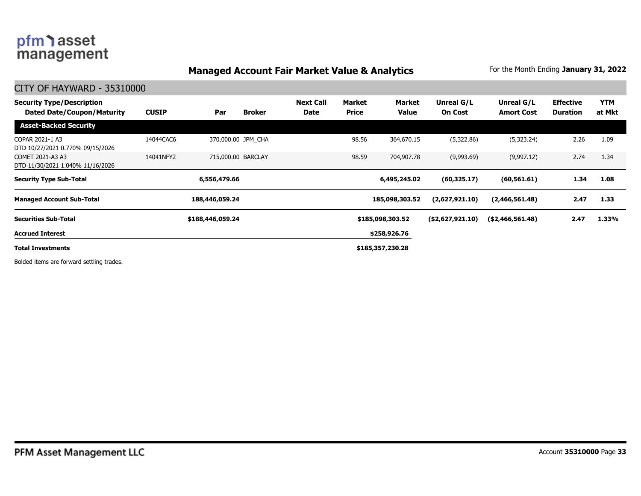### **Managed Account Fair Market Value & Analytics** For the Month Ending January 31, 2022

CITY OF HAYWARD - 35310000

| <b>Security Type/Description</b><br><b>Dated Date/Coupon/Maturity</b> | <b>CUSIP</b> | Par                | <b>Broker</b> | <b>Next Call</b><br><b>Date</b> | Market<br><b>Price</b> | Market<br><b>Value</b> | Unreal G/L<br><b>On Cost</b> | Unreal G/L<br><b>Amort Cost</b> | <b>Effective</b><br>Duration | <b>YTM</b><br>at Mkt |
|-----------------------------------------------------------------------|--------------|--------------------|---------------|---------------------------------|------------------------|------------------------|------------------------------|---------------------------------|------------------------------|----------------------|
| <b>Asset-Backed Security</b>                                          |              |                    |               |                                 |                        |                        |                              |                                 |                              |                      |
| COPAR 2021-1 A3<br>DTD 10/27/2021 0.770% 09/15/2026                   | 14044CAC6    | 370,000.00 JPM CHA |               |                                 | 98.56                  | 364,670.15             | (5,322.86)                   | (5,323.24)                      | 2.26                         | 1.09                 |
| COMET 2021-A3 A3<br>DTD 11/30/2021 1.040% 11/16/2026                  | 14041NFY2    | 715,000.00 BARCLAY |               |                                 | 98.59                  | 704,907.78             | (9,993.69)                   | (9,997.12)                      | 2.74                         | 1.34                 |
| <b>Security Type Sub-Total</b>                                        |              | 6,556,479.66       |               |                                 |                        | 6,495,245.02           | (60, 325.17)                 | (60, 561.61)                    | 1.34                         | 1.08                 |
| <b>Managed Account Sub-Total</b>                                      |              | 188,446,059.24     |               |                                 |                        | 185,098,303.52         | (2,627,921.10)               | (2,466,561.48)                  | 2.47                         | 1.33                 |
| <b>Securities Sub-Total</b>                                           |              | \$188,446,059.24   |               |                                 |                        | \$185,098,303.52       | ( \$2,627,921.10)            | ( \$2,466,561.48)               | 2.47                         | 1.33%                |
| <b>Accrued Interest</b>                                               |              |                    |               |                                 |                        | \$258,926.76           |                              |                                 |                              |                      |
| <b>Total Investments</b>                                              |              |                    |               |                                 |                        | \$185,357,230.28       |                              |                                 |                              |                      |

Bolded items are forward settling trades.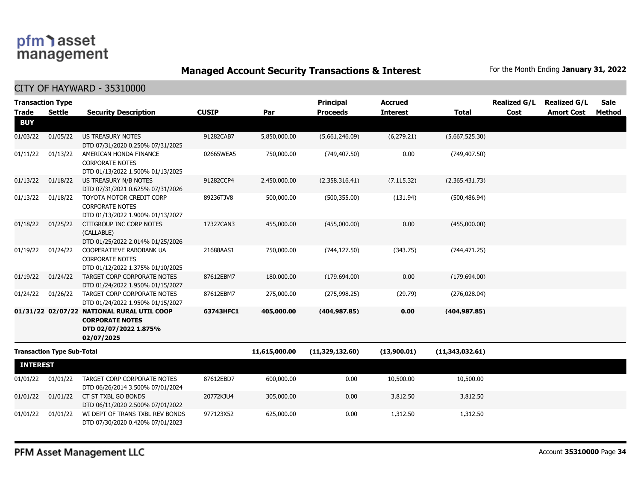**Managed Account Security Transactions & Interest** For the Month Ending January 31, 2022

CITY OF HAYWARD - 35310000

| <b>Transaction Type</b><br><b>Trade</b><br><b>BUY</b> | <b>Settle</b>                     | <b>Security Description</b>                                                                                 | <b>CUSIP</b> | Par           | <b>Principal</b><br><b>Proceeds</b> | <b>Accrued</b><br><b>Interest</b> | <b>Total</b>    | <b>Realized G/L</b><br>Cost | <b>Realized G/L</b><br><b>Amort Cost</b> | <b>Sale</b><br>Method |
|-------------------------------------------------------|-----------------------------------|-------------------------------------------------------------------------------------------------------------|--------------|---------------|-------------------------------------|-----------------------------------|-----------------|-----------------------------|------------------------------------------|-----------------------|
| 01/03/22                                              | 01/05/22                          | <b>US TREASURY NOTES</b>                                                                                    | 91282CAB7    | 5,850,000.00  |                                     | (6, 279.21)                       | (5,667,525.30)  |                             |                                          |                       |
|                                                       |                                   | DTD 07/31/2020 0.250% 07/31/2025                                                                            |              |               | (5,661,246.09)                      |                                   |                 |                             |                                          |                       |
| 01/11/22                                              | 01/13/22                          | AMERICAN HONDA FINANCE<br><b>CORPORATE NOTES</b><br>DTD 01/13/2022 1.500% 01/13/2025                        | 02665WEA5    | 750,000.00    | (749, 407.50)                       | 0.00                              | (749, 407.50)   |                             |                                          |                       |
| 01/13/22                                              | 01/18/22                          | US TREASURY N/B NOTES<br>DTD 07/31/2021 0.625% 07/31/2026                                                   | 91282CCP4    | 2,450,000.00  | (2,358,316.41)                      | (7, 115.32)                       | (2,365,431.73)  |                             |                                          |                       |
| 01/13/22                                              | 01/18/22                          | TOYOTA MOTOR CREDIT CORP<br><b>CORPORATE NOTES</b><br>DTD 01/13/2022 1.900% 01/13/2027                      | 89236TJV8    | 500,000.00    | (500, 355.00)                       | (131.94)                          | (500, 486.94)   |                             |                                          |                       |
| 01/18/22                                              | 01/25/22                          | CITIGROUP INC CORP NOTES<br>(CALLABLE)<br>DTD 01/25/2022 2.014% 01/25/2026                                  | 17327CAN3    | 455,000.00    | (455,000.00)                        | 0.00                              | (455,000.00)    |                             |                                          |                       |
| 01/19/22                                              | 01/24/22                          | COOPERATIEVE RABOBANK UA<br><b>CORPORATE NOTES</b><br>DTD 01/12/2022 1.375% 01/10/2025                      | 21688AAS1    | 750,000.00    | (744, 127.50)                       | (343.75)                          | (744, 471.25)   |                             |                                          |                       |
| 01/19/22                                              | 01/24/22                          | TARGET CORP CORPORATE NOTES<br>DTD 01/24/2022 1.950% 01/15/2027                                             | 87612EBM7    | 180,000.00    | (179, 694.00)                       | 0.00                              | (179, 694.00)   |                             |                                          |                       |
| 01/24/22                                              | 01/26/22                          | TARGET CORP CORPORATE NOTES<br>DTD 01/24/2022 1.950% 01/15/2027                                             | 87612EBM7    | 275,000.00    | (275,998.25)                        | (29.79)                           | (276, 028.04)   |                             |                                          |                       |
|                                                       |                                   | 01/31/22 02/07/22 NATIONAL RURAL UTIL COOP<br><b>CORPORATE NOTES</b><br>DTD 02/07/2022 1.875%<br>02/07/2025 | 63743HFC1    | 405,000.00    | (404, 987.85)                       | 0.00                              | (404, 987.85)   |                             |                                          |                       |
|                                                       | <b>Transaction Type Sub-Total</b> |                                                                                                             |              | 11,615,000.00 | (11,329,132.60)                     | (13,900.01)                       | (11,343,032.61) |                             |                                          |                       |
| <b>INTEREST</b>                                       |                                   |                                                                                                             |              |               |                                     |                                   |                 |                             |                                          |                       |
| 01/01/22                                              | 01/01/22                          | TARGET CORP CORPORATE NOTES<br>DTD 06/26/2014 3.500% 07/01/2024                                             | 87612EBD7    | 600,000.00    | 0.00                                | 10,500.00                         | 10,500.00       |                             |                                          |                       |
| 01/01/22                                              | 01/01/22                          | CT ST TXBL GO BONDS<br>DTD 06/11/2020 2.500% 07/01/2022                                                     | 20772KJU4    | 305,000.00    | 0.00                                | 3,812.50                          | 3,812.50        |                             |                                          |                       |
| 01/01/22                                              | 01/01/22                          | WI DEPT OF TRANS TXBL REV BONDS<br>DTD 07/30/2020 0.420% 07/01/2023                                         | 977123X52    | 625,000.00    | 0.00                                | 1,312.50                          | 1,312.50        |                             |                                          |                       |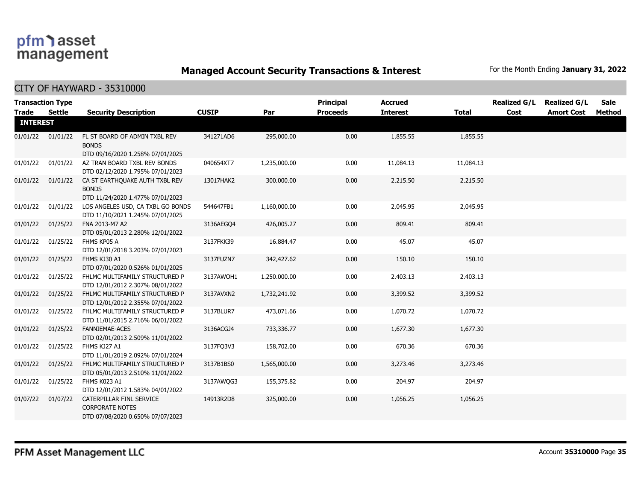**Managed Account Security Transactions & Interest** For the Month Ending January 31, 2022

|                                 | <b>Transaction Type</b> |                                                                                        | <b>CUSIP</b> |              | <b>Principal</b><br><b>Proceeds</b> | <b>Accrued</b>  |              | <b>Realized G/L</b> | <b>Realized G/L</b> | Sale   |
|---------------------------------|-------------------------|----------------------------------------------------------------------------------------|--------------|--------------|-------------------------------------|-----------------|--------------|---------------------|---------------------|--------|
| <b>Trade</b><br><b>INTEREST</b> | <b>Settle</b>           | <b>Security Description</b>                                                            |              | Par          |                                     | <b>Interest</b> | <b>Total</b> | Cost                | <b>Amort Cost</b>   | Method |
|                                 |                         |                                                                                        |              |              |                                     |                 |              |                     |                     |        |
| 01/01/22                        | 01/01/22                | FL ST BOARD OF ADMIN TXBL REV<br><b>BONDS</b>                                          | 341271AD6    | 295,000.00   | 0.00                                | 1,855.55        | 1,855.55     |                     |                     |        |
|                                 |                         | DTD 09/16/2020 1.258% 07/01/2025                                                       |              |              |                                     |                 |              |                     |                     |        |
| 01/01/22                        | 01/01/22                | AZ TRAN BOARD TXBL REV BONDS<br>DTD 02/12/2020 1.795% 07/01/2023                       | 040654XT7    | 1,235,000.00 | 0.00                                | 11,084.13       | 11,084.13    |                     |                     |        |
| 01/01/22                        | 01/01/22                | CA ST EARTHQUAKE AUTH TXBL REV<br><b>BONDS</b><br>DTD 11/24/2020 1.477% 07/01/2023     | 13017HAK2    | 300,000.00   | 0.00                                | 2,215.50        | 2,215.50     |                     |                     |        |
| 01/01/22                        | 01/01/22                | LOS ANGELES USD, CA TXBL GO BONDS<br>DTD 11/10/2021 1.245% 07/01/2025                  | 544647FB1    | 1,160,000.00 | 0.00                                | 2,045.95        | 2,045.95     |                     |                     |        |
| 01/01/22                        | 01/25/22                | FNA 2013-M7 A2<br>DTD 05/01/2013 2.280% 12/01/2022                                     | 3136AEGQ4    | 426,005.27   | 0.00                                | 809.41          | 809.41       |                     |                     |        |
| 01/01/22                        | 01/25/22                | FHMS KP05 A<br>DTD 12/01/2018 3.203% 07/01/2023                                        | 3137FKK39    | 16,884.47    | 0.00                                | 45.07           | 45.07        |                     |                     |        |
| 01/01/22                        | 01/25/22                | FHMS KJ30 A1<br>DTD 07/01/2020 0.526% 01/01/2025                                       | 3137FUZN7    | 342,427.62   | 0.00                                | 150.10          | 150.10       |                     |                     |        |
| 01/01/22                        | 01/25/22                | FHLMC MULTIFAMILY STRUCTURED P<br>DTD 12/01/2012 2.307% 08/01/2022                     | 3137AWQH1    | 1,250,000.00 | 0.00                                | 2,403.13        | 2,403.13     |                     |                     |        |
| 01/01/22                        | 01/25/22                | FHLMC MULTIFAMILY STRUCTURED P<br>DTD 12/01/2012 2.355% 07/01/2022                     | 3137AVXN2    | 1,732,241.92 | 0.00                                | 3,399.52        | 3,399.52     |                     |                     |        |
| 01/01/22                        | 01/25/22                | FHLMC MULTIFAMILY STRUCTURED P<br>DTD 11/01/2015 2.716% 06/01/2022                     | 3137BLUR7    | 473,071.66   | 0.00                                | 1,070.72        | 1,070.72     |                     |                     |        |
| 01/01/22                        | 01/25/22                | <b>FANNIEMAE-ACES</b><br>DTD 02/01/2013 2.509% 11/01/2022                              | 3136ACGJ4    | 733,336.77   | 0.00                                | 1,677.30        | 1,677.30     |                     |                     |        |
| 01/01/22                        | 01/25/22                | FHMS KJ27 A1<br>DTD 11/01/2019 2.092% 07/01/2024                                       | 3137FQ3V3    | 158,702.00   | 0.00                                | 670.36          | 670.36       |                     |                     |        |
| 01/01/22                        | 01/25/22                | FHLMC MULTIFAMILY STRUCTURED P<br>DTD 05/01/2013 2.510% 11/01/2022                     | 3137B1BS0    | 1,565,000.00 | 0.00                                | 3,273.46        | 3,273.46     |                     |                     |        |
| 01/01/22                        | 01/25/22                | FHMS K023 A1<br>DTD 12/01/2012 1.583% 04/01/2022                                       | 3137AWOG3    | 155,375.82   | 0.00                                | 204.97          | 204.97       |                     |                     |        |
| 01/07/22                        | 01/07/22                | CATERPILLAR FINL SERVICE<br><b>CORPORATE NOTES</b><br>DTD 07/08/2020 0.650% 07/07/2023 | 14913R2D8    | 325,000.00   | 0.00                                | 1,056.25        | 1,056.25     |                     |                     |        |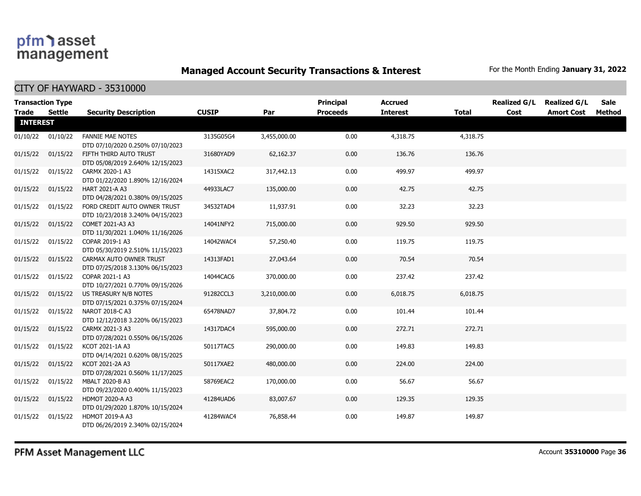**Managed Account Security Transactions & Interest** For the Month Ending January 31, 2022

| <b>Trade</b>    | <b>Transaction Type</b><br><b>Settle</b> | <b>Security Description</b>                                      | <b>CUSIP</b> | Par          | <b>Principal</b><br><b>Proceeds</b> | <b>Accrued</b><br><b>Interest</b> | <b>Total</b> | <b>Realized G/L</b><br>Cost | <b>Realized G/L</b><br><b>Amort Cost</b> | <b>Sale</b><br>Method |
|-----------------|------------------------------------------|------------------------------------------------------------------|--------------|--------------|-------------------------------------|-----------------------------------|--------------|-----------------------------|------------------------------------------|-----------------------|
| <b>INTEREST</b> |                                          |                                                                  |              |              |                                     |                                   |              |                             |                                          |                       |
| 01/10/22        | 01/10/22                                 | <b>FANNIE MAE NOTES</b><br>DTD 07/10/2020 0.250% 07/10/2023      | 3135G05G4    | 3,455,000.00 | 0.00                                | 4,318.75                          | 4,318.75     |                             |                                          |                       |
| 01/15/22        | 01/15/22                                 | FIFTH THIRD AUTO TRUST<br>DTD 05/08/2019 2.640% 12/15/2023       | 31680YAD9    | 62,162.37    | 0.00                                | 136.76                            | 136.76       |                             |                                          |                       |
| 01/15/22        | 01/15/22                                 | CARMX 2020-1 A3<br>DTD 01/22/2020 1.890% 12/16/2024              | 14315XAC2    | 317,442.13   | 0.00                                | 499.97                            | 499.97       |                             |                                          |                       |
| 01/15/22        | 01/15/22                                 | HART 2021-A A3<br>DTD 04/28/2021 0.380% 09/15/2025               | 44933LAC7    | 135,000.00   | 0.00                                | 42.75                             | 42.75        |                             |                                          |                       |
| 01/15/22        | 01/15/22                                 | FORD CREDIT AUTO OWNER TRUST<br>DTD 10/23/2018 3.240% 04/15/2023 | 34532TAD4    | 11,937.91    | 0.00                                | 32.23                             | 32.23        |                             |                                          |                       |
| 01/15/22        | 01/15/22                                 | COMET 2021-A3 A3<br>DTD 11/30/2021 1.040% 11/16/2026             | 14041NFY2    | 715,000.00   | 0.00                                | 929.50                            | 929.50       |                             |                                          |                       |
| 01/15/22        | 01/15/22                                 | COPAR 2019-1 A3<br>DTD 05/30/2019 2.510% 11/15/2023              | 14042WAC4    | 57,250.40    | 0.00                                | 119.75                            | 119.75       |                             |                                          |                       |
| 01/15/22        | 01/15/22                                 | CARMAX AUTO OWNER TRUST<br>DTD 07/25/2018 3.130% 06/15/2023      | 14313FAD1    | 27,043.64    | 0.00                                | 70.54                             | 70.54        |                             |                                          |                       |
| 01/15/22        | 01/15/22                                 | COPAR 2021-1 A3<br>DTD 10/27/2021 0.770% 09/15/2026              | 14044CAC6    | 370,000.00   | 0.00                                | 237.42                            | 237.42       |                             |                                          |                       |
| 01/15/22        | 01/15/22                                 | US TREASURY N/B NOTES<br>DTD 07/15/2021 0.375% 07/15/2024        | 91282CCL3    | 3,210,000.00 | 0.00                                | 6,018.75                          | 6,018.75     |                             |                                          |                       |
| 01/15/22        | 01/15/22                                 | NAROT 2018-C A3<br>DTD 12/12/2018 3.220% 06/15/2023              | 65478NAD7    | 37,804.72    | 0.00                                | 101.44                            | 101.44       |                             |                                          |                       |
| 01/15/22        | 01/15/22                                 | CARMX 2021-3 A3<br>DTD 07/28/2021 0.550% 06/15/2026              | 14317DAC4    | 595,000.00   | 0.00                                | 272.71                            | 272.71       |                             |                                          |                       |
| 01/15/22        | 01/15/22                                 | KCOT 2021-1A A3<br>DTD 04/14/2021 0.620% 08/15/2025              | 50117TAC5    | 290,000.00   | 0.00                                | 149.83                            | 149.83       |                             |                                          |                       |
| 01/15/22        | 01/15/22                                 | KCOT 2021-2A A3<br>DTD 07/28/2021 0.560% 11/17/2025              | 50117XAE2    | 480,000.00   | 0.00                                | 224.00                            | 224.00       |                             |                                          |                       |
| 01/15/22        | 01/15/22                                 | MBALT 2020-B A3<br>DTD 09/23/2020 0.400% 11/15/2023              | 58769EAC2    | 170,000.00   | 0.00                                | 56.67                             | 56.67        |                             |                                          |                       |
| 01/15/22        | 01/15/22                                 | <b>HDMOT 2020-A A3</b><br>DTD 01/29/2020 1.870% 10/15/2024       | 41284UAD6    | 83,007.67    | 0.00                                | 129.35                            | 129.35       |                             |                                          |                       |
| 01/15/22        | 01/15/22                                 | <b>HDMOT 2019-A A3</b><br>DTD 06/26/2019 2.340% 02/15/2024       | 41284WAC4    | 76,858.44    | 0.00                                | 149.87                            | 149.87       |                             |                                          |                       |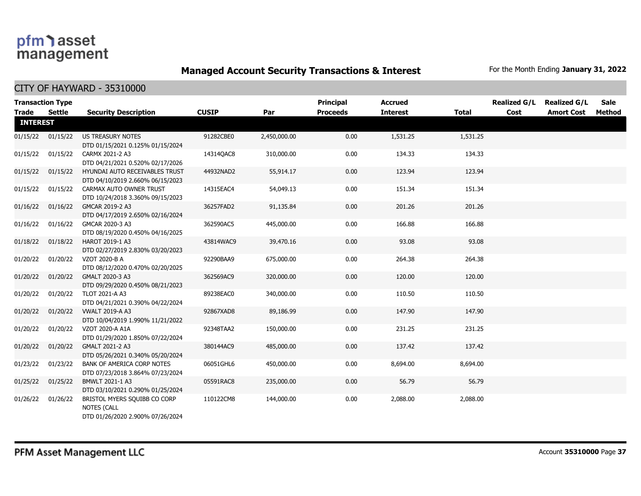**Managed Account Security Transactions & Interest** For the Month Ending January 31, 2022

| Trade           | <b>Transaction Type</b><br>Settle | <b>Security Description</b>                                                            | <b>CUSIP</b> | Par          | <b>Principal</b><br><b>Proceeds</b> | <b>Accrued</b><br><b>Interest</b> | <b>Total</b> | <b>Realized G/L</b><br>Cost | <b>Realized G/L</b><br><b>Amort Cost</b> | <b>Sale</b><br>Method |
|-----------------|-----------------------------------|----------------------------------------------------------------------------------------|--------------|--------------|-------------------------------------|-----------------------------------|--------------|-----------------------------|------------------------------------------|-----------------------|
| <b>INTEREST</b> |                                   |                                                                                        |              |              |                                     |                                   |              |                             |                                          |                       |
| 01/15/22        | 01/15/22                          | US TREASURY NOTES<br>DTD 01/15/2021 0.125% 01/15/2024                                  | 91282CBE0    | 2,450,000.00 | 0.00                                | 1,531.25                          | 1,531.25     |                             |                                          |                       |
| 01/15/22        | 01/15/22                          | CARMX 2021-2 A3<br>DTD 04/21/2021 0.520% 02/17/2026                                    | 14314OAC8    | 310,000.00   | 0.00                                | 134.33                            | 134.33       |                             |                                          |                       |
| 01/15/22        | 01/15/22                          | HYUNDAI AUTO RECEIVABLES TRUST<br>DTD 04/10/2019 2.660% 06/15/2023                     | 44932NAD2    | 55,914.17    | 0.00                                | 123.94                            | 123.94       |                             |                                          |                       |
| 01/15/22        | 01/15/22                          | CARMAX AUTO OWNER TRUST<br>DTD 10/24/2018 3.360% 09/15/2023                            | 14315EAC4    | 54,049.13    | 0.00                                | 151.34                            | 151.34       |                             |                                          |                       |
| 01/16/22        | 01/16/22                          | GMCAR 2019-2 A3<br>DTD 04/17/2019 2.650% 02/16/2024                                    | 36257FAD2    | 91,135.84    | 0.00                                | 201.26                            | 201.26       |                             |                                          |                       |
| 01/16/22        | 01/16/22                          | GMCAR 2020-3 A3<br>DTD 08/19/2020 0.450% 04/16/2025                                    | 362590AC5    | 445,000.00   | 0.00                                | 166.88                            | 166.88       |                             |                                          |                       |
| 01/18/22        | 01/18/22                          | HAROT 2019-1 A3<br>DTD 02/27/2019 2.830% 03/20/2023                                    | 43814WAC9    | 39,470.16    | 0.00                                | 93.08                             | 93.08        |                             |                                          |                       |
| 01/20/22        | 01/20/22                          | VZOT 2020-B A<br>DTD 08/12/2020 0.470% 02/20/2025                                      | 92290BAA9    | 675,000.00   | 0.00                                | 264.38                            | 264.38       |                             |                                          |                       |
| 01/20/22        | 01/20/22                          | GMALT 2020-3 A3<br>DTD 09/29/2020 0.450% 08/21/2023                                    | 362569AC9    | 320,000.00   | 0.00                                | 120.00                            | 120.00       |                             |                                          |                       |
| 01/20/22        | 01/20/22                          | TLOT 2021-A A3<br>DTD 04/21/2021 0.390% 04/22/2024                                     | 89238EAC0    | 340,000.00   | 0.00                                | 110.50                            | 110.50       |                             |                                          |                       |
| 01/20/22        | 01/20/22                          | <b>VWALT 2019-A A3</b><br>DTD 10/04/2019 1.990% 11/21/2022                             | 92867XAD8    | 89,186.99    | 0.00                                | 147.90                            | 147.90       |                             |                                          |                       |
| 01/20/22        | 01/20/22                          | VZOT 2020-A A1A<br>DTD 01/29/2020 1.850% 07/22/2024                                    | 92348TAA2    | 150,000.00   | 0.00                                | 231.25                            | 231.25       |                             |                                          |                       |
| 01/20/22        | 01/20/22                          | GMALT 2021-2 A3<br>DTD 05/26/2021 0.340% 05/20/2024                                    | 380144AC9    | 485,000.00   | 0.00                                | 137.42                            | 137.42       |                             |                                          |                       |
| 01/23/22        | 01/23/22                          | BANK OF AMERICA CORP NOTES<br>DTD 07/23/2018 3.864% 07/23/2024                         | 06051GHL6    | 450,000.00   | 0.00                                | 8,694.00                          | 8,694.00     |                             |                                          |                       |
| 01/25/22        | 01/25/22                          | BMWLT 2021-1 A3<br>DTD 03/10/2021 0.290% 01/25/2024                                    | 05591RAC8    | 235,000.00   | 0.00                                | 56.79                             | 56.79        |                             |                                          |                       |
| 01/26/22        | 01/26/22                          | BRISTOL MYERS SQUIBB CO CORP<br><b>NOTES (CALL</b><br>DTD 01/26/2020 2.900% 07/26/2024 | 110122CM8    | 144,000.00   | 0.00                                | 2,088.00                          | 2,088.00     |                             |                                          |                       |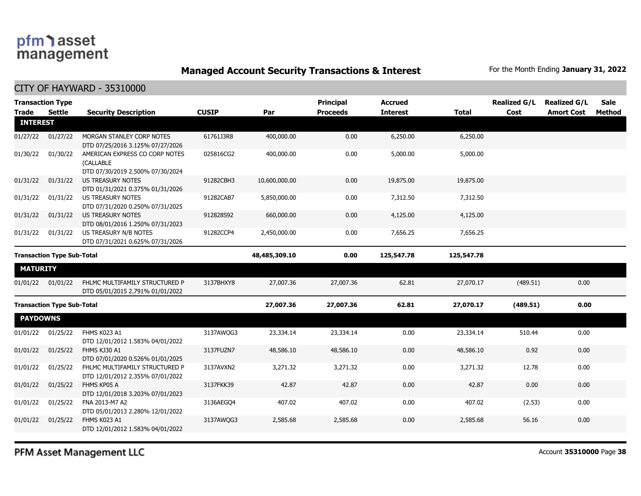**Managed Account Security Transactions & Interest** For the Month Ending January 31, 2022

CITY OF HAYWARD - 35310000

| <b>Trade</b>                      | <b>Transaction Type</b><br><b>Settle</b> | <b>Security Description</b>                                                     | <b>CUSIP</b>  | Par           | <b>Principal</b><br><b>Proceeds</b> | <b>Accrued</b><br><b>Interest</b> | <b>Total</b> | <b>Realized G/L</b><br>Cost | <b>Realized G/L</b><br><b>Amort Cost</b> | Sale<br><b>Method</b> |
|-----------------------------------|------------------------------------------|---------------------------------------------------------------------------------|---------------|---------------|-------------------------------------|-----------------------------------|--------------|-----------------------------|------------------------------------------|-----------------------|
| <b>INTEREST</b>                   |                                          |                                                                                 |               |               |                                     |                                   |              |                             |                                          |                       |
| 01/27/22                          | 01/27/22                                 | MORGAN STANLEY CORP NOTES<br>DTD 07/25/2016 3.125% 07/27/2026                   | 61761J3R8     | 400,000.00    | 0.00                                | 6,250.00                          | 6,250.00     |                             |                                          |                       |
| 01/30/22                          | 01/30/22                                 | AMERICAN EXPRESS CO CORP NOTES<br>(CALLABLE<br>DTD 07/30/2019 2.500% 07/30/2024 | 025816CG2     | 400,000.00    | 0.00                                | 5,000.00                          | 5,000.00     |                             |                                          |                       |
| 01/31/22                          | 01/31/22                                 | <b>US TREASURY NOTES</b><br>DTD 01/31/2021 0.375% 01/31/2026                    | 91282CBH3     | 10,600,000.00 | 0.00                                | 19,875.00                         | 19,875.00    |                             |                                          |                       |
| 01/31/22                          | 01/31/22                                 | <b>US TREASURY NOTES</b><br>DTD 07/31/2020 0.250% 07/31/2025                    | 91282CAB7     | 5,850,000.00  | 0.00                                | 7,312.50                          | 7,312.50     |                             |                                          |                       |
| 01/31/22                          | 01/31/22                                 | <b>US TREASURY NOTES</b><br>DTD 08/01/2016 1.250% 07/31/2023                    | 912828S92     | 660,000.00    | 0.00                                | 4,125.00                          | 4,125.00     |                             |                                          |                       |
| 01/31/22                          | 01/31/22                                 | US TREASURY N/B NOTES<br>DTD 07/31/2021 0.625% 07/31/2026                       | 91282CCP4     | 2,450,000.00  | 0.00                                | 7,656.25                          | 7,656.25     |                             |                                          |                       |
| <b>Transaction Type Sub-Total</b> |                                          |                                                                                 | 48,485,309.10 | 0.00          | 125,547.78                          | 125,547.78                        |              |                             |                                          |                       |
| <b>MATURITY</b>                   |                                          |                                                                                 |               |               |                                     |                                   |              |                             |                                          |                       |
| 01/01/22                          | 01/01/22                                 | FHLMC MULTIFAMILY STRUCTURED P<br>DTD 05/01/2015 2.791% 01/01/2022              | 3137BHXY8     | 27,007.36     | 27,007.36                           | 62.81                             | 27,070.17    | (489.51)                    | 0.00                                     |                       |
|                                   | <b>Transaction Type Sub-Total</b>        |                                                                                 |               | 27,007.36     | 27,007.36                           | 62.81                             | 27,070.17    | (489.51)                    | 0.00                                     |                       |
| <b>PAYDOWNS</b>                   |                                          |                                                                                 |               |               |                                     |                                   |              |                             |                                          |                       |
| 01/01/22                          | 01/25/22                                 | FHMS K023 A1<br>DTD 12/01/2012 1.583% 04/01/2022                                | 3137AWOG3     | 23,334.14     | 23,334.14                           | 0.00                              | 23,334.14    | 510.44                      | 0.00                                     |                       |
| 01/01/22                          | 01/25/22                                 | FHMS KJ30 A1<br>DTD 07/01/2020 0.526% 01/01/2025                                | 3137FUZN7     | 48,586.10     | 48,586.10                           | 0.00                              | 48,586.10    | 0.92                        | 0.00                                     |                       |
| 01/01/22                          | 01/25/22                                 | FHLMC MULTIFAMILY STRUCTURED P<br>DTD 12/01/2012 2.355% 07/01/2022              | 3137AVXN2     | 3,271.32      | 3,271.32                            | 0.00                              | 3,271.32     | 12.78                       | 0.00                                     |                       |
| 01/01/22                          | 01/25/22                                 | FHMS KP05 A<br>DTD 12/01/2018 3.203% 07/01/2023                                 | 3137FKK39     | 42.87         | 42.87                               | 0.00                              | 42.87        | 0.00                        | 0.00                                     |                       |
| 01/01/22                          | 01/25/22                                 | FNA 2013-M7 A2<br>DTD 05/01/2013 2.280% 12/01/2022                              | 3136AEGO4     | 407.02        | 407.02                              | 0.00                              | 407.02       | (2.53)                      | 0.00                                     |                       |
| 01/01/22                          | 01/25/22                                 | FHMS K023 A1<br>DTD 12/01/2012 1.583% 04/01/2022                                | 3137AWOG3     | 2,585.68      | 2,585.68                            | 0.00                              | 2,585.68     | 56.16                       | 0.00                                     |                       |
|                                   |                                          |                                                                                 |               |               |                                     |                                   |              |                             |                                          |                       |

PFM Asset Management LLC

Account **35310000** Page **38**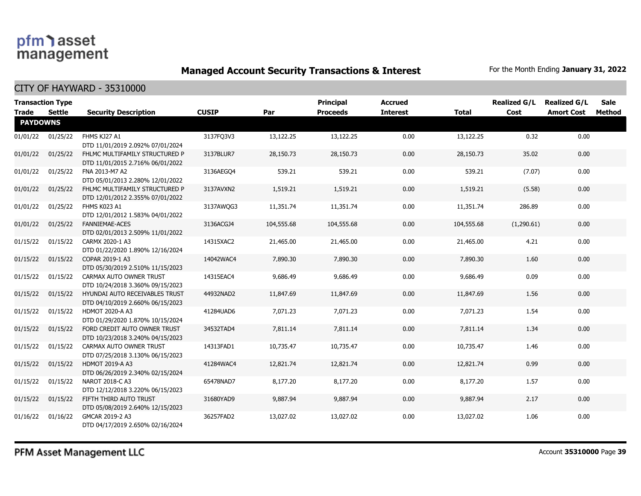**Managed Account Security Transactions & Interest** For the Month Ending January 31, 2022

| <b>Trade</b>    | <b>Transaction Type</b><br>Settle | <b>Security Description</b>                                        | <b>CUSIP</b> | Par        | Principal<br><b>Proceeds</b> | <b>Accrued</b><br><b>Interest</b> | <b>Total</b> | <b>Realized G/L</b><br>Cost | <b>Realized G/L</b><br><b>Amort Cost</b> | <b>Sale</b><br>Method |
|-----------------|-----------------------------------|--------------------------------------------------------------------|--------------|------------|------------------------------|-----------------------------------|--------------|-----------------------------|------------------------------------------|-----------------------|
| <b>PAYDOWNS</b> |                                   |                                                                    |              |            |                              |                                   |              |                             |                                          |                       |
| 01/01/22        | 01/25/22                          | FHMS KJ27 A1<br>DTD 11/01/2019 2.092% 07/01/2024                   | 3137FQ3V3    | 13,122.25  | 13,122.25                    | 0.00                              | 13,122.25    | 0.32                        | 0.00                                     |                       |
| 01/01/22        | 01/25/22                          | FHLMC MULTIFAMILY STRUCTURED P<br>DTD 11/01/2015 2.716% 06/01/2022 | 3137BLUR7    | 28,150.73  | 28,150.73                    | 0.00                              | 28,150.73    | 35.02                       | 0.00                                     |                       |
| 01/01/22        | 01/25/22                          | FNA 2013-M7 A2<br>DTD 05/01/2013 2.280% 12/01/2022                 | 3136AEGO4    | 539.21     | 539.21                       | 0.00                              | 539.21       | (7.07)                      | 0.00                                     |                       |
| 01/01/22        | 01/25/22                          | FHLMC MULTIFAMILY STRUCTURED P<br>DTD 12/01/2012 2.355% 07/01/2022 | 3137AVXN2    | 1,519.21   | 1,519.21                     | 0.00                              | 1,519.21     | (5.58)                      | 0.00                                     |                       |
| 01/01/22        | 01/25/22                          | FHMS K023 A1<br>DTD 12/01/2012 1.583% 04/01/2022                   | 3137AWOG3    | 11,351.74  | 11,351.74                    | 0.00                              | 11,351.74    | 286.89                      | 0.00                                     |                       |
| 01/01/22        | 01/25/22                          | <b>FANNIEMAE-ACES</b><br>DTD 02/01/2013 2.509% 11/01/2022          | 3136ACGJ4    | 104,555.68 | 104,555.68                   | 0.00                              | 104,555.68   | (1,290.61)                  | 0.00                                     |                       |
| 01/15/22        | 01/15/22                          | CARMX 2020-1 A3<br>DTD 01/22/2020 1.890% 12/16/2024                | 14315XAC2    | 21,465.00  | 21,465.00                    | 0.00                              | 21,465.00    | 4.21                        | 0.00                                     |                       |
| 01/15/22        | 01/15/22                          | COPAR 2019-1 A3<br>DTD 05/30/2019 2.510% 11/15/2023                | 14042WAC4    | 7,890.30   | 7,890.30                     | 0.00                              | 7,890.30     | 1.60                        | 0.00                                     |                       |
| 01/15/22        | 01/15/22                          | CARMAX AUTO OWNER TRUST<br>DTD 10/24/2018 3.360% 09/15/2023        | 14315EAC4    | 9,686.49   | 9,686.49                     | 0.00                              | 9,686.49     | 0.09                        | 0.00                                     |                       |
| 01/15/22        | 01/15/22                          | HYUNDAI AUTO RECEIVABLES TRUST<br>DTD 04/10/2019 2.660% 06/15/2023 | 44932NAD2    | 11,847.69  | 11,847.69                    | 0.00                              | 11,847.69    | 1.56                        | 0.00                                     |                       |
| 01/15/22        | 01/15/22                          | HDMOT 2020-A A3<br>DTD 01/29/2020 1.870% 10/15/2024                | 41284UAD6    | 7,071.23   | 7,071.23                     | 0.00                              | 7,071.23     | 1.54                        | 0.00                                     |                       |
| 01/15/22        | 01/15/22                          | FORD CREDIT AUTO OWNER TRUST<br>DTD 10/23/2018 3.240% 04/15/2023   | 34532TAD4    | 7,811.14   | 7,811.14                     | 0.00                              | 7,811.14     | 1.34                        | 0.00                                     |                       |
| 01/15/22        | 01/15/22                          | CARMAX AUTO OWNER TRUST<br>DTD 07/25/2018 3.130% 06/15/2023        | 14313FAD1    | 10,735.47  | 10,735.47                    | 0.00                              | 10,735.47    | 1.46                        | 0.00                                     |                       |
| 01/15/22        | 01/15/22                          | <b>HDMOT 2019-A A3</b><br>DTD 06/26/2019 2.340% 02/15/2024         | 41284WAC4    | 12,821.74  | 12,821.74                    | 0.00                              | 12,821.74    | 0.99                        | 0.00                                     |                       |
| 01/15/22        | 01/15/22                          | NAROT 2018-C A3<br>DTD 12/12/2018 3.220% 06/15/2023                | 65478NAD7    | 8,177.20   | 8,177.20                     | 0.00                              | 8,177.20     | 1.57                        | 0.00                                     |                       |
| 01/15/22        | 01/15/22                          | FIFTH THIRD AUTO TRUST<br>DTD 05/08/2019 2.640% 12/15/2023         | 31680YAD9    | 9,887.94   | 9,887.94                     | 0.00                              | 9,887.94     | 2.17                        | 0.00                                     |                       |
| 01/16/22        | 01/16/22                          | GMCAR 2019-2 A3<br>DTD 04/17/2019 2.650% 02/16/2024                | 36257FAD2    | 13,027.02  | 13,027.02                    | 0.00                              | 13,027.02    | 1.06                        | 0.00                                     |                       |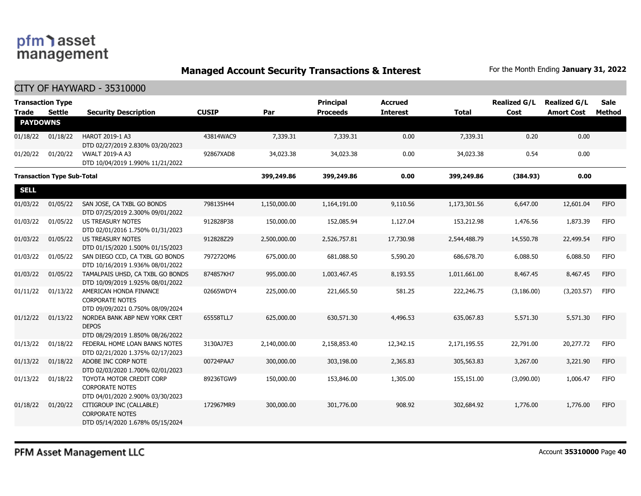**Managed Account Security Transactions & Interest** For the Month Ending January 31, 2022

| <b>Transaction Type</b><br><b>Trade</b> | <b>Settle</b>                     | <b>Security Description</b>                                                            | <b>CUSIP</b> | Par          | <b>Principal</b><br><b>Proceeds</b> | <b>Accrued</b><br><b>Interest</b> | <b>Total</b> | <b>Realized G/L</b><br>Cost | <b>Realized G/L</b><br><b>Amort Cost</b> | <b>Sale</b><br><b>Method</b> |
|-----------------------------------------|-----------------------------------|----------------------------------------------------------------------------------------|--------------|--------------|-------------------------------------|-----------------------------------|--------------|-----------------------------|------------------------------------------|------------------------------|
| <b>PAYDOWNS</b>                         |                                   |                                                                                        |              |              |                                     |                                   |              |                             |                                          |                              |
| 01/18/22                                | 01/18/22                          | HAROT 2019-1 A3<br>DTD 02/27/2019 2.830% 03/20/2023                                    | 43814WAC9    | 7,339.31     | 7,339.31                            | 0.00                              | 7,339.31     | 0.20                        | 0.00                                     |                              |
| 01/20/22                                | 01/20/22                          | <b>VWALT 2019-A A3</b><br>DTD 10/04/2019 1.990% 11/21/2022                             | 92867XAD8    | 34,023.38    | 34,023.38                           | 0.00                              | 34,023.38    | 0.54                        | 0.00                                     |                              |
|                                         | <b>Transaction Type Sub-Total</b> |                                                                                        |              | 399,249.86   | 399,249.86                          | 0.00                              | 399,249.86   | (384.93)                    | 0.00                                     |                              |
| <b>SELL</b>                             |                                   |                                                                                        |              |              |                                     |                                   |              |                             |                                          |                              |
| 01/03/22                                | 01/05/22                          | SAN JOSE, CA TXBL GO BONDS<br>DTD 07/25/2019 2.300% 09/01/2022                         | 798135H44    | 1,150,000.00 | 1,164,191.00                        | 9,110.56                          | 1,173,301.56 | 6,647.00                    | 12,601.04                                | <b>FIFO</b>                  |
| 01/03/22                                | 01/05/22                          | <b>US TREASURY NOTES</b><br>DTD 02/01/2016 1.750% 01/31/2023                           | 912828P38    | 150,000.00   | 152,085.94                          | 1,127.04                          | 153,212.98   | 1,476.56                    | 1,873.39                                 | <b>FIFO</b>                  |
| 01/03/22                                | 01/05/22                          | US TREASURY NOTES<br>DTD 01/15/2020 1.500% 01/15/2023                                  | 912828Z29    | 2,500,000.00 | 2,526,757.81                        | 17,730.98                         | 2,544,488.79 | 14,550.78                   | 22,499.54                                | <b>FIFO</b>                  |
| 01/03/22                                | 01/05/22                          | SAN DIEGO CCD, CA TXBL GO BONDS<br>DTD 10/16/2019 1.936% 08/01/2022                    | 7972720M6    | 675,000.00   | 681,088.50                          | 5,590.20                          | 686,678.70   | 6,088.50                    | 6,088.50                                 | <b>FIFO</b>                  |
| 01/03/22                                | 01/05/22                          | TAMALPAIS UHSD, CA TXBL GO BONDS<br>DTD 10/09/2019 1.925% 08/01/2022                   | 874857KH7    | 995,000.00   | 1,003,467.45                        | 8,193.55                          | 1,011,661.00 | 8,467.45                    | 8,467.45                                 | <b>FIFO</b>                  |
| 01/11/22                                | 01/13/22                          | AMERICAN HONDA FINANCE<br><b>CORPORATE NOTES</b><br>DTD 09/09/2021 0.750% 08/09/2024   | 02665WDY4    | 225,000.00   | 221,665.50                          | 581.25                            | 222,246.75   | (3, 186.00)                 | (3,203.57)                               | <b>FIFO</b>                  |
| 01/12/22                                | 01/13/22                          | NORDEA BANK ABP NEW YORK CERT<br><b>DEPOS</b><br>DTD 08/29/2019 1.850% 08/26/2022      | 65558TLL7    | 625,000.00   | 630,571.30                          | 4,496.53                          | 635,067.83   | 5,571.30                    | 5,571.30                                 | <b>FIFO</b>                  |
| 01/13/22                                | 01/18/22                          | FEDERAL HOME LOAN BANKS NOTES<br>DTD 02/21/2020 1.375% 02/17/2023                      | 3130AJ7E3    | 2,140,000.00 | 2,158,853.40                        | 12,342.15                         | 2,171,195.55 | 22,791.00                   | 20,277.72                                | <b>FIFO</b>                  |
| 01/13/22                                | 01/18/22                          | ADOBE INC CORP NOTE<br>DTD 02/03/2020 1.700% 02/01/2023                                | 00724PAA7    | 300,000.00   | 303,198.00                          | 2,365.83                          | 305,563.83   | 3,267.00                    | 3,221.90                                 | <b>FIFO</b>                  |
| 01/13/22                                | 01/18/22                          | TOYOTA MOTOR CREDIT CORP<br><b>CORPORATE NOTES</b><br>DTD 04/01/2020 2.900% 03/30/2023 | 89236TGW9    | 150,000.00   | 153,846.00                          | 1,305.00                          | 155,151.00   | (3,090.00)                  | 1,006.47                                 | <b>FIFO</b>                  |
| 01/18/22                                | 01/20/22                          | CITIGROUP INC (CALLABLE)<br><b>CORPORATE NOTES</b><br>DTD 05/14/2020 1.678% 05/15/2024 | 172967MR9    | 300,000.00   | 301,776.00                          | 908.92                            | 302,684.92   | 1,776.00                    | 1,776.00                                 | <b>FIFO</b>                  |